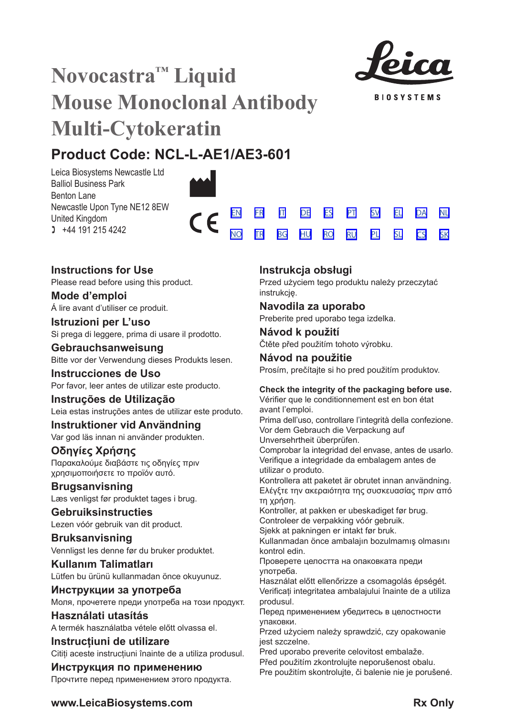

**BIOSYSTEMS** 

[SV](#page-20-0) [EL](#page-23-0) [DA](#page-26-0) [PL](#page-50-0) [SL](#page-53-0) [CS](#page-56-0)

[NL](#page-29-0)

[SK](#page-59-0)

# **Novocastra™ Liquid Mouse Monoclonal Antibody Multi-Cytokeratin**

# **Product Code: NCL-L-AE1/AE3-601**

Leica Biosystems Newcastle Ltd Balliol Business Park Benton Lane Newcastle Upon Tyne NE12 8EW United Kingdom  $1 +44 191 215 4242$ 



**Instructions for Use**

Please read before using this product.

**Mode d'emploi** Á lire avant d'utiliser ce produit.

**Istruzioni per L'uso** Si prega di leggere, prima di usare il prodotto.

## **Gebrauchsanweisung** Bitte vor der Verwendung dieses Produkts lesen.

**Instrucciones de Uso** Por favor, leer antes de utilizar este producto.

# **Instruções de Utilização**

Leia estas instruções antes de utilizar este produto.

**Instruktioner vid Användning** Var god läs innan ni använder produkten.

## **Οδηγίες Χρήσης** Παρακαλούμε διαβάστε τις οδηγίες πριν

χρησιμοποιήσετε το προϊόν αυτό.

**Brugsanvisning** Læs venligst før produktet tages i brug.

## **Gebruiksinstructies** Lezen vóór gebruik van dit product.

**Bruksanvisning** Vennligst les denne før du bruker produktet.

**Kullanım Talimatları** Lütfen bu ürünü kullanmadan önce okuyunuz.

**Инструкции за употреба** Моля, прочетете преди употреба на този продукт.

**Használati utasítás** A termék használatba vétele előtt olvassa el.

**Instrucțiuni de utilizare** Citiți aceste instrucțiuni înainte de a utiliza produsul.

## **Инструкция по применению**

Прочтите перед применением этого продукта.

## **Instrukcja obsługi**

<u>[NO](#page-32-0) [TR](#page-35-0) [BG](#page-38-0) [HU](#page-41-0) [RO](#page-44-0) [RU](#page-47-0)</u>

Przed użyciem tego produktu należy przeczytać instrukcję.

## **Navodila za uporabo**

Preberite pred uporabo tega izdelka.

**Návod k použití** Čtěte před použitím tohoto výrobku.

## **Návod na použitie** Prosím, prečítajte si ho pred použitím produktov.

## **Check the integrity of the packaging before use.**

Vérifier que le conditionnement est en bon état avant l'emploi.

Prima dell'uso, controllare l'integrità della confezione. Vor dem Gebrauch die Verpackung auf Unversehrtheit überprüfen.

Comprobar la integridad del envase, antes de usarlo. Verifique a integridade da embalagem antes de utilizar o produto.

Kontrollera att paketet är obrutet innan användning. Ελέγξτε την ακεραιότητα της συσκευασίας πριν από τη χρήση.

Kontroller, at pakken er ubeskadiget før brug.

Controleer de verpakking vóór gebruik.

Sjekk at pakningen er intakt før bruk. Kullanmadan önce ambalajın bozulmamış olmasını

kontrol edin. Проверете целостта на опаковката преди

употреба.

Használat előtt ellenőrizze a csomagolás épségét. Verificați integritatea ambalajului înainte de a utiliza produsul.

Перед применением убедитесь в целостности упаковки.

Przed użyciem należy sprawdzić, czy opakowanie jest szczelne.

Pred uporabo preverite celovitost embalaže.

Před použitím zkontroluite neporušenost obalu.

Pre použitím skontrolujte, či balenie nie je porušené.

## **www.LeicaBiosystems.com Rx** Only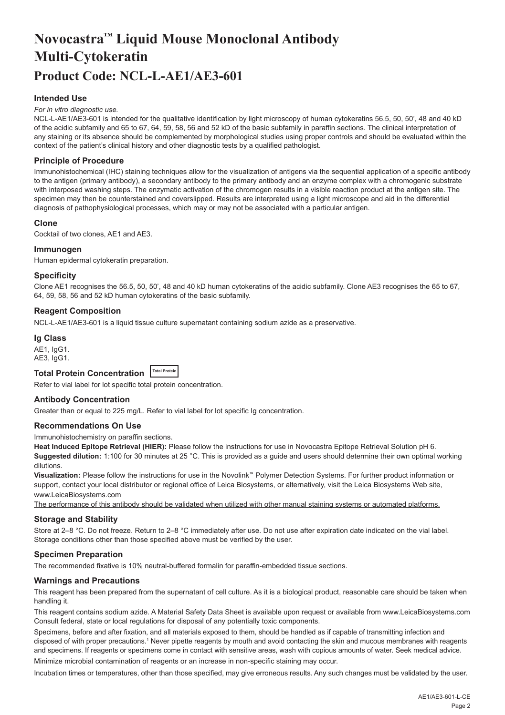# <span id="page-2-0"></span>**Novocastra™ Liquid Mouse Monoclonal Antibody Multi-Cytokeratin Product Code: NCL-L-AE1/AE3-601**

## **Intended Use**

#### *For in vitro diagnostic use.*

NCL-L-AE1/AE3-601 is intended for the qualitative identification by light microscopy of human cytokeratins 56.5, 50, 50', 48 and 40 kD of the acidic subfamily and 65 to 67, 64, 59, 58, 56 and 52 kD of the basic subfamily in paraffin sections. The clinical interpretation of any staining or its absence should be complemented by morphological studies using proper controls and should be evaluated within the context of the patient's clinical history and other diagnostic tests by a qualified pathologist.

#### **Principle of Procedure**

Immunohistochemical (IHC) staining techniques allow for the visualization of antigens via the sequential application of a specific antibody to the antigen (primary antibody), a secondary antibody to the primary antibody and an enzyme complex with a chromogenic substrate with interposed washing steps. The enzymatic activation of the chromogen results in a visible reaction product at the antigen site. The specimen may then be counterstained and coverslipped. Results are interpreted using a light microscope and aid in the differential diagnosis of pathophysiological processes, which may or may not be associated with a particular antigen.

#### **Clone**

Cocktail of two clones, AE1 and AE3.

### **Immunogen**

Human epidermal cytokeratin preparation.

## **Specificity**

Clone AE1 recognises the 56.5, 50, 50', 48 and 40 kD human cytokeratins of the acidic subfamily. Clone AE3 recognises the 65 to 67, 64, 59, 58, 56 and 52 kD human cytokeratins of the basic subfamily.

## **Reagent Composition**

NCL-L-AE1/AE3-601 is a liquid tissue culture supernatant containing sodium azide as a preservative.

#### **Ig Class**

AE1, IgG1. AE3, IgG1.

Refer to vial label for lot specific total protein concentration.

#### **Antibody Concentration**

Greater than or equal to 225 mg/L. Refer to vial label for lot specific Ig concentration.

#### **Recommendations On Use**

Immunohistochemistry on paraffin sections.

**Heat Induced Epitope Retrieval (HIER):** Please follow the instructions for use in Novocastra Epitope Retrieval Solution pH 6. **Suggested dilution:** 1:100 for 30 minutes at 25 °C. This is provided as a guide and users should determine their own optimal working dilutions.

**Visualization:** Please follow the instructions for use in the Novolink™ Polymer Detection Systems. For further product information or support, contact your local distributor or regional office of Leica Biosystems, or alternatively, visit the Leica Biosystems Web site, www.LeicaBiosystems.com

The performance of this antibody should be validated when utilized with other manual staining systems or automated platforms.

#### **Storage and Stability**

Store at 2–8 °C. Do not freeze. Return to 2–8 °C immediately after use. Do not use after expiration date indicated on the vial label. Storage conditions other than those specified above must be verified by the user.

#### **Specimen Preparation**

The recommended fixative is 10% neutral-buffered formalin for paraffin-embedded tissue sections.

#### **Warnings and Precautions**

This reagent has been prepared from the supernatant of cell culture. As it is a biological product, reasonable care should be taken when handling it.

This reagent contains sodium azide. A Material Safety Data Sheet is available upon request or available from www.LeicaBiosystems.com Consult federal, state or local regulations for disposal of any potentially toxic components.

Specimens, before and after fixation, and all materials exposed to them, should be handled as if capable of transmitting infection and disposed of with proper precautions.<sup>1</sup> Never pipette reagents by mouth and avoid contacting the skin and mucous membranes with reagents and specimens. If reagents or specimens come in contact with sensitive areas, wash with copious amounts of water. Seek medical advice. Minimize microbial contamination of reagents or an increase in non-specific staining may occur.

Incubation times or temperatures, other than those specified, may give erroneous results. Any such changes must be validated by the user.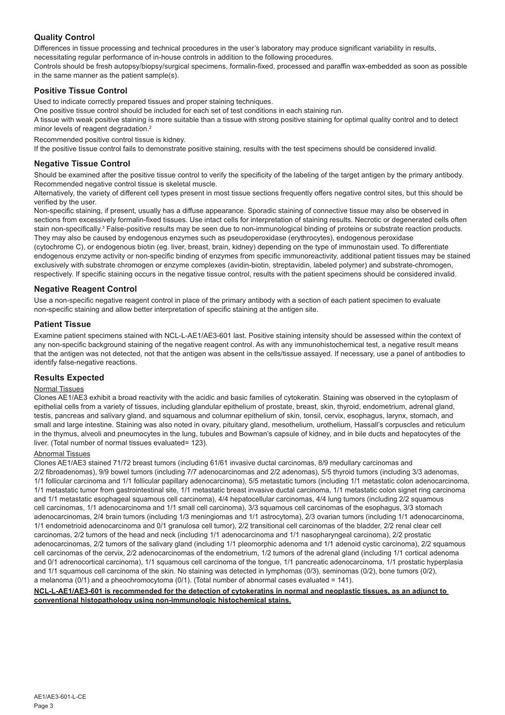## **Quality Control**

Differences in tissue processing and technical procedures in the user's laboratory may produce significant variability in results, necessitating regular performance of in-house controls in addition to the following procedures.

Controls should be fresh autopsy/biopsy/surgical specimens, formalin-fixed, processed and paraffin wax-embedded as soon as possible in the same manner as the patient sample(s).

## **Positive Tissue Control**

Used to indicate correctly prepared tissues and proper staining techniques.

One positive tissue control should be included for each set of test conditions in each staining run.

A tissue with weak positive staining is more suitable than a tissue with strong positive staining for optimal quality control and to detect minor levels of reagent degradation.<sup>2</sup>

Recommended positive control tissue is kidney.

If the positive tissue control fails to demonstrate positive staining, results with the test specimens should be considered invalid.

## **Negative Tissue Control**

Should be examined after the positive tissue control to verify the specificity of the labeling of the target antigen by the primary antibody. Recommended negative control tissue is skeletal muscle.

Alternatively, the variety of different cell types present in most tissue sections frequently offers negative control sites, but this should be verified by the user.

Non-specific staining, if present, usually has a diffuse appearance. Sporadic staining of connective tissue may also be observed in sections from excessively formalin-fixed tissues. Use intact cells for interpretation of staining results. Necrotic or degenerated cells often stain non-specifically.<sup>3</sup> False-positive results may be seen due to non-immunological binding of proteins or substrate reaction products. They may also be caused by endogenous enzymes such as pseudoperoxidase (erythrocytes), endogenous peroxidase

(cytochrome C), or endogenous biotin (eg. liver, breast, brain, kidney) depending on the type of immunostain used. To differentiate endogenous enzyme activity or non-specific binding of enzymes from specific immunoreactivity, additional patient tissues may be stained exclusively with substrate chromogen or enzyme complexes (avidin-biotin, streptavidin, labeled polymer) and substrate-chromogen, respectively. If specific staining occurs in the negative tissue control, results with the patient specimens should be considered invalid.

## **Negative Reagent Control**

Use a non-specific negative reagent control in place of the primary antibody with a section of each patient specimen to evaluate non-specific staining and allow better interpretation of specific staining at the antigen site.

## **Patient Tissue**

Examine patient specimens stained with NCL-L-AE1/AE3-601 last. Positive staining intensity should be assessed within the context of any non-specific background staining of the negative reagent control. As with any immunohistochemical test, a negative result means that the antigen was not detected, not that the antigen was absent in the cells/tissue assayed. If necessary, use a panel of antibodies to identify false-negative reactions.

## **Results Expected**

## Normal Tissues

Clones AE1/AE3 exhibit a broad reactivity with the acidic and basic families of cytokeratin. Staining was observed in the cytoplasm of epithelial cells from a variety of tissues, including glandular epithelium of prostate, breast, skin, thyroid, endometrium, adrenal gland, testis, pancreas and salivary gland, and squamous and columnar epithelium of skin, tonsil, cervix, esophagus, larynx, stomach, and small and large intestine. Staining was also noted in ovary, pituitary gland, mesothelium, urothelium, Hassall's corpuscles and reticulum in the thymus, alveoli and pneumocytes in the lung, tubules and Bowman's capsule of kidney, and in bile ducts and hepatocytes of the liver. (Total number of normal tissues evaluated= 123).

## Abnormal Tissues

Clones AE1/AE3 stained 71/72 breast tumors (including 61/61 invasive ductal carcinomas, 8/9 medullary carcinomas and 2/2 fibroadenomas), 9/9 bowel tumors (including 7/7 adenocarcinomas and 2/2 adenomas), 5/5 thyroid tumors (including 3/3 adenomas, 1/1 follicular carcinoma and 1/1 follicular papillary adenocarcinoma), 5/5 metastatic tumors (including 1/1 metastatic colon adenocarcinoma, 1/1 metastatic tumor from gastrointestinal site, 1/1 metastatic breast invasive ductal carcinoma, 1/1 metastatic colon signet ring carcinoma and 1/1 metastatic esophageal squamous cell carcinoma), 4/4 hepatocellular carcinomas, 4/4 lung tumors (including 2/2 squamous cell carcinomas, 1/1 adenocarcinoma and 1/1 small cell carcinoma), 3/3 squamous cell carcinomas of the esophagus, 3/3 stomach adenocarcinomas, 2/4 brain tumors (including 1/3 meningiomas and 1/1 astrocytoma), 2/3 ovarian tumors (including 1/1 adenocarcinoma, 1/1 endometrioid adenocarcinoma and 0/1 granulosa cell tumor), 2/2 transitional cell carcinomas of the bladder, 2/2 renal clear cell carcinomas, 2/2 tumors of the head and neck (including 1/1 adenocarcinoma and 1/1 nasopharyngeal carcinoma), 2/2 prostatic adenocarcinomas, 2/2 tumors of the salivary gland (including 1/1 pleomorphic adenoma and 1/1 adenoid cystic carcinoma), 2/2 squamous cell carcinomas of the cervix, 2/2 adenocarcinomas of the endometrium, 1/2 tumors of the adrenal gland (including 1/1 cortical adenoma and 0/1 adrenocortical carcinoma), 1/1 squamous cell carcinoma of the tongue, 1/1 pancreatic adenocarcinoma, 1/1 prostatic hyperplasia and 1/1 squamous cell carcinoma of the skin. No staining was detected in lymphomas (0/3), seminomas (0/2), bone tumors (0/2), a melanoma (0/1) and a pheochromocytoma (0/1). (Total number of abnormal cases evaluated = 141).

### **NCL-L-AE1/AE3-601 is recommended for the detection of cytokeratins in normal and neoplastic tissues, as an adjunct to conventional histopathology using non-immunologic histochemical stains.**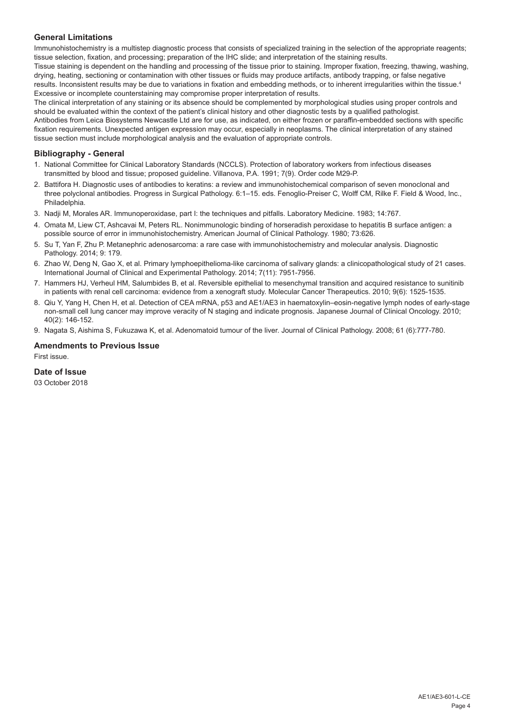## **General Limitations**

Immunohistochemistry is a multistep diagnostic process that consists of specialized training in the selection of the appropriate reagents; tissue selection, fixation, and processing; preparation of the IHC slide; and interpretation of the staining results.

Tissue staining is dependent on the handling and processing of the tissue prior to staining. Improper fixation, freezing, thawing, washing, drying, heating, sectioning or contamination with other tissues or fluids may produce artifacts, antibody trapping, or false negative results. Inconsistent results may be due to variations in fixation and embedding methods, or to inherent irregularities within the tissue.<sup>4</sup> Excessive or incomplete counterstaining may compromise proper interpretation of results.

The clinical interpretation of any staining or its absence should be complemented by morphological studies using proper controls and should be evaluated within the context of the patient's clinical history and other diagnostic tests by a qualified pathologist.

Antibodies from Leica Biosystems Newcastle Ltd are for use, as indicated, on either frozen or paraffin-embedded sections with specific fixation requirements. Unexpected antigen expression may occur, especially in neoplasms. The clinical interpretation of any stained tissue section must include morphological analysis and the evaluation of appropriate controls.

## **Bibliography - General**

- 1. National Committee for Clinical Laboratory Standards (NCCLS). Protection of laboratory workers from infectious diseases transmitted by blood and tissue; proposed guideline. Villanova, P.A. 1991; 7(9). Order code M29-P.
- 2. Battifora H. Diagnostic uses of antibodies to keratins: a review and immunohistochemical comparison of seven monoclonal and three polyclonal antibodies. Progress in Surgical Pathology. 6:1–15. eds. Fenoglio-Preiser C, Wolff CM, Rilke F. Field & Wood, Inc., Philadelphia.
- 3. Nadji M, Morales AR. Immunoperoxidase, part I: the techniques and pitfalls. Laboratory Medicine. 1983; 14:767.
- 4. Omata M, Liew CT, Ashcavai M, Peters RL. Nonimmunologic binding of horseradish peroxidase to hepatitis B surface antigen: a possible source of error in immunohistochemistry. American Journal of Clinical Pathology. 1980; 73:626.
- 5. Su T, Yan F, Zhu P. Metanephric adenosarcoma: a rare case with immunohistochemistry and molecular analysis. Diagnostic Pathology. 2014; 9: 179.
- 6. Zhao W, Deng N, Gao X, et al. Primary lymphoepithelioma-like carcinoma of salivary glands: a clinicopathological study of 21 cases. International Journal of Clinical and Experimental Pathology. 2014; 7(11): 7951-7956.
- 7. Hammers HJ, Verheul HM, Salumbides B, et al. Reversible epithelial to mesenchymal transition and acquired resistance to sunitinib in patients with renal cell carcinoma: evidence from a xenograft study. Molecular Cancer Therapeutics. 2010; 9(6): 1525-1535.
- 8. Qiu Y, Yang H, Chen H, et al. Detection of CEA mRNA, p53 and AE1/AE3 in haematoxylin–eosin-negative lymph nodes of early-stage non-small cell lung cancer may improve veracity of N staging and indicate prognosis. Japanese Journal of Clinical Oncology. 2010; 40(2): 146-152.
- 9. Nagata S, Aishima S, Fukuzawa K, et al. Adenomatoid tumour of the liver. Journal of Clinical Pathology. 2008; 61 (6):777-780.

## **Amendments to Previous Issue**

First issue.

## **Date of Issue**

03 October 2018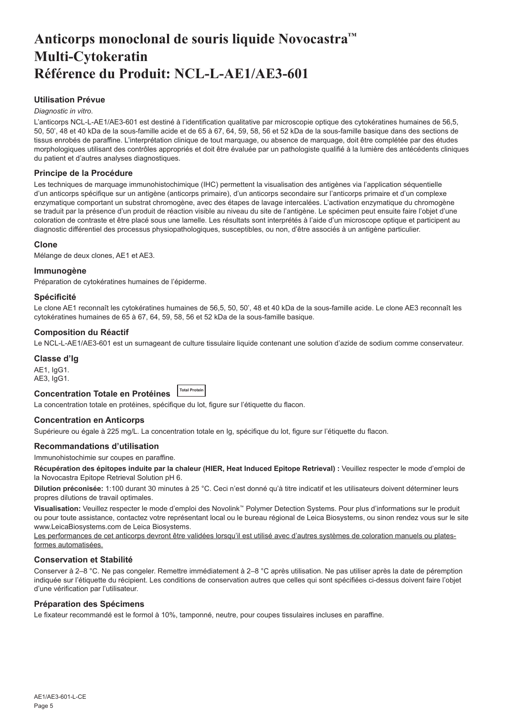# <span id="page-5-0"></span>**Anticorps monoclonal de souris liquide Novocastra™ Multi-Cytokeratin Référence du Produit: NCL-L-AE1/AE3-601**

## **Utilisation Prévue**

## *Diagnostic in vitro*.

L'anticorps NCL-L-AE1/AE3-601 est destiné à l'identification qualitative par microscopie optique des cytokératines humaines de 56,5, 50, 50', 48 et 40 kDa de la sous-famille acide et de 65 à 67, 64, 59, 58, 56 et 52 kDa de la sous-famille basique dans des sections de tissus enrobés de paraffine. L'interprétation clinique de tout marquage, ou absence de marquage, doit être complétée par des études morphologiques utilisant des contrôles appropriés et doit être évaluée par un pathologiste qualifié à la lumière des antécédents cliniques du patient et d'autres analyses diagnostiques.

## **Principe de la Procédure**

Les techniques de marquage immunohistochimique (IHC) permettent la visualisation des antigènes via l'application séquentielle d'un anticorps spécifique sur un antigène (anticorps primaire), d'un anticorps secondaire sur l'anticorps primaire et d'un complexe enzymatique comportant un substrat chromogène, avec des étapes de lavage intercalées. L'activation enzymatique du chromogène se traduit par la présence d'un produit de réaction visible au niveau du site de l'antigène. Le spécimen peut ensuite faire l'objet d'une coloration de contraste et être placé sous une lamelle. Les résultats sont interprétés à l'aide d'un microscope optique et participent au diagnostic différentiel des processus physiopathologiques, susceptibles, ou non, d'être associés à un antigène particulier.

#### **Clone**

Mélange de deux clones, AE1 et AE3.

#### **Immunogène**

Préparation de cytokératines humaines de l'épiderme.

#### **Spécificité**

Le clone AE1 reconnaît les cytokératines humaines de 56,5, 50, 50', 48 et 40 kDa de la sous-famille acide. Le clone AE3 reconnaît les cytokératines humaines de 65 à 67, 64, 59, 58, 56 et 52 kDa de la sous-famille basique.

#### **Composition du Réactif**

Le NCL-L-AE1/AE3-601 est un surnageant de culture tissulaire liquide contenant une solution d'azide de sodium comme conservateur.

#### **Classe d'Ig**

AE1, IgG1. AE3, IgG1.

## **Concentration Totale en Protéines Total Protein**

La concentration totale en protéines, spécifique du lot, figure sur l'étiquette du flacon.

#### **Concentration en Anticorps**

Supérieure ou égale à 225 mg/L. La concentration totale en Ig, spécifique du lot, figure sur l'étiquette du flacon.

## **Recommandations d'utilisation**

#### Immunohistochimie sur coupes en paraffine.

**Récupération des épitopes induite par la chaleur (HIER, Heat Induced Epitope Retrieval) :** Veuillez respecter le mode d'emploi de la Novocastra Epitope Retrieval Solution pH 6.

**Dilution préconisée:** 1:100 durant 30 minutes à 25 °C. Ceci n'est donné qu'à titre indicatif et les utilisateurs doivent déterminer leurs propres dilutions de travail optimales.

**Visualisation:** Veuillez respecter le mode d'emploi des Novolink™ Polymer Detection Systems. Pour plus d'informations sur le produit ou pour toute assistance, contactez votre représentant local ou le bureau régional de Leica Biosystems, ou sinon rendez vous sur le site www.LeicaBiosystems.com de Leica Biosystems.

Les performances de cet anticorps devront être validées lorsqu'il est utilisé avec d'autres systèmes de coloration manuels ou platesformes automatisées.

#### **Conservation et Stabilité**

Conserver à 2–8 °C. Ne pas congeler. Remettre immédiatement à 2–8 °C après utilisation. Ne pas utiliser après la date de péremption indiquée sur l'étiquette du récipient. Les conditions de conservation autres que celles qui sont spécifiées ci-dessus doivent faire l'objet d'une vérification par l'utilisateur.

#### **Préparation des Spécimens**

Le fixateur recommandé est le formol à 10%, tamponné, neutre, pour coupes tissulaires incluses en paraffine.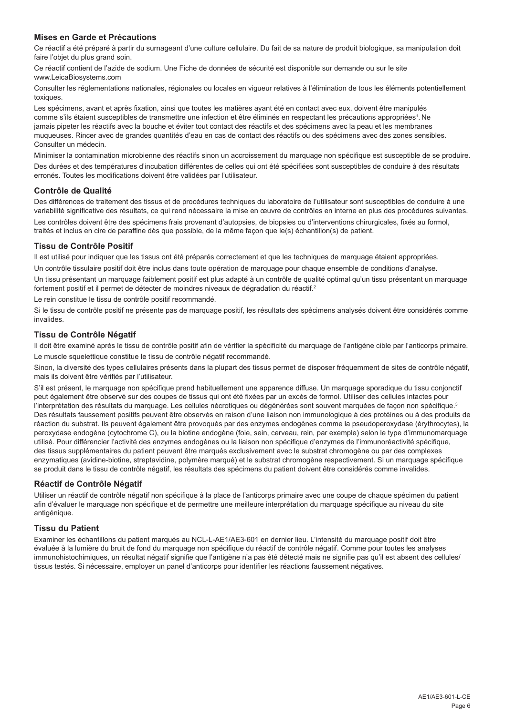## **Mises en Garde et Précautions**

Ce réactif a été préparé à partir du surnageant d'une culture cellulaire. Du fait de sa nature de produit biologique, sa manipulation doit faire l'objet du plus grand soin.

Ce réactif contient de l'azide de sodium. Une Fiche de données de sécurité est disponible sur demande ou sur le site www.LeicaBiosystems.com

Consulter les réglementations nationales, régionales ou locales en vigueur relatives à l'élimination de tous les éléments potentiellement toxiques.

Les spécimens, avant et après fixation, ainsi que toutes les matières ayant été en contact avec eux, doivent être manipulés comme s'ils étaient susceptibles de transmettre une infection et être éliminés en respectant les précautions appropriées<sup>1</sup>. Ne jamais pipeter les réactifs avec la bouche et éviter tout contact des réactifs et des spécimens avec la peau et les membranes muqueuses. Rincer avec de grandes quantités d'eau en cas de contact des réactifs ou des spécimens avec des zones sensibles. Consulter un médecin.

Minimiser la contamination microbienne des réactifs sinon un accroissement du marquage non spécifique est susceptible de se produire. Des durées et des températures d'incubation différentes de celles qui ont été spécifiées sont susceptibles de conduire à des résultats erronés. Toutes les modifications doivent être validées par l'utilisateur.

## **Contrôle de Qualité**

Des différences de traitement des tissus et de procédures techniques du laboratoire de l'utilisateur sont susceptibles de conduire à une variabilité significative des résultats, ce qui rend nécessaire la mise en œuvre de contrôles en interne en plus des procédures suivantes. Les contrôles doivent être des spécimens frais provenant d'autopsies, de biopsies ou d'interventions chirurgicales, fixés au formol, traités et inclus en cire de paraffine dès que possible, de la même façon que le(s) échantillon(s) de patient.

## **Tissu de Contrôle Positif**

Il est utilisé pour indiquer que les tissus ont été préparés correctement et que les techniques de marquage étaient appropriées.

Un contrôle tissulaire positif doit être inclus dans toute opération de marquage pour chaque ensemble de conditions d'analyse. Un tissu présentant un marquage faiblement positif est plus adapté à un contrôle de qualité optimal qu'un tissu présentant un marquage fortement positif et il permet de détecter de moindres niveaux de dégradation du réactif.<sup>2</sup>

Le rein constitue le tissu de contrôle positif recommandé.

Si le tissu de contrôle positif ne présente pas de marquage positif, les résultats des spécimens analysés doivent être considérés comme invalides.

## **Tissu de Contrôle Négatif**

Il doit être examiné après le tissu de contrôle positif afin de vérifier la spécificité du marquage de l'antigène cible par l'anticorps primaire. Le muscle squelettique constitue le tissu de contrôle négatif recommandé.

Sinon, la diversité des types cellulaires présents dans la plupart des tissus permet de disposer fréquemment de sites de contrôle négatif, mais ils doivent être vérifiés par l'utilisateur.

S'il est présent, le marquage non spécifique prend habituellement une apparence diffuse. Un marquage sporadique du tissu conjonctif peut également être observé sur des coupes de tissus qui ont été fixées par un excès de formol. Utiliser des cellules intactes pour l'interprétation des résultats du marquage. Les cellules nécrotiques ou dégénérées sont souvent marquées de façon non spécifique.<sup>3</sup> Des résultats faussement positifs peuvent être observés en raison d'une liaison non immunologique à des protéines ou à des produits de réaction du substrat. Ils peuvent également être provoqués par des enzymes endogènes comme la pseudoperoxydase (érythrocytes), la peroxydase endogène (cytochrome C), ou la biotine endogène (foie, sein, cerveau, rein, par exemple) selon le type d'immunomarquage utilisé. Pour différencier l'activité des enzymes endogènes ou la liaison non spécifique d'enzymes de l'immunoréactivité spécifique, des tissus supplémentaires du patient peuvent être marqués exclusivement avec le substrat chromogène ou par des complexes enzymatiques (avidine-biotine, streptavidine, polymère marqué) et le substrat chromogène respectivement. Si un marquage spécifique se produit dans le tissu de contrôle négatif, les résultats des spécimens du patient doivent être considérés comme invalides.

## **Réactif de Contrôle Négatif**

Utiliser un réactif de contrôle négatif non spécifique à la place de l'anticorps primaire avec une coupe de chaque spécimen du patient afin d'évaluer le marquage non spécifique et de permettre une meilleure interprétation du marquage spécifique au niveau du site antigénique.

## **Tissu du Patient**

Examiner les échantillons du patient marqués au NCL-L-AE1/AE3-601 en dernier lieu. L'intensité du marquage positif doit être évaluée à la lumière du bruit de fond du marquage non spécifique du réactif de contrôle négatif. Comme pour toutes les analyses immunohistochimiques, un résultat négatif signifie que l'antigène n'a pas été détecté mais ne signifie pas qu'il est absent des cellules/ tissus testés. Si nécessaire, employer un panel d'anticorps pour identifier les réactions faussement négatives.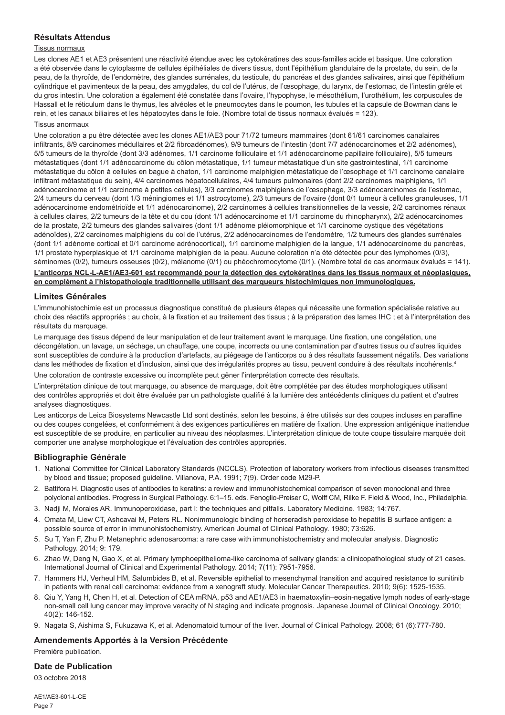## **Résultats Attendus**

#### Tissus normaux

Les clones AE1 et AE3 présentent une réactivité étendue avec les cytokératines des sous-familles acide et basique. Une coloration a été observée dans le cytoplasme de cellules épithéliales de divers tissus, dont l'épithélium glandulaire de la prostate, du sein, de la peau, de la thyroïde, de l'endomètre, des glandes surrénales, du testicule, du pancréas et des glandes salivaires, ainsi que l'épithélium cylindrique et pavimenteux de la peau, des amygdales, du col de l'utérus, de l'œsophage, du larynx, de l'estomac, de l'intestin grêle et du gros intestin. Une coloration a également été constatée dans l'ovaire, l'hypophyse, le mésothélium, l'urothélium, les corpuscules de Hassall et le réticulum dans le thymus, les alvéoles et le pneumocytes dans le poumon, les tubules et la capsule de Bowman dans le rein, et les canaux biliaires et les hépatocytes dans le foie. (Nombre total de tissus normaux évalués = 123).

#### Tissus anormaux

Une coloration a pu être détectée avec les clones AE1/AE3 pour 71/72 tumeurs mammaires (dont 61/61 carcinomes canalaires infiltrants, 8/9 carcinomes médullaires et 2/2 fibroadénomes), 9/9 tumeurs de l'intestin (dont 7/7 adénocarcinomes et 2/2 adénomes), 5/5 tumeurs de la thyroïde (dont 3/3 adénomes, 1/1 carcinome folliculaire et 1/1 adénocarcinome papillaire folliculaire), 5/5 tumeurs métastatiques (dont 1/1 adénocarcinome du côlon métastatique, 1/1 tumeur métastatique d'un site gastrointestinal, 1/1 carcinome métastatique du côlon à cellules en bague à chaton, 1/1 carcinome malphigien métastatique de l'œsophage et 1/1 carcinome canalaire infiltrant métastatique du sein), 4/4 carcinomes hépatocellulaires, 4/4 tumeurs pulmonaires (dont 2/2 carcinomes malphigiens, 1/1 adénocarcinome et 1/1 carcinome à petites cellules), 3/3 carcinomes malphigiens de l'œsophage, 3/3 adénocarcinomes de l'estomac, 2/4 tumeurs du cerveau (dont 1/3 méningiomes et 1/1 astrocytome), 2/3 tumeurs de l'ovaire (dont 0/1 tumeur à cellules granuleuses, 1/1 adénocarcinome endométrioïde et 1/1 adénocarcinome), 2/2 carcinomes à cellules transitionnelles de la vessie, 2/2 carcinomes rénaux à cellules claires, 2/2 tumeurs de la tête et du cou (dont 1/1 adénocarcinome et 1/1 carcinome du rhinopharynx), 2/2 adénocarcinomes de la prostate, 2/2 tumeurs des glandes salivaires (dont 1/1 adénome pléiomorphique et 1/1 carcinome cystique des végétations adénoïdes), 2/2 carcinomes malphigiens du col de l'utérus, 2/2 adénocarcinomes de l'endomètre, 1/2 tumeurs des glandes surrénales (dont 1/1 adénome cortical et 0/1 carcinome adrénocortical), 1/1 carcinome malphigien de la langue, 1/1 adénocarcinome du pancréas, 1/1 prostate hyperplasique et 1/1 carcinome malphigien de la peau. Aucune coloration n'a été détectée pour des lymphomes (0/3), séminomes (0/2), tumeurs osseuses (0/2), mélanome (0/1) ou phéochromocytome (0/1). (Nombre total de cas anormaux évalués = 141).

#### **L'anticorps NCL-L-AE1/AE3-601 est recommandé pour la détection des cytokératines dans les tissus normaux et néoplasiques, en complément à l'histopathologie traditionnelle utilisant des marqueurs histochimiques non immunologiques.**

#### **Limites Générales**

L'immunohistochimie est un processus diagnostique constitué de plusieurs étapes qui nécessite une formation spécialisée relative au choix des réactifs appropriés ; au choix, à la fixation et au traitement des tissus ; à la préparation des lames IHC ; et à l'interprétation des résultats du marquage.

Le marquage des tissus dépend de leur manipulation et de leur traitement avant le marquage. Une fixation, une congélation, une décongélation, un lavage, un séchage, un chauffage, une coupe, incorrects ou une contamination par d'autres tissus ou d'autres liquides sont susceptibles de conduire à la production d'artefacts, au piégeage de l'anticorps ou à des résultats faussement négatifs. Des variations dans les méthodes de fixation et d'inclusion, ainsi que des irrégularités propres au tissu, peuvent conduire à des résultats incohérents.<sup>4</sup> Une coloration de contraste excessive ou incomplète peut gêner l'interprétation correcte des résultats.

L'interprétation clinique de tout marquage, ou absence de marquage, doit être complétée par des études morphologiques utilisant des contrôles appropriés et doit être évaluée par un pathologiste qualifié à la lumière des antécédents cliniques du patient et d'autres analyses diagnostiques.

Les anticorps de Leica Biosystems Newcastle Ltd sont destinés, selon les besoins, à être utilisés sur des coupes incluses en paraffine ou des coupes congelées, et conformément à des exigences particulières en matière de fixation. Une expression antigénique inattendue est susceptible de se produire, en particulier au niveau des néoplasmes. L'interprétation clinique de toute coupe tissulaire marquée doit comporter une analyse morphologique et l'évaluation des contrôles appropriés.

#### **Bibliographie Générale**

- 1. National Committee for Clinical Laboratory Standards (NCCLS). Protection of laboratory workers from infectious diseases transmitted by blood and tissue; proposed guideline. Villanova, P.A. 1991; 7(9). Order code M29-P.
- 2. Battifora H. Diagnostic uses of antibodies to keratins: a review and immunohistochemical comparison of seven monoclonal and three polyclonal antibodies. Progress in Surgical Pathology. 6:1–15. eds. Fenoglio-Preiser C, Wolff CM, Rilke F. Field & Wood, Inc., Philadelphia.
- 3. Nadji M, Morales AR. Immunoperoxidase, part I: the techniques and pitfalls. Laboratory Medicine. 1983; 14:767.
- 4. Omata M, Liew CT, Ashcavai M, Peters RL. Nonimmunologic binding of horseradish peroxidase to hepatitis B surface antigen: a possible source of error in immunohistochemistry. American Journal of Clinical Pathology. 1980; 73:626.
- 5. Su T, Yan F, Zhu P. Metanephric adenosarcoma: a rare case with immunohistochemistry and molecular analysis. Diagnostic Pathology. 2014; 9: 179.
- 6. Zhao W, Deng N, Gao X, et al. Primary lymphoepithelioma-like carcinoma of salivary glands: a clinicopathological study of 21 cases. International Journal of Clinical and Experimental Pathology. 2014; 7(11): 7951-7956.
- 7. Hammers HJ, Verheul HM, Salumbides B, et al. Reversible epithelial to mesenchymal transition and acquired resistance to sunitinib in patients with renal cell carcinoma: evidence from a xenograft study. Molecular Cancer Therapeutics. 2010; 9(6): 1525-1535.
- 8. Qiu Y, Yang H, Chen H, et al. Detection of CEA mRNA, p53 and AE1/AE3 in haematoxylin–eosin-negative lymph nodes of early-stage non-small cell lung cancer may improve veracity of N staging and indicate prognosis. Japanese Journal of Clinical Oncology. 2010; 40(2): 146-152.
- 9. Nagata S, Aishima S, Fukuzawa K, et al. Adenomatoid tumour of the liver. Journal of Clinical Pathology. 2008; 61 (6):777-780.

## **Amendements Apportés à la Version Précédente**

Première publication.

#### **Date de Publication**

03 octobre 2018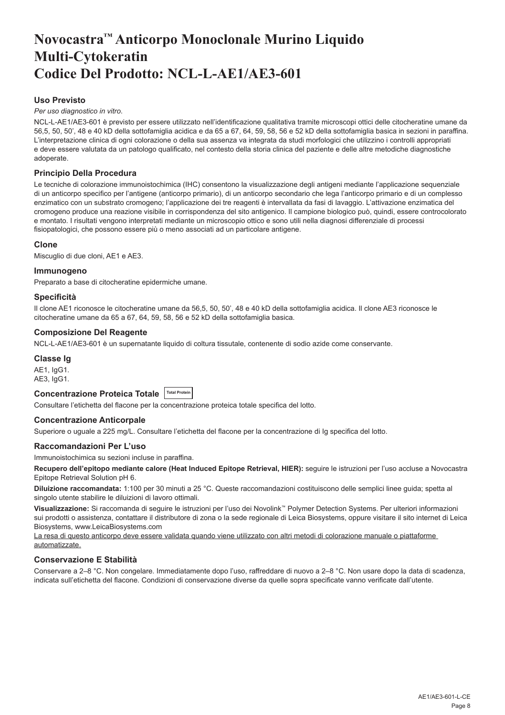# <span id="page-8-0"></span>**Novocastra™ Anticorpo Monoclonale Murino Liquido Multi-Cytokeratin Codice Del Prodotto: NCL-L-AE1/AE3-601**

## **Uso Previsto**

#### *Per uso diagnostico in vitro*.

NCL-L-AE1/AE3-601 è previsto per essere utilizzato nell'identificazione qualitativa tramite microscopi ottici delle citocheratine umane da 56,5, 50, 50', 48 e 40 kD della sottofamiglia acidica e da 65 a 67, 64, 59, 58, 56 e 52 kD della sottofamiglia basica in sezioni in paraffina. L'interpretazione clinica di ogni colorazione o della sua assenza va integrata da studi morfologici che utilizzino i controlli appropriati e deve essere valutata da un patologo qualificato, nel contesto della storia clinica del paziente e delle altre metodiche diagnostiche adoperate.

## **Principio Della Procedura**

Le tecniche di colorazione immunoistochimica (IHC) consentono la visualizzazione degli antigeni mediante l'applicazione sequenziale di un anticorpo specifico per l'antigene (anticorpo primario), di un anticorpo secondario che lega l'anticorpo primario e di un complesso enzimatico con un substrato cromogeno; l'applicazione dei tre reagenti è intervallata da fasi di lavaggio. L'attivazione enzimatica del cromogeno produce una reazione visibile in corrispondenza del sito antigenico. Il campione biologico può, quindi, essere controcolorato e montato. I risultati vengono interpretati mediante un microscopio ottico e sono utili nella diagnosi differenziale di processi fisiopatologici, che possono essere più o meno associati ad un particolare antigene.

#### **Clone**

Miscuglio di due cloni, AE1 e AE3.

#### **Immunogeno**

Preparato a base di citocheratine epidermiche umane.

#### **Specificità**

Il clone AE1 riconosce le citocheratine umane da 56,5, 50, 50', 48 e 40 kD della sottofamiglia acidica. Il clone AE3 riconosce le citocheratine umane da 65 a 67, 64, 59, 58, 56 e 52 kD della sottofamiglia basica.

#### **Composizione Del Reagente**

NCL-L-AE1/AE3-601 è un supernatante liquido di coltura tissutale, contenente di sodio azide come conservante.

#### **Classe Ig**

AE1, IgG1. AE3, IgG1.

## **Concentrazione Proteica Totale Total Protein**

Consultare l'etichetta del flacone per la concentrazione proteica totale specifica del lotto.

#### **Concentrazione Anticorpale**

Superiore o uguale a 225 mg/L. Consultare l'etichetta del flacone per la concentrazione di Ig specifica del lotto.

## **Raccomandazioni Per L'uso**

#### Immunoistochimica su sezioni incluse in paraffina.

**Recupero dell'epitopo mediante calore (Heat Induced Epitope Retrieval, HIER):** seguire le istruzioni per l'uso accluse a Novocastra Epitope Retrieval Solution pH 6.

**Diluizione raccomandata:** 1:100 per 30 minuti a 25 °C. Queste raccomandazioni costituiscono delle semplici linee guida; spetta al singolo utente stabilire le diluizioni di lavoro ottimali.

**Visualizzazione:** Si raccomanda di seguire le istruzioni per l'uso dei Novolink™ Polymer Detection Systems. Per ulteriori informazioni sui prodotti o assistenza, contattare il distributore di zona o la sede regionale di Leica Biosystems, oppure visitare il sito internet di Leica Biosystems, www.LeicaBiosystems.com

La resa di questo anticorpo deve essere validata quando viene utilizzato con altri metodi di colorazione manuale o piattaforme automatizzate.

## **Conservazione E Stabilità**

Conservare a 2–8 °C. Non congelare. Immediatamente dopo l'uso, raffreddare di nuovo a 2–8 °C. Non usare dopo la data di scadenza, indicata sull'etichetta del flacone. Condizioni di conservazione diverse da quelle sopra specificate vanno verificate dall'utente.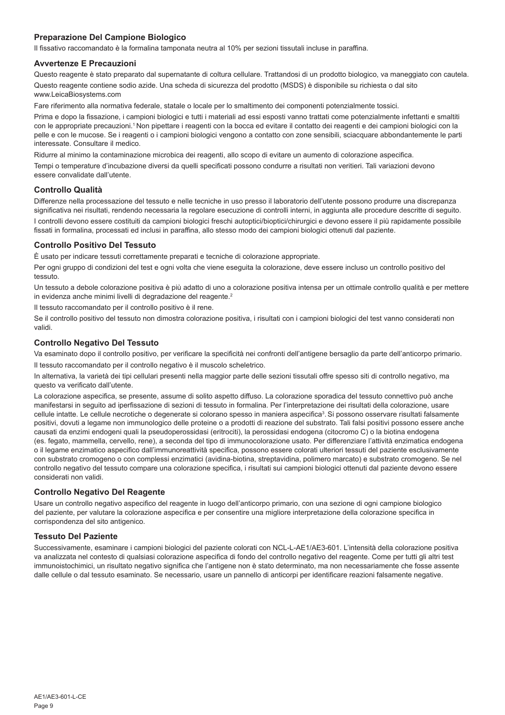## **Preparazione Del Campione Biologico**

Il fissativo raccomandato è la formalina tamponata neutra al 10% per sezioni tissutali incluse in paraffina.

## **Avvertenze E Precauzioni**

Questo reagente è stato preparato dal supernatante di coltura cellulare. Trattandosi di un prodotto biologico, va maneggiato con cautela. Questo reagente contiene sodio azide. Una scheda di sicurezza del prodotto (MSDS) è disponibile su richiesta o dal sito www.LeicaBiosystems.com

Fare riferimento alla normativa federale, statale o locale per lo smaltimento dei componenti potenzialmente tossici.

Prima e dopo la fissazione, i campioni biologici e tutti i materiali ad essi esposti vanno trattati come potenzialmente infettanti e smaltiti con le appropriate precauzioni.<sup>1</sup>Non pipettare i reagenti con la bocca ed evitare il contatto dei reagenti e dei campioni biologici con la pelle e con le mucose. Se i reagenti o i campioni biologici vengono a contatto con zone sensibili, sciacquare abbondantemente le parti interessate. Consultare il medico.

Ridurre al minimo la contaminazione microbica dei reagenti, allo scopo di evitare un aumento di colorazione aspecifica.

Tempi o temperature d'incubazione diversi da quelli specificati possono condurre a risultati non veritieri. Tali variazioni devono essere convalidate dall'utente.

#### **Controllo Qualità**

Differenze nella processazione del tessuto e nelle tecniche in uso presso il laboratorio dell'utente possono produrre una discrepanza significativa nei risultati, rendendo necessaria la regolare esecuzione di controlli interni, in aggiunta alle procedure descritte di seguito. I controlli devono essere costituiti da campioni biologici freschi autoptici/bioptici/chirurgici e devono essere il più rapidamente possibile fissati in formalina, processati ed inclusi in paraffina, allo stesso modo dei campioni biologici ottenuti dal paziente.

## **Controllo Positivo Del Tessuto**

È usato per indicare tessuti correttamente preparati e tecniche di colorazione appropriate.

Per ogni gruppo di condizioni del test e ogni volta che viene eseguita la colorazione, deve essere incluso un controllo positivo del tessuto.

Un tessuto a debole colorazione positiva è più adatto di uno a colorazione positiva intensa per un ottimale controllo qualità e per mettere in evidenza anche minimi livelli di degradazione del reagente.<sup>2</sup>

Il tessuto raccomandato per il controllo positivo è il rene.

Se il controllo positivo del tessuto non dimostra colorazione positiva, i risultati con i campioni biologici del test vanno considerati non validi.

#### **Controllo Negativo Del Tessuto**

Va esaminato dopo il controllo positivo, per verificare la specificità nei confronti dell'antigene bersaglio da parte dell'anticorpo primario. Il tessuto raccomandato per il controllo negativo è il muscolo scheletrico.

In alternativa, la varietà dei tipi cellulari presenti nella maggior parte delle sezioni tissutali offre spesso siti di controllo negativo, ma questo va verificato dall'utente.

La colorazione aspecifica, se presente, assume di solito aspetto diffuso. La colorazione sporadica del tessuto connettivo può anche manifestarsi in seguito ad iperfissazione di sezioni di tessuto in formalina. Per l'interpretazione dei risultati della colorazione, usare cellule intatte. Le cellule necrotiche o degenerate si colorano spesso in maniera aspecifica<sup>3</sup>. Si possono osservare risultati falsamente positivi, dovuti a legame non immunologico delle proteine o a prodotti di reazione del substrato. Tali falsi positivi possono essere anche causati da enzimi endogeni quali la pseudoperossidasi (eritrociti), la perossidasi endogena (citocromo C) o la biotina endogena (es. fegato, mammella, cervello, rene), a seconda del tipo di immunocolorazione usato. Per differenziare l'attività enzimatica endogena o il legame enzimatico aspecifico dall'immunoreattività specifica, possono essere colorati ulteriori tessuti del paziente esclusivamente con substrato cromogeno o con complessi enzimatici (avidina-biotina, streptavidina, polimero marcato) e substrato cromogeno. Se nel controllo negativo del tessuto compare una colorazione specifica, i risultati sui campioni biologici ottenuti dal paziente devono essere considerati non validi.

#### **Controllo Negativo Del Reagente**

Usare un controllo negativo aspecifico del reagente in luogo dell'anticorpo primario, con una sezione di ogni campione biologico del paziente, per valutare la colorazione aspecifica e per consentire una migliore interpretazione della colorazione specifica in corrispondenza del sito antigenico.

## **Tessuto Del Paziente**

Successivamente, esaminare i campioni biologici del paziente colorati con NCL-L-AE1/AE3-601. L'intensità della colorazione positiva va analizzata nel contesto di qualsiasi colorazione aspecifica di fondo del controllo negativo del reagente. Come per tutti gli altri test immunoistochimici, un risultato negativo significa che l'antigene non è stato determinato, ma non necessariamente che fosse assente dalle cellule o dal tessuto esaminato. Se necessario, usare un pannello di anticorpi per identificare reazioni falsamente negative.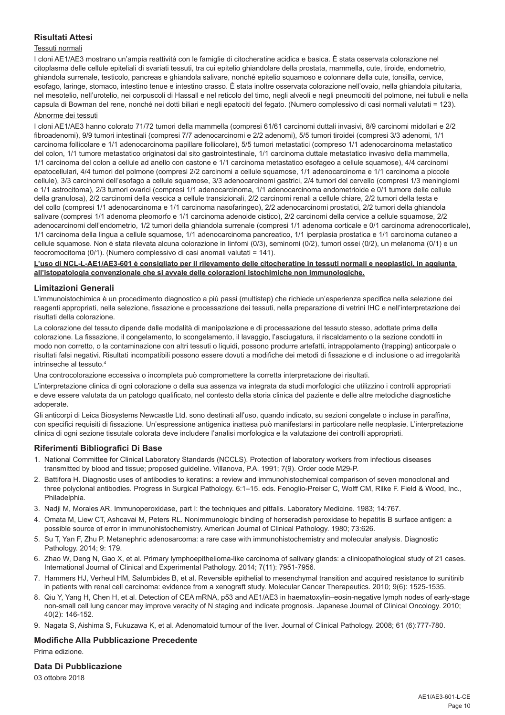## **Risultati Attesi**

### Tessuti normali

I cloni AE1/AE3 mostrano un'ampia reattività con le famiglie di citocheratine acidica e basica. È stata osservata colorazione nel citoplasma delle cellule epiteliali di svariati tessuti, tra cui epitelio ghiandolare della prostata, mammella, cute, tiroide, endometrio, ghiandola surrenale, testicolo, pancreas e ghiandola salivare, nonché epitelio squamoso e colonnare della cute, tonsilla, cervice, esofago, laringe, stomaco, intestino tenue e intestino crasso. È stata inoltre osservata colorazione nell'ovaio, nella ghiandola pituitaria, nel mesotelio, nell'urotelio, nei corpuscoli di Hassall e nel reticolo del timo, negli alveoli e negli pneumociti del polmone, nei tubuli e nella capsula di Bowman del rene, nonché nei dotti biliari e negli epatociti del fegato. (Numero complessivo di casi normali valutati = 123).

#### Abnorme dei tessuti

I cloni AE1/AE3 hanno colorato 71/72 tumori della mammella (compresi 61/61 carcinomi duttali invasivi, 8/9 carcinomi midollari e 2/2 fibroadenomi), 9/9 tumori intestinali (compresi 7/7 adenocarcinomi e 2/2 adenomi), 5/5 tumori tiroidei (compresi 3/3 adenomi, 1/1 carcinoma follicolare e 1/1 adenocarcinoma papillare follicolare), 5/5 tumori metastatici (compreso 1/1 adenocarcinoma metastatico del colon, 1/1 tumore metastatico originatosi dal sito gastrointestinale, 1/1 carcinoma duttale metastatico invasivo della mammella, 1/1 carcinoma del colon a cellule ad anello con castone e 1/1 carcinoma metastatico esofageo a cellule squamose), 4/4 carcinomi epatocellulari, 4/4 tumori del polmone (compresi 2/2 carcinomi a cellule squamose, 1/1 adenocarcinoma e 1/1 carcinoma a piccole cellule), 3/3 carcinomi dell'esofago a cellule squamose, 3/3 adenocarcinomi gastrici, 2/4 tumori del cervello (compresi 1/3 meningiomi e 1/1 astrocitoma), 2/3 tumori ovarici (compresi 1/1 adenocarcinoma, 1/1 adenocarcinoma endometrioide e 0/1 tumore delle cellule della granulosa), 2/2 carcinomi della vescica a cellule transizionali, 2/2 carcinomi renali a cellule chiare, 2/2 tumori della testa e del collo (compresi 1/1 adenocarcinoma e 1/1 carcinoma nasofaringeo), 2/2 adenocarcinomi prostatici, 2/2 tumori della ghiandola salivare (compresi 1/1 adenoma pleomorfo e 1/1 carcinoma adenoide cistico), 2/2 carcinomi della cervice a cellule squamose, 2/2 adenocarcinomi dell'endometrio, 1/2 tumori della ghiandola surrenale (compresi 1/1 adenoma corticale e 0/1 carcinoma adrenocorticale), 1/1 carcinoma della lingua a cellule squamose, 1/1 adenocarcinoma pancreatico, 1/1 iperplasia prostatica e 1/1 carcinoma cutaneo a cellule squamose. Non è stata rilevata alcuna colorazione in linfomi (0/3), seminomi (0/2), tumori ossei (0/2), un melanoma (0/1) e un feocromocitoma (0/1). (Numero complessivo di casi anomali valutati = 141).

**L'uso di NCL-L-AE1/AE3-601 è consigliato per il rilevamento delle citocheratine in tessuti normali e neoplastici, in aggiunta all'istopatologia convenzionale che si avvale delle colorazioni istochimiche non immunologiche.**

## **Limitazioni Generali**

L'immunoistochimica è un procedimento diagnostico a più passi (multistep) che richiede un'esperienza specifica nella selezione dei reagenti appropriati, nella selezione, fissazione e processazione dei tessuti, nella preparazione di vetrini IHC e nell'interpretazione dei risultati della colorazione.

La colorazione del tessuto dipende dalle modalità di manipolazione e di processazione del tessuto stesso, adottate prima della colorazione. La fissazione, il congelamento, lo scongelamento, il lavaggio, l'asciugatura, il riscaldamento o la sezione condotti in modo non corretto, o la contaminazione con altri tessuti o liquidi, possono produrre artefatti, intrappolamento (trapping) anticorpale o risultati falsi negativi. Risultati incompatibili possono essere dovuti a modifiche dei metodi di fissazione e di inclusione o ad irregolarità intrinseche al tessuto.4

Una controcolorazione eccessiva o incompleta può compromettere la corretta interpretazione dei risultati.

L'interpretazione clinica di ogni colorazione o della sua assenza va integrata da studi morfologici che utilizzino i controlli appropriati e deve essere valutata da un patologo qualificato, nel contesto della storia clinica del paziente e delle altre metodiche diagnostiche adoperate.

Gli anticorpi di Leica Biosystems Newcastle Ltd. sono destinati all'uso, quando indicato, su sezioni congelate o incluse in paraffina, con specifici requisiti di fissazione. Un'espressione antigenica inattesa può manifestarsi in particolare nelle neoplasie. L'interpretazione clinica di ogni sezione tissutale colorata deve includere l'analisi morfologica e la valutazione dei controlli appropriati.

## **Riferimenti Bibliografici Di Base**

- 1. National Committee for Clinical Laboratory Standards (NCCLS). Protection of laboratory workers from infectious diseases transmitted by blood and tissue; proposed guideline. Villanova, P.A. 1991; 7(9). Order code M29-P.
- 2. Battifora H. Diagnostic uses of antibodies to keratins: a review and immunohistochemical comparison of seven monoclonal and three polyclonal antibodies. Progress in Surgical Pathology. 6:1–15. eds. Fenoglio-Preiser C, Wolff CM, Rilke F. Field & Wood, Inc., Philadelphia
- 3. Nadji M, Morales AR. Immunoperoxidase, part I: the techniques and pitfalls. Laboratory Medicine. 1983; 14:767.
- 4. Omata M, Liew CT, Ashcavai M, Peters RL. Nonimmunologic binding of horseradish peroxidase to hepatitis B surface antigen: a possible source of error in immunohistochemistry. American Journal of Clinical Pathology. 1980; 73:626.
- 5. Su T, Yan F, Zhu P. Metanephric adenosarcoma: a rare case with immunohistochemistry and molecular analysis. Diagnostic Pathology. 2014; 9: 179.
- 6. Zhao W, Deng N, Gao X, et al. Primary lymphoepithelioma-like carcinoma of salivary glands: a clinicopathological study of 21 cases. International Journal of Clinical and Experimental Pathology. 2014; 7(11): 7951-7956.
- 7. Hammers HJ, Verheul HM, Salumbides B, et al. Reversible epithelial to mesenchymal transition and acquired resistance to sunitinib in patients with renal cell carcinoma: evidence from a xenograft study. Molecular Cancer Therapeutics. 2010; 9(6): 1525-1535.
- 8. Qiu Y, Yang H, Chen H, et al. Detection of CEA mRNA, p53 and AE1/AE3 in haematoxylin–eosin-negative lymph nodes of early-stage non-small cell lung cancer may improve veracity of N staging and indicate prognosis. Japanese Journal of Clinical Oncology. 2010; 40(2): 146-152.
- 9. Nagata S, Aishima S, Fukuzawa K, et al. Adenomatoid tumour of the liver. Journal of Clinical Pathology. 2008; 61 (6):777-780.

## **Modifiche Alla Pubblicazione Precedente**

Prima edizione.

## **Data Di Pubblicazione**

03 ottobre 2018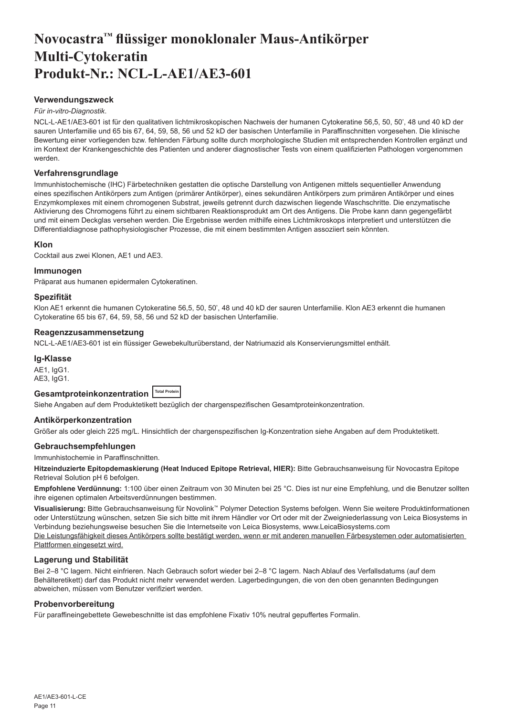# <span id="page-11-0"></span>**Novocastra™ flüssiger monoklonaler Maus-Antikörper Multi-Cytokeratin Produkt-Nr.: NCL-L-AE1/AE3-601**

## **Verwendungszweck**

#### *Für in-vitro-Diagnostik*.

NCL-L-AE1/AE3-601 ist für den qualitativen lichtmikroskopischen Nachweis der humanen Cytokeratine 56,5, 50, 50', 48 und 40 kD der sauren Unterfamilie und 65 bis 67, 64, 59, 58, 56 und 52 kD der basischen Unterfamilie in Paraffinschnitten vorgesehen. Die klinische Bewertung einer vorliegenden bzw. fehlenden Färbung sollte durch morphologische Studien mit entsprechenden Kontrollen ergänzt und im Kontext der Krankengeschichte des Patienten und anderer diagnostischer Tests von einem qualifizierten Pathologen vorgenommen werden.

## **Verfahrensgrundlage**

Immunhistochemische (IHC) Färbetechniken gestatten die optische Darstellung von Antigenen mittels sequentieller Anwendung eines spezifischen Antikörpers zum Antigen (primärer Antikörper), eines sekundären Antikörpers zum primären Antikörper und eines Enzymkomplexes mit einem chromogenen Substrat, jeweils getrennt durch dazwischen liegende Waschschritte. Die enzymatische Aktivierung des Chromogens führt zu einem sichtbaren Reaktionsprodukt am Ort des Antigens. Die Probe kann dann gegengefärbt und mit einem Deckglas versehen werden. Die Ergebnisse werden mithilfe eines Lichtmikroskops interpretiert und unterstützen die Differentialdiagnose pathophysiologischer Prozesse, die mit einem bestimmten Antigen assoziiert sein könnten.

#### **Klon**

Cocktail aus zwei Klonen, AE1 und AE3.

#### **Immunogen**

Präparat aus humanen epidermalen Cytokeratinen.

#### **Spezifität**

Klon AE1 erkennt die humanen Cytokeratine 56,5, 50, 50', 48 und 40 kD der sauren Unterfamilie. Klon AE3 erkennt die humanen Cytokeratine 65 bis 67, 64, 59, 58, 56 und 52 kD der basischen Unterfamilie.

## **Reagenzzusammensetzung**

NCL-L-AE1/AE3-601 ist ein flüssiger Gewebekulturüberstand, der Natriumazid als Konservierungsmittel enthält.

#### **Ig-Klasse**

AE1, IgG1. AE3, IgG1.

## **Gesamtproteinkonzentration Total Protein**

Siehe Angaben auf dem Produktetikett bezüglich der chargenspezifischen Gesamtproteinkonzentration.

## **Antikörperkonzentration**

Größer als oder gleich 225 mg/L. Hinsichtlich der chargenspezifischen Ig-Konzentration siehe Angaben auf dem Produktetikett.

#### **Gebrauchsempfehlungen**

Immunhistochemie in Paraffinschnitten.

**Hitzeinduzierte Epitopdemaskierung (Heat Induced Epitope Retrieval, HIER):** Bitte Gebrauchsanweisung für Novocastra Epitope Retrieval Solution pH 6 befolgen.

**Empfohlene Verdünnung:** 1:100 über einen Zeitraum von 30 Minuten bei 25 °C. Dies ist nur eine Empfehlung, und die Benutzer sollten ihre eigenen optimalen Arbeitsverdünnungen bestimmen.

**Visualisierung:** Bitte Gebrauchsanweisung für Novolink™ Polymer Detection Systems befolgen. Wenn Sie weitere Produktinformationen oder Unterstützung wünschen, setzen Sie sich bitte mit ihrem Händler vor Ort oder mit der Zweigniederlassung von Leica Biosystems in Verbindung beziehungsweise besuchen Sie die Internetseite von Leica Biosystems, www.LeicaBiosystems.com Die Leistungsfähigkeit dieses Antikörpers sollte bestätigt werden, wenn er mit anderen manuellen Färbesystemen oder automatisierten Plattformen eingesetzt wird.

## **Lagerung und Stabilität**

Bei 2–8 °C lagern. Nicht einfrieren. Nach Gebrauch sofort wieder bei 2–8 °C lagern. Nach Ablauf des Verfallsdatums (auf dem Behälteretikett) darf das Produkt nicht mehr verwendet werden. Lagerbedingungen, die von den oben genannten Bedingungen abweichen, müssen vom Benutzer verifiziert werden.

#### **Probenvorbereitung**

Für paraffineingebettete Gewebeschnitte ist das empfohlene Fixativ 10% neutral gepuffertes Formalin.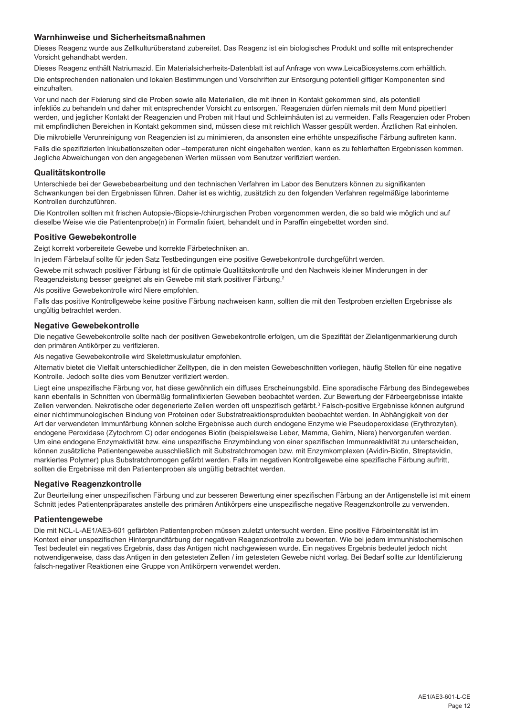## **Warnhinweise und Sicherheitsmaßnahmen**

Dieses Reagenz wurde aus Zellkulturüberstand zubereitet. Das Reagenz ist ein biologisches Produkt und sollte mit entsprechender Vorsicht gehandhabt werden.

Dieses Reagenz enthält Natriumazid. Ein Materialsicherheits-Datenblatt ist auf Anfrage von www.LeicaBiosystems.com erhältlich.

Die entsprechenden nationalen und lokalen Bestimmungen und Vorschriften zur Entsorgung potentiell giftiger Komponenten sind einzuhalten.

Vor und nach der Fixierung sind die Proben sowie alle Materialien, die mit ihnen in Kontakt gekommen sind, als potentiell infektiös zu behandeln und daher mit entsprechender Vorsicht zu entsorgen.<sup>1</sup> Reagenzien dürfen niemals mit dem Mund pipettiert werden, und jeglicher Kontakt der Reagenzien und Proben mit Haut und Schleimhäuten ist zu vermeiden. Falls Reagenzien oder Proben mit empfindlichen Bereichen in Kontakt gekommen sind, müssen diese mit reichlich Wasser gespült werden. Ärztlichen Rat einholen.

Die mikrobielle Verunreinigung von Reagenzien ist zu minimieren, da ansonsten eine erhöhte unspezifische Färbung auftreten kann.

Falls die spezifizierten Inkubationszeiten oder –temperaturen nicht eingehalten werden, kann es zu fehlerhaften Ergebnissen kommen. Jegliche Abweichungen von den angegebenen Werten müssen vom Benutzer verifiziert werden.

## **Qualitätskontrolle**

Unterschiede bei der Gewebebearbeitung und den technischen Verfahren im Labor des Benutzers können zu signifikanten Schwankungen bei den Ergebnissen führen. Daher ist es wichtig, zusätzlich zu den folgenden Verfahren regelmäßige laborinterne Kontrollen durchzuführen.

Die Kontrollen sollten mit frischen Autopsie-/Biopsie-/chirurgischen Proben vorgenommen werden, die so bald wie möglich und auf dieselbe Weise wie die Patientenprobe(n) in Formalin fixiert, behandelt und in Paraffin eingebettet worden sind.

#### **Positive Gewebekontrolle**

Zeigt korrekt vorbereitete Gewebe und korrekte Färbetechniken an.

In jedem Färbelauf sollte für jeden Satz Testbedingungen eine positive Gewebekontrolle durchgeführt werden.

Gewebe mit schwach positiver Färbung ist für die optimale Qualitätskontrolle und den Nachweis kleiner Minderungen in der Reagenzleistung besser geeignet als ein Gewebe mit stark positiver Färbung.<sup>2</sup>

Als positive Gewebekontrolle wird Niere empfohlen.

Falls das positive Kontrollgewebe keine positive Färbung nachweisen kann, sollten die mit den Testproben erzielten Ergebnisse als ungültig betrachtet werden.

#### **Negative Gewebekontrolle**

Die negative Gewebekontrolle sollte nach der positiven Gewebekontrolle erfolgen, um die Spezifität der Zielantigenmarkierung durch den primären Antikörper zu verifizieren.

Als negative Gewebekontrolle wird Skelettmuskulatur empfohlen.

Alternativ bietet die Vielfalt unterschiedlicher Zelltypen, die in den meisten Gewebeschnitten vorliegen, häufig Stellen für eine negative Kontrolle. Jedoch sollte dies vom Benutzer verifiziert werden.

Liegt eine unspezifische Färbung vor, hat diese gewöhnlich ein diffuses Erscheinungsbild. Eine sporadische Färbung des Bindegewebes kann ebenfalls in Schnitten von übermäßig formalinfixierten Geweben beobachtet werden. Zur Bewertung der Färbeergebnisse intakte Zellen verwenden. Nekrotische oder degenerierte Zellen werden oft unspezifisch gefärbt.<sup>3</sup> Falsch-positive Ergebnisse können aufgrund einer nichtimmunologischen Bindung von Proteinen oder Substratreaktionsprodukten beobachtet werden. In Abhängigkeit von der Art der verwendeten Immunfärbung können solche Ergebnisse auch durch endogene Enzyme wie Pseudoperoxidase (Erythrozyten), endogene Peroxidase (Zytochrom C) oder endogenes Biotin (beispielsweise Leber, Mamma, Gehirn, Niere) hervorgerufen werden. Um eine endogene Enzymaktivität bzw. eine unspezifische Enzymbindung von einer spezifischen Immunreaktivität zu unterscheiden, können zusätzliche Patientengewebe ausschließlich mit Substratchromogen bzw. mit Enzymkomplexen (Avidin-Biotin, Streptavidin, markiertes Polymer) plus Substratchromogen gefärbt werden. Falls im negativen Kontrollgewebe eine spezifische Färbung auftritt, sollten die Ergebnisse mit den Patientenproben als ungültig betrachtet werden.

## **Negative Reagenzkontrolle**

Zur Beurteilung einer unspezifischen Färbung und zur besseren Bewertung einer spezifischen Färbung an der Antigenstelle ist mit einem Schnitt jedes Patientenpräparates anstelle des primären Antikörpers eine unspezifische negative Reagenzkontrolle zu verwenden.

#### **Patientengewebe**

Die mit NCL-L-AE1/AE3-601 gefärbten Patientenproben müssen zuletzt untersucht werden. Eine positive Färbeintensität ist im Kontext einer unspezifischen Hintergrundfärbung der negativen Reagenzkontrolle zu bewerten. Wie bei jedem immunhistochemischen Test bedeutet ein negatives Ergebnis, dass das Antigen nicht nachgewiesen wurde. Ein negatives Ergebnis bedeutet jedoch nicht notwendigerweise, dass das Antigen in den getesteten Zellen / im getesteten Gewebe nicht vorlag. Bei Bedarf sollte zur Identifizierung falsch-negativer Reaktionen eine Gruppe von Antikörpern verwendet werden.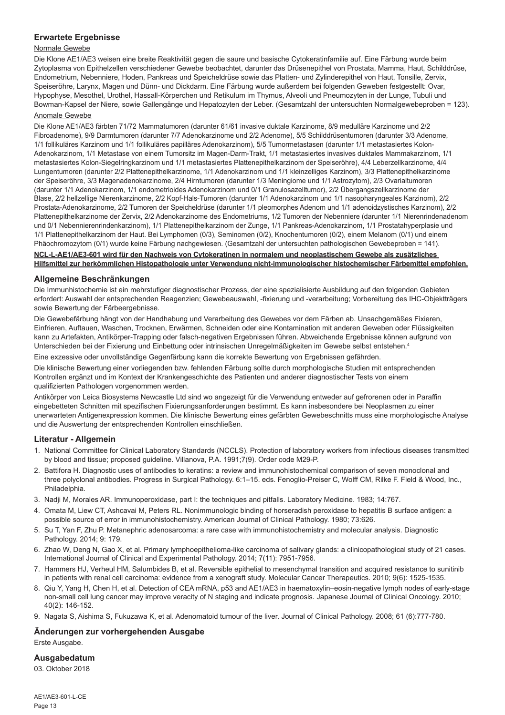## **Erwartete Ergebnisse**

## Normale Gewebe

Die Klone AE1/AE3 weisen eine breite Reaktivität gegen die saure und basische Cytokeratinfamilie auf. Eine Färbung wurde beim Zytoplasma von Epithelzellen verschiedener Gewebe beobachtet, darunter das Drüsenepithel von Prostata, Mamma, Haut, Schilddrüse, Endometrium, Nebenniere, Hoden, Pankreas und Speicheldrüse sowie das Platten- und Zylinderepithel von Haut, Tonsille, Zervix, Speiseröhre, Larynx, Magen und Dünn- und Dickdarm. Eine Färbung wurde außerdem bei folgenden Geweben festgestellt: Ovar, Hypophyse, Mesothel, Urothel, Hassall-Körperchen und Retikulum im Thymus, Alveoli und Pneumozyten in der Lunge, Tubuli und Bowman-Kapsel der Niere, sowie Gallengänge und Hepatozyten der Leber. (Gesamtzahl der untersuchten Normalgewebeproben = 123).

#### Anomale Gewebe

Die Klone AE1/AE3 färbten 71/72 Mammatumoren (darunter 61/61 invasive duktale Karzinome, 8/9 medulläre Karzinome und 2/2 Fibroadenome), 9/9 Darmtumoren (darunter 7/7 Adenokarzinome und 2/2 Adenome), 5/5 Schilddrüsentumoren (darunter 3/3 Adenome, 1/1 follikuläres Karzinom und 1/1 follikuläres papilläres Adenokarzinom), 5/5 Tumormetastasen (darunter 1/1 metastasiertes Kolon-Adenokarzinom, 1/1 Metastase von einem Tumorsitz im Magen-Darm-Trakt, 1/1 metastasiertes invasives duktales Mammakarzinom, 1/1 metastasiertes Kolon-Siegelringkarzinom und 1/1 metastasiertes Plattenepithelkarzinom der Speiseröhre), 4/4 Leberzellkarzinome, 4/4 Lungentumoren (darunter 2/2 Plattenepithelkarzinome, 1/1 Adenokarzinom und 1/1 kleinzelliges Karzinom), 3/3 Plattenepithelkarzinome der Speiseröhre, 3/3 Magenadenokarzinome, 2/4 Hirntumoren (darunter 1/3 Meningiome und 1/1 Astrozytom), 2/3 Ovarialtumoren (darunter 1/1 Adenokarzinom, 1/1 endometrioides Adenokarzinom und 0/1 Granulosazelltumor), 2/2 Übergangszellkarzinome der Blase, 2/2 hellzellige Nierenkarzinome, 2/2 Kopf-Hals-Tumoren (darunter 1/1 Adenokarzinom und 1/1 nasopharyngeales Karzinom), 2/2 Prostata-Adenokarzinome, 2/2 Tumoren der Speicheldrüse (darunter 1/1 pleomorphes Adenom und 1/1 adenoidzystisches Karzinom), 2/2 Plattenepithelkarzinome der Zervix, 2/2 Adenokarzinome des Endometriums, 1/2 Tumoren der Nebenniere (darunter 1/1 Nierenrindenadenom und 0/1 Nebennierenrindenkarzinom), 1/1 Plattenepithelkarzinom der Zunge, 1/1 Pankreas-Adenokarzinom, 1/1 Prostatahyperplasie und 1/1 Plattenepithelkarzinom der Haut. Bei Lymphomen (0/3), Seminomen (0/2), Knochentumoren (0/2), einem Melanom (0/1) und einem Phäochromozytom (0/1) wurde keine Färbung nachgewiesen. (Gesamtzahl der untersuchten pathologischen Gewebeproben = 141).

#### **NCL-L-AE1/AE3-601 wird für den Nachweis von Cytokeratinen in normalem und neoplastischem Gewebe als zusätzliches Hilfsmittel zur herkömmlichen Histopathologie unter Verwendung nicht-immunologischer histochemischer Färbemittel empfohlen.**

#### **Allgemeine Beschränkungen**

Die Immunhistochemie ist ein mehrstufiger diagnostischer Prozess, der eine spezialisierte Ausbildung auf den folgenden Gebieten erfordert: Auswahl der entsprechenden Reagenzien; Gewebeauswahl, -fixierung und -verarbeitung; Vorbereitung des IHC-Objektträgers sowie Bewertung der Färbeergebnisse.

Die Gewebefärbung hängt von der Handhabung und Verarbeitung des Gewebes vor dem Färben ab. Unsachgemäßes Fixieren, Einfrieren, Auftauen, Waschen, Trocknen, Erwärmen, Schneiden oder eine Kontamination mit anderen Geweben oder Flüssigkeiten kann zu Artefakten, Antikörper-Trapping oder falsch-negativen Ergebnissen führen. Abweichende Ergebnisse können aufgrund von Unterschieden bei der Fixierung und Einbettung oder intrinsischen Unregelmäßigkeiten im Gewebe selbst entstehen.4

Eine exzessive oder unvollständige Gegenfärbung kann die korrekte Bewertung von Ergebnissen gefährden.

Die klinische Bewertung einer vorliegenden bzw. fehlenden Färbung sollte durch morphologische Studien mit entsprechenden Kontrollen ergänzt und im Kontext der Krankengeschichte des Patienten und anderer diagnostischer Tests von einem qualifizierten Pathologen vorgenommen werden.

Antikörper von Leica Biosystems Newcastle Ltd sind wo angezeigt für die Verwendung entweder auf gefrorenen oder in Paraffin eingebetteten Schnitten mit spezifischen Fixierungsanforderungen bestimmt. Es kann insbesondere bei Neoplasmen zu einer unerwarteten Antigenexpression kommen. Die klinische Bewertung eines gefärbten Gewebeschnitts muss eine morphologische Analyse und die Auswertung der entsprechenden Kontrollen einschließen.

#### **Literatur - Allgemein**

- 1. National Committee for Clinical Laboratory Standards (NCCLS). Protection of laboratory workers from infectious diseases transmitted by blood and tissue; proposed guideline. Villanova, P.A. 1991;7(9). Order code M29-P.
- 2. Battifora H. Diagnostic uses of antibodies to keratins: a review and immunohistochemical comparison of seven monoclonal and three polyclonal antibodies. Progress in Surgical Pathology. 6:1–15. eds. Fenoglio-Preiser C, Wolff CM, Rilke F. Field & Wood, Inc., Philadelphia.
- 3. Nadji M, Morales AR. Immunoperoxidase, part I: the techniques and pitfalls. Laboratory Medicine. 1983; 14:767.
- 4. Omata M, Liew CT, Ashcavai M, Peters RL. Nonimmunologic binding of horseradish peroxidase to hepatitis B surface antigen: a possible source of error in immunohistochemistry. American Journal of Clinical Pathology. 1980; 73:626.
- 5. Su T, Yan F, Zhu P. Metanephric adenosarcoma: a rare case with immunohistochemistry and molecular analysis. Diagnostic Pathology. 2014; 9: 179.
- 6. Zhao W, Deng N, Gao X, et al. Primary lymphoepithelioma-like carcinoma of salivary glands: a clinicopathological study of 21 cases. International Journal of Clinical and Experimental Pathology. 2014; 7(11): 7951-7956.
- 7. Hammers HJ, Verheul HM, Salumbides B, et al. Reversible epithelial to mesenchymal transition and acquired resistance to sunitinib in patients with renal cell carcinoma: evidence from a xenograft study. Molecular Cancer Therapeutics. 2010; 9(6): 1525-1535.
- 8. Qiu Y, Yang H, Chen H, et al. Detection of CEA mRNA, p53 and AE1/AE3 in haematoxylin–eosin-negative lymph nodes of early-stage non-small cell lung cancer may improve veracity of N staging and indicate prognosis. Japanese Journal of Clinical Oncology. 2010; 40(2): 146-152.
- 9. Nagata S, Aishima S, Fukuzawa K, et al. Adenomatoid tumour of the liver. Journal of Clinical Pathology. 2008; 61 (6):777-780.

#### **Änderungen zur vorhergehenden Ausgabe**

Erste Ausgabe.

## **Ausgabedatum**

03. Oktober 2018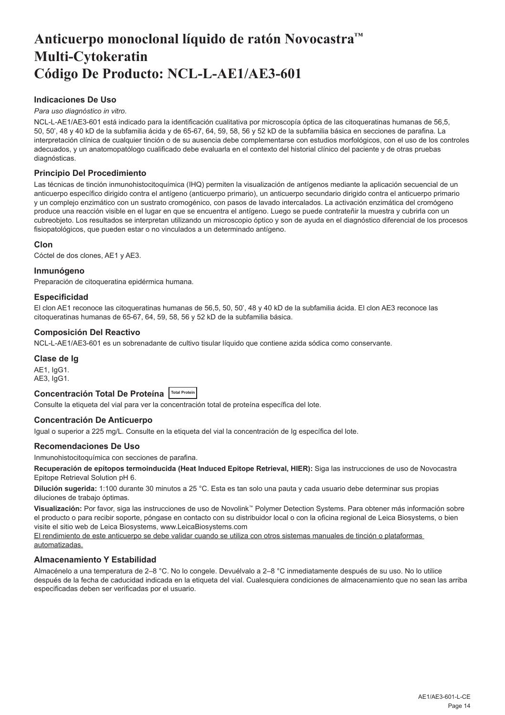# <span id="page-14-0"></span>**Anticuerpo monoclonal líquido de ratón Novocastra™ Multi-Cytokeratin Código De Producto: NCL-L-AE1/AE3-601**

## **Indicaciones De Uso**

#### *Para uso diagnóstico in vitro*.

NCL-L-AE1/AE3-601 está indicado para la identificación cualitativa por microscopía óptica de las citoqueratinas humanas de 56,5, 50, 50', 48 y 40 kD de la subfamilia ácida y de 65-67, 64, 59, 58, 56 y 52 kD de la subfamilia básica en secciones de parafina. La interpretación clínica de cualquier tinción o de su ausencia debe complementarse con estudios morfológicos, con el uso de los controles adecuados, y un anatomopatólogo cualificado debe evaluarla en el contexto del historial clínico del paciente y de otras pruebas diagnósticas.

## **Principio Del Procedimiento**

Las técnicas de tinción inmunohistocitoquímica (IHQ) permiten la visualización de antígenos mediante la aplicación secuencial de un anticuerpo específico dirigido contra el antígeno (anticuerpo primario), un anticuerpo secundario dirigido contra el anticuerpo primario y un complejo enzimático con un sustrato cromogénico, con pasos de lavado intercalados. La activación enzimática del cromógeno produce una reacción visible en el lugar en que se encuentra el antígeno. Luego se puede contrateñir la muestra y cubrirla con un cubreobjeto. Los resultados se interpretan utilizando un microscopio óptico y son de ayuda en el diagnóstico diferencial de los procesos fisiopatológicos, que pueden estar o no vinculados a un determinado antígeno.

#### **Clon**

Cóctel de dos clones, AE1 y AE3.

#### **Inmunógeno**

Preparación de citoqueratina epidérmica humana.

#### **Especificidad**

El clon AE1 reconoce las citoqueratinas humanas de 56,5, 50, 50', 48 y 40 kD de la subfamilia ácida. El clon AE3 reconoce las citoqueratinas humanas de 65-67, 64, 59, 58, 56 y 52 kD de la subfamilia básica.

#### **Composición Del Reactivo**

NCL-L-AE1/AE3-601 es un sobrenadante de cultivo tisular líquido que contiene azida sódica como conservante.

#### **Clase de Ig**

AE1, IgG1. AE3, IgG1.

## **Concentración Total De Proteína Total Protein**

Consulte la etiqueta del vial para ver la concentración total de proteína específica del lote.

#### **Concentración De Anticuerpo**

Igual o superior a 225 mg/L. Consulte en la etiqueta del vial la concentración de Ig específica del lote.

## **Recomendaciones De Uso**

Inmunohistocitoquímica con secciones de parafina.

**Recuperación de epítopos termoinducida (Heat Induced Epitope Retrieval, HIER):** Siga las instrucciones de uso de Novocastra Epitope Retrieval Solution pH 6.

**Dilución sugerida:** 1:100 durante 30 minutos a 25 °C. Esta es tan solo una pauta y cada usuario debe determinar sus propias diluciones de trabajo óptimas.

**Visualización:** Por favor, siga las instrucciones de uso de Novolink™ Polymer Detection Systems. Para obtener más información sobre el producto o para recibir soporte, póngase en contacto con su distribuidor local o con la oficina regional de Leica Biosystems, o bien visite el sitio web de Leica Biosystems, www.LeicaBiosystems.com

El rendimiento de este anticuerpo se debe validar cuando se utiliza con otros sistemas manuales de tinción o plataformas automatizadas.

## **Almacenamiento Y Estabilidad**

Almacénelo a una temperatura de 2–8 °C. No lo congele. Devuélvalo a 2–8 °C inmediatamente después de su uso. No lo utilice después de la fecha de caducidad indicada en la etiqueta del vial. Cualesquiera condiciones de almacenamiento que no sean las arriba especificadas deben ser verificadas por el usuario.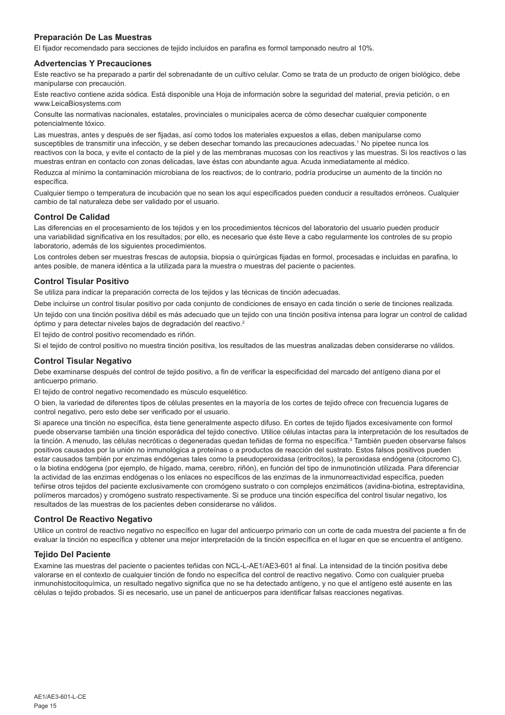## **Preparación De Las Muestras**

El fijador recomendado para secciones de tejido incluidos en parafina es formol tamponado neutro al 10%.

### **Advertencias Y Precauciones**

Este reactivo se ha preparado a partir del sobrenadante de un cultivo celular. Como se trata de un producto de origen biológico, debe manipularse con precaución.

Este reactivo contiene azida sódica. Está disponible una Hoja de información sobre la seguridad del material, previa petición, o en www.LeicaBiosystems.com

Consulte las normativas nacionales, estatales, provinciales o municipales acerca de cómo desechar cualquier componente potencialmente tóxico.

Las muestras, antes y después de ser fijadas, así como todos los materiales expuestos a ellas, deben manipularse como susceptibles de transmitir una infección, y se deben desechar tomando las precauciones adecuadas.<sup>1</sup> No pipetee nunca los reactivos con la boca, y evite el contacto de la piel y de las membranas mucosas con los reactivos y las muestras. Si los reactivos o las muestras entran en contacto con zonas delicadas, lave éstas con abundante agua. Acuda inmediatamente al médico.

Reduzca al mínimo la contaminación microbiana de los reactivos; de lo contrario, podría producirse un aumento de la tinción no específica.

Cualquier tiempo o temperatura de incubación que no sean los aquí especificados pueden conducir a resultados erróneos. Cualquier cambio de tal naturaleza debe ser validado por el usuario.

## **Control De Calidad**

Las diferencias en el procesamiento de los tejidos y en los procedimientos técnicos del laboratorio del usuario pueden producir una variabilidad significativa en los resultados; por ello, es necesario que éste lleve a cabo regularmente los controles de su propio laboratorio, además de los siguientes procedimientos.

Los controles deben ser muestras frescas de autopsia, biopsia o quirúrgicas fijadas en formol, procesadas e incluidas en parafina, lo antes posible, de manera idéntica a la utilizada para la muestra o muestras del paciente o pacientes.

## **Control Tisular Positivo**

Se utiliza para indicar la preparación correcta de los tejidos y las técnicas de tinción adecuadas.

Debe incluirse un control tisular positivo por cada conjunto de condiciones de ensayo en cada tinción o serie de tinciones realizada. Un tejido con una tinción positiva débil es más adecuado que un tejido con una tinción positiva intensa para lograr un control de calidad óptimo y para detectar niveles bajos de degradación del reactivo.<sup>2</sup>

El tejido de control positivo recomendado es riñón.

Si el tejido de control positivo no muestra tinción positiva, los resultados de las muestras analizadas deben considerarse no válidos.

#### **Control Tisular Negativo**

Debe examinarse después del control de tejido positivo, a fin de verificar la especificidad del marcado del antígeno diana por el anticuerpo primario.

El tejido de control negativo recomendado es músculo esquelético.

O bien, la variedad de diferentes tipos de células presentes en la mayoría de los cortes de tejido ofrece con frecuencia lugares de control negativo, pero esto debe ser verificado por el usuario.

Si aparece una tinción no específica, ésta tiene generalmente aspecto difuso. En cortes de tejido fijados excesivamente con formol puede observarse también una tinción esporádica del tejido conectivo. Utilice células intactas para la interpretación de los resultados de la tinción. A menudo, las células necróticas o degeneradas quedan teñidas de forma no específica.<sup>3</sup> También pueden observarse falsos positivos causados por la unión no inmunológica a proteínas o a productos de reacción del sustrato. Estos falsos positivos pueden estar causados también por enzimas endógenas tales como la pseudoperoxidasa (eritrocitos), la peroxidasa endógena (citocromo C), o la biotina endógena (por ejemplo, de hígado, mama, cerebro, riñón), en función del tipo de inmunotinción utilizada. Para diferenciar la actividad de las enzimas endógenas o los enlaces no específicos de las enzimas de la inmunorreactividad específica, pueden teñirse otros tejidos del paciente exclusivamente con cromógeno sustrato o con complejos enzimáticos (avidina-biotina, estreptavidina, polímeros marcados) y cromógeno sustrato respectivamente. Si se produce una tinción específica del control tisular negativo, los resultados de las muestras de los pacientes deben considerarse no válidos.

#### **Control De Reactivo Negativo**

Utilice un control de reactivo negativo no específico en lugar del anticuerpo primario con un corte de cada muestra del paciente a fin de evaluar la tinción no específica y obtener una mejor interpretación de la tinción específica en el lugar en que se encuentra el antígeno.

#### **Tejido Del Paciente**

Examine las muestras del paciente o pacientes teñidas con NCL-L-AE1/AE3-601 al final. La intensidad de la tinción positiva debe valorarse en el contexto de cualquier tinción de fondo no específica del control de reactivo negativo. Como con cualquier prueba inmunohistocitoquímica, un resultado negativo significa que no se ha detectado antígeno, y no que el antígeno esté ausente en las células o tejido probados. Si es necesario, use un panel de anticuerpos para identificar falsas reacciones negativas.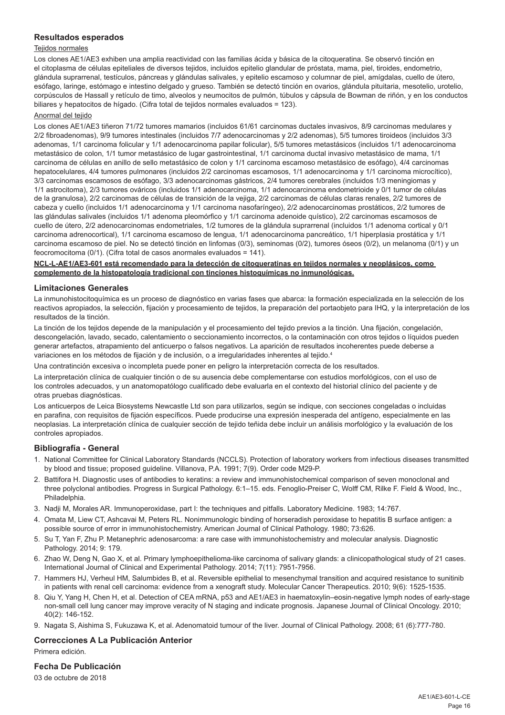### **Resultados esperados**

#### Tejidos normales

Los clones AE1/AE3 exhiben una amplia reactividad con las familias ácida y básica de la citoqueratina. Se observó tinción en el citoplasma de células epiteliales de diversos tejidos, incluidos epitelio glandular de próstata, mama, piel, tiroides, endometrio, glándula suprarrenal, testículos, páncreas y glándulas salivales, y epitelio escamoso y columnar de piel, amígdalas, cuello de útero, esófago, laringe, estómago e intestino delgado y grueso. También se detectó tinción en ovarios, glándula pituitaria, mesotelio, urotelio, corpúsculos de Hassall y retículo de timo, alveolos y neumocitos de pulmón, túbulos y cápsula de Bowman de riñón, y en los conductos biliares y hepatocitos de hígado. (Cifra total de tejidos normales evaluados = 123).

#### Anormal del tejido

Los clones AE1/AE3 tiñeron 71/72 tumores mamarios (incluidos 61/61 carcinomas ductales invasivos, 8/9 carcinomas medulares y 2/2 fibroadenomas), 9/9 tumores intestinales (incluidos 7/7 adenocarcinomas y 2/2 adenomas), 5/5 tumores tiroideos (incluidos 3/3 adenomas, 1/1 carcinoma folicular y 1/1 adenocarcinoma papilar folicular), 5/5 tumores metastásicos (incluidos 1/1 adenocarcinoma metastásico de colon, 1/1 tumor metastásico de lugar gastrointestinal, 1/1 carcinoma ductal invasivo metastásico de mama, 1/1 carcinoma de células en anillo de sello metastásico de colon y 1/1 carcinoma escamoso metastásico de esófago), 4/4 carcinomas hepatocelulares, 4/4 tumores pulmonares (incluidos 2/2 carcinomas escamosos, 1/1 adenocarcinoma y 1/1 carcinoma microcítico), 3/3 carcinomas escamosos de esófago, 3/3 adenocarcinomas gástricos, 2/4 tumores cerebrales (incluidos 1/3 meningiomas y 1/1 astrocitoma), 2/3 tumores ováricos (incluidos 1/1 adenocarcinoma, 1/1 adenocarcinoma endometrioide y 0/1 tumor de células de la granulosa), 2/2 carcinomas de células de transición de la vejiga, 2/2 carcinomas de células claras renales, 2/2 tumores de cabeza y cuello (incluidos 1/1 adenocarcinoma y 1/1 carcinoma nasofaríngeo), 2/2 adenocarcinomas prostáticos, 2/2 tumores de las glándulas salivales (incluidos 1/1 adenoma pleomórfico y 1/1 carcinoma adenoide quístico), 2/2 carcinomas escamosos de cuello de útero, 2/2 adenocarcinomas endometriales, 1/2 tumores de la glándula suprarrenal (incluidos 1/1 adenoma cortical y 0/1 carcinoma adrenocortical), 1/1 carcinoma escamoso de lengua, 1/1 adenocarcinoma pancreático, 1/1 hiperplasia prostática y 1/1 carcinoma escamoso de piel. No se detectó tinción en linfomas (0/3), seminomas (0/2), tumores óseos (0/2), un melanoma (0/1) y un feocromocitoma (0/1). (Cifra total de casos anormales evaluados = 141).

**NCL-L-AE1/AE3-601 está recomendado para la detección de citoqueratinas en tejidos normales y neoplásicos, como complemento de la histopatología tradicional con tinciones histoquímicas no inmunológicas.**

#### **Limitaciones Generales**

La inmunohistocitoquímica es un proceso de diagnóstico en varias fases que abarca: la formación especializada en la selección de los reactivos apropiados, la selección, fijación y procesamiento de tejidos, la preparación del portaobjeto para IHQ, y la interpretación de los resultados de la tinción.

La tinción de los tejidos depende de la manipulación y el procesamiento del tejido previos a la tinción. Una fijación, congelación, descongelación, lavado, secado, calentamiento o seccionamiento incorrectos, o la contaminación con otros tejidos o líquidos pueden generar artefactos, atrapamiento del anticuerpo o falsos negativos. La aparición de resultados incoherentes puede deberse a variaciones en los métodos de fijación y de inclusión, o a irregularidades inherentes al tejido.<sup>4</sup>

Una contratinción excesiva o incompleta puede poner en peligro la interpretación correcta de los resultados.

La interpretación clínica de cualquier tinción o de su ausencia debe complementarse con estudios morfológicos, con el uso de los controles adecuados, y un anatomopatólogo cualificado debe evaluarla en el contexto del historial clínico del paciente y de otras pruebas diagnósticas.

Los anticuerpos de Leica Biosystems Newcastle Ltd son para utilizarlos, según se indique, con secciones congeladas o incluidas en parafina, con requisitos de fijación específicos. Puede producirse una expresión inesperada del antígeno, especialmente en las neoplasias. La interpretación clínica de cualquier sección de tejido teñida debe incluir un análisis morfológico y la evaluación de los controles apropiados.

#### **Bibliografía - General**

- 1. National Committee for Clinical Laboratory Standards (NCCLS). Protection of laboratory workers from infectious diseases transmitted by blood and tissue; proposed guideline. Villanova, P.A. 1991; 7(9). Order code M29-P.
- 2. Battifora H. Diagnostic uses of antibodies to keratins: a review and immunohistochemical comparison of seven monoclonal and three polyclonal antibodies. Progress in Surgical Pathology. 6:1–15. eds. Fenoglio-Preiser C, Wolff CM, Rilke F. Field & Wood, Inc., Philadelphia.
- 3. Nadji M, Morales AR. Immunoperoxidase, part I: the techniques and pitfalls. Laboratory Medicine. 1983; 14:767.
- 4. Omata M, Liew CT, Ashcavai M, Peters RL. Nonimmunologic binding of horseradish peroxidase to hepatitis B surface antigen: a possible source of error in immunohistochemistry. American Journal of Clinical Pathology. 1980; 73:626.
- 5. Su T, Yan F, Zhu P. Metanephric adenosarcoma: a rare case with immunohistochemistry and molecular analysis. Diagnostic Pathology. 2014; 9: 179.
- 6. Zhao W, Deng N, Gao X, et al. Primary lymphoepithelioma-like carcinoma of salivary glands: a clinicopathological study of 21 cases. International Journal of Clinical and Experimental Pathology. 2014; 7(11): 7951-7956.
- 7. Hammers HJ, Verheul HM, Salumbides B, et al. Reversible epithelial to mesenchymal transition and acquired resistance to sunitinib in patients with renal cell carcinoma: evidence from a xenograft study. Molecular Cancer Therapeutics. 2010; 9(6): 1525-1535.
- 8. Qiu Y, Yang H, Chen H, et al. Detection of CEA mRNA, p53 and AE1/AE3 in haematoxylin–eosin-negative lymph nodes of early-stage non-small cell lung cancer may improve veracity of N staging and indicate prognosis. Japanese Journal of Clinical Oncology. 2010; 40(2): 146-152.
- 9. Nagata S, Aishima S, Fukuzawa K, et al. Adenomatoid tumour of the liver. Journal of Clinical Pathology. 2008; 61 (6):777-780.

## **Correcciones A La Publicación Anterior**

Primera edición.

## **Fecha De Publicación**

03 de octubre de 2018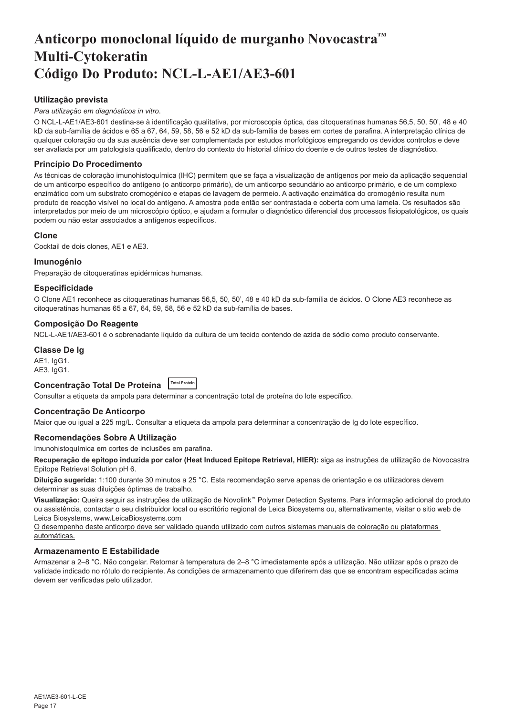# <span id="page-17-0"></span>**Anticorpo monoclonal líquido de murganho Novocastra™ Multi-Cytokeratin Código Do Produto: NCL-L-AE1/AE3-601**

## **Utilização prevista**

#### *Para utilização em diagnósticos in vitro*.

O NCL-L-AE1/AE3-601 destina-se à identificação qualitativa, por microscopia óptica, das citoqueratinas humanas 56,5, 50, 50', 48 e 40 kD da sub-família de ácidos e 65 a 67, 64, 59, 58, 56 e 52 kD da sub-família de bases em cortes de parafina. A interpretação clínica de qualquer coloração ou da sua ausência deve ser complementada por estudos morfológicos empregando os devidos controlos e deve ser avaliada por um patologista qualificado, dentro do contexto do historial clínico do doente e de outros testes de diagnóstico.

## **Princípio Do Procedimento**

As técnicas de coloração imunohistoquímica (IHC) permitem que se faça a visualização de antígenos por meio da aplicação sequencial de um anticorpo específico do antígeno (o anticorpo primário), de um anticorpo secundário ao anticorpo primário, e de um complexo enzimático com um substrato cromogénico e etapas de lavagem de permeio. A activação enzimática do cromogénio resulta num produto de reacção visível no local do antígeno. A amostra pode então ser contrastada e coberta com uma lamela. Os resultados são interpretados por meio de um microscópio óptico, e ajudam a formular o diagnóstico diferencial dos processos fisiopatológicos, os quais podem ou não estar associados a antígenos específicos.

#### **Clone**

Cocktail de dois clones, AE1 e AE3.

#### **Imunogénio**

Preparação de citoqueratinas epidérmicas humanas.

## **Especificidade**

O Clone AE1 reconhece as citoqueratinas humanas 56,5, 50, 50', 48 e 40 kD da sub-família de ácidos. O Clone AE3 reconhece as citoqueratinas humanas 65 a 67, 64, 59, 58, 56 e 52 kD da sub-família de bases.

## **Composição Do Reagente**

NCL-L-AE1/AE3-601 é o sobrenadante líquido da cultura de um tecido contendo de azida de sódio como produto conservante.

#### **Classe De Ig**

AE1, IgG1. AE3, IgG1.

## **Concentração Total De Proteína Total Protein**

Consultar a etiqueta da ampola para determinar a concentração total de proteína do lote específico.

## **Concentração De Anticorpo**

Maior que ou igual a 225 mg/L. Consultar a etiqueta da ampola para determinar a concentração de Ig do lote específico.

## **Recomendações Sobre A Utilização**

Imunohistoquímica em cortes de inclusões em parafina.

**Recuperação de epítopo induzida por calor (Heat Induced Epitope Retrieval, HIER):** siga as instruções de utilização de Novocastra Epitope Retrieval Solution pH 6.

**Diluição sugerida:** 1:100 durante 30 minutos a 25 °C. Esta recomendação serve apenas de orientação e os utilizadores devem determinar as suas diluições óptimas de trabalho.

**Visualização:** Queira seguir as instruções de utilização de Novolink™ Polymer Detection Systems. Para informação adicional do produto ou assistência, contactar o seu distribuidor local ou escritório regional de Leica Biosystems ou, alternativamente, visitar o sitio web de Leica Biosystems, www.LeicaBiosystems.com

O desempenho deste anticorpo deve ser validado quando utilizado com outros sistemas manuais de coloração ou plataformas automáticas.

#### **Armazenamento E Estabilidade**

Armazenar a 2–8 °C. Não congelar. Retornar à temperatura de 2–8 °C imediatamente após a utilização. Não utilizar após o prazo de validade indicado no rótulo do recipiente. As condições de armazenamento que diferirem das que se encontram especificadas acima devem ser verificadas pelo utilizador.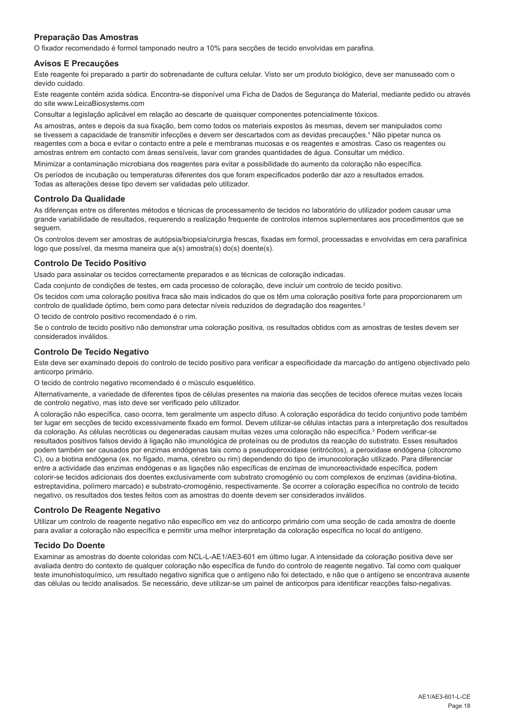## **Preparação Das Amostras**

O fixador recomendado é formol tamponado neutro a 10% para secções de tecido envolvidas em parafina.

## **Avisos E Precauções**

Este reagente foi preparado a partir do sobrenadante de cultura celular. Visto ser um produto biológico, deve ser manuseado com o devido cuidado.

Este reagente contém azida sódica. Encontra-se disponível uma Ficha de Dados de Segurança do Material, mediante pedido ou através do site www.LeicaBiosystems.com

Consultar a legislação aplicável em relação ao descarte de quaisquer componentes potencialmente tóxicos.

As amostras, antes e depois da sua fixação, bem como todos os materiais expostos às mesmas, devem ser manipulados como se tivessem a capacidade de transmitir infecções e devem ser descartados com as devidas precauções.<sup>1</sup> Não pipetar nunca os reagentes com a boca e evitar o contacto entre a pele e membranas mucosas e os reagentes e amostras. Caso os reagentes ou amostras entrem em contacto com áreas sensíveis, lavar com grandes quantidades de água. Consultar um médico.

Minimizar a contaminação microbiana dos reagentes para evitar a possibilidade do aumento da coloração não específica.

Os períodos de incubação ou temperaturas diferentes dos que foram especificados poderão dar azo a resultados errados. Todas as alterações desse tipo devem ser validadas pelo utilizador.

#### **Controlo Da Qualidade**

As diferenças entre os diferentes métodos e técnicas de processamento de tecidos no laboratório do utilizador podem causar uma grande variabilidade de resultados, requerendo a realização frequente de controlos internos suplementares aos procedimentos que se seguem.

Os controlos devem ser amostras de autópsia/biopsia/cirurgia frescas, fixadas em formol, processadas e envolvidas em cera parafínica logo que possível, da mesma maneira que a(s) amostra(s) do(s) doente(s).

#### **Controlo De Tecido Positivo**

Usado para assinalar os tecidos correctamente preparados e as técnicas de coloração indicadas.

Cada conjunto de condições de testes, em cada processo de coloração, deve incluir um controlo de tecido positivo.

Os tecidos com uma coloração positiva fraca são mais indicados do que os têm uma coloração positiva forte para proporcionarem um controlo de qualidade óptimo, bem como para detectar níveis reduzidos de degradação dos reagentes.<sup>2</sup>

O tecido de controlo positivo recomendado é o rim.

Se o controlo de tecido positivo não demonstrar uma coloração positiva, os resultados obtidos com as amostras de testes devem ser considerados inválidos.

## **Controlo De Tecido Negativo**

Este deve ser examinado depois do controlo de tecido positivo para verificar a especificidade da marcação do antígeno objectivado pelo anticorpo primário.

O tecido de controlo negativo recomendado é o músculo esquelético.

Alternativamente, a variedade de diferentes tipos de células presentes na maioria das secções de tecidos oferece muitas vezes locais de controlo negativo, mas isto deve ser verificado pelo utilizador.

A coloração não específica, caso ocorra, tem geralmente um aspecto difuso. A coloração esporádica do tecido conjuntivo pode também ter lugar em secções de tecido excessivamente fixado em formol. Devem utilizar-se células intactas para a interpretação dos resultados da coloração. As células necróticas ou degeneradas causam muitas vezes uma coloração não específica.<sup>3</sup> Podem verificar-se resultados positivos falsos devido à ligação não imunológica de proteínas ou de produtos da reacção do substrato. Esses resultados podem também ser causados por enzimas endógenas tais como a pseudoperoxidase (eritrócitos), a peroxidase endógena (citocromo C), ou a biotina endógena (ex. no fígado, mama, cérebro ou rim) dependendo do tipo de imunocoloração utilizado. Para diferenciar entre a actividade das enzimas endógenas e as ligações não específicas de enzimas de imunoreactividade específica, podem colorir-se tecidos adicionais dos doentes exclusivamente com substrato cromogénio ou com complexos de enzimas (avidina-biotina, estreptavidina, polímero marcado) e substrato-cromogénio, respectivamente. Se ocorrer a coloração específica no controlo de tecido negativo, os resultados dos testes feitos com as amostras do doente devem ser considerados inválidos.

## **Controlo De Reagente Negativo**

Utilizar um controlo de reagente negativo não específico em vez do anticorpo primário com uma secção de cada amostra de doente para avaliar a coloração não específica e permitir uma melhor interpretação da coloração específica no local do antígeno.

## **Tecido Do Doente**

Examinar as amostras do doente coloridas com NCL-L-AE1/AE3-601 em último lugar. A intensidade da coloração positiva deve ser avaliada dentro do contexto de qualquer coloração não específica de fundo do controlo de reagente negativo. Tal como com qualquer teste imunohistoquímico, um resultado negativo significa que o antígeno não foi detectado, e não que o antígeno se encontrava ausente das células ou tecido analisados. Se necessário, deve utilizar-se um painel de anticorpos para identificar reacções falso-negativas.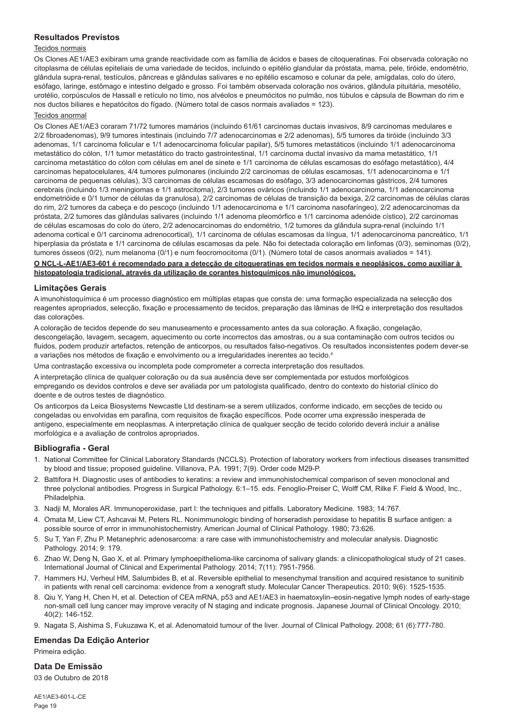## **Resultados Previstos**

#### Tecidos normais

Os Clones AE1/AE3 exibiram uma grande reactividade com as família de ácidos e bases de citoqueratinas. Foi observada coloração no citoplasma de células epiteliais de uma variedade de tecidos, incluindo o epitélio glandular da próstata, mama, pele, tiróide, endométrio, glândula supra-renal, testículos, pâncreas e glândulas salivares e no epitélio escamoso e colunar da pele, amígdalas, colo do útero, esófago, laringe, estômago e intestino delgado e grosso. Foi também observada coloração nos ovários, glândula pituitária, mesotélio, urotélio, corpúsculos de Hassall e retículo no timo, nos alvéolos e pneumócitos no pulmão, nos túbulos e cápsula de Bowman do rim e nos ductos biliares e hepatócitos do fígado. (Número total de casos normais avaliados = 123).

#### Tecidos anormal

Os Clones AE1/AE3 coraram 71/72 tumores mamários (incluindo 61/61 carcinomas ductais invasivos, 8/9 carcinomas medulares e 2/2 fibroadenomas), 9/9 tumores intestinais (incluindo 7/7 adenocarcinomas e 2/2 adenomas), 5/5 tumores da tiróide (incluindo 3/3 adenomas, 1/1 carcinoma folicular e 1/1 adenocarcinoma folicular papilar), 5/5 tumores metastáticos (incluindo 1/1 adenocarcinoma metastático do cólon, 1/1 tumor metastático do tracto gastrointestinal, 1/1 carcinoma ductal invasivo da mama metastático, 1/1 carcinoma metastático do cólon com células em anel de sinete e 1/1 carcinoma de células escamosas do esófago metastático), 4/4 carcinomas hepatocelulares, 4/4 tumores pulmonares (incluindo 2/2 carcinomas de células escamosas, 1/1 adenocarcinoma e 1/1 carcinoma de pequenas células), 3/3 carcinomas de células escamosas do esófago, 3/3 adenocarcinomas gástricos, 2/4 tumores cerebrais (incluindo 1/3 meningiomas e 1/1 astrocitoma), 2/3 tumores ováricos (incluindo 1/1 adenocarcinoma, 1/1 adenocarcinoma endometrióide e 0/1 tumor de células da granulosa), 2/2 carcinomas de células de transição da bexiga, 2/2 carcinomas de células claras do rim, 2/2 tumores da cabeça e do pescoço (incluindo 1/1 adenocarcinoma e 1/1 carcinoma nasofaríngeo), 2/2 adenocarcinomas da próstata, 2/2 tumores das glândulas salivares (incluindo 1/1 adenoma pleomórfico e 1/1 carcinoma adenóide cístico), 2/2 carcinomas de células escamosas do colo do útero, 2/2 adenocarcinomas do endométrio, 1/2 tumores da glândula supra-renal (incluindo 1/1 adenoma cortical e 0/1 carcinoma adrenocortical), 1/1 carcinoma de células escamosas da língua, 1/1 adenocarcinoma pancreático, 1/1 hiperplasia da próstata e 1/1 carcinoma de células escamosas da pele. Não foi detectada coloração em linfomas (0/3), seminomas (0/2), tumores ósseos (0/2), num melanoma (0/1) e num feocromocitoma (0/1). (Número total de casos anormais avaliados = 141).

#### **O NCL-L-AE1/AE3-601 é recomendado para a detecção de citoqueratinas em tecidos normais e neoplásicos, como auxiliar à histopatologia tradicional, através da utilização de corantes histoquímicos não imunológicos.**

#### **Limitações Gerais**

A imunohistoquímica é um processo diagnóstico em múltiplas etapas que consta de: uma formação especializada na selecção dos reagentes apropriados, selecção, fixação e processamento de tecidos, preparação das lâminas de IHQ e interpretação dos resultados das colorações.

A coloração de tecidos depende do seu manuseamento e processamento antes da sua coloração. A fixação, congelação, descongelação, lavagem, secagem, aquecimento ou corte incorrectos das amostras, ou a sua contaminação com outros tecidos ou fluidos, podem produzir artefactos, retenção de anticorpos, ou resultados falso-negativos. Os resultados inconsistentes podem dever-se a variações nos métodos de fixação e envolvimento ou a irregularidades inerentes ao tecido.4

Uma contrastação excessiva ou incompleta pode comprometer a correcta interpretação dos resultados.

A interpretação clínica de qualquer coloração ou da sua ausência deve ser complementada por estudos morfológicos empregando os devidos controlos e deve ser avaliada por um patologista qualificado, dentro do contexto do historial clínico do doente e de outros testes de diagnóstico.

Os anticorpos da Leica Biosystems Newcastle Ltd destinam-se a serem utilizados, conforme indicado, em secções de tecido ou congeladas ou envolvidas em parafina, com requisitos de fixação específicos. Pode ocorrer uma expressão inesperada de antígeno, especialmente em neoplasmas. A interpretação clínica de qualquer secção de tecido colorido deverá incluir a análise morfológica e a avaliação de controlos apropriados.

#### **Bibliografia - Geral**

- 1. National Committee for Clinical Laboratory Standards (NCCLS). Protection of laboratory workers from infectious diseases transmitted by blood and tissue; proposed guideline. Villanova, P.A. 1991; 7(9). Order code M29-P.
- 2. Battifora H. Diagnostic uses of antibodies to keratins: a review and immunohistochemical comparison of seven monoclonal and three polyclonal antibodies. Progress in Surgical Pathology. 6:1–15. eds. Fenoglio-Preiser C, Wolff CM, Rilke F. Field & Wood, Inc., Philadelphia.
- 3. Nadji M, Morales AR. Immunoperoxidase, part I: the techniques and pitfalls. Laboratory Medicine. 1983; 14:767.
- 4. Omata M, Liew CT, Ashcavai M, Peters RL. Nonimmunologic binding of horseradish peroxidase to hepatitis B surface antigen: a possible source of error in immunohistochemistry. American Journal of Clinical Pathology. 1980; 73:626.
- 5. Su T, Yan F, Zhu P. Metanephric adenosarcoma: a rare case with immunohistochemistry and molecular analysis. Diagnostic Pathology. 2014; 9: 179.
- 6. Zhao W, Deng N, Gao X, et al. Primary lymphoepithelioma-like carcinoma of salivary glands: a clinicopathological study of 21 cases. International Journal of Clinical and Experimental Pathology. 2014; 7(11): 7951-7956.
- 7. Hammers HJ, Verheul HM, Salumbides B, et al. Reversible epithelial to mesenchymal transition and acquired resistance to sunitinib in patients with renal cell carcinoma: evidence from a xenograft study. Molecular Cancer Therapeutics. 2010; 9(6): 1525-1535.
- 8. Qiu Y, Yang H, Chen H, et al. Detection of CEA mRNA, p53 and AE1/AE3 in haematoxylin–eosin-negative lymph nodes of early-stage non-small cell lung cancer may improve veracity of N staging and indicate prognosis. Japanese Journal of Clinical Oncology. 2010; 40(2): 146-152.
- 9. Nagata S, Aishima S, Fukuzawa K, et al. Adenomatoid tumour of the liver. Journal of Clinical Pathology. 2008; 61 (6):777-780.

## **Emendas Da Edição Anterior**

Primeira edição.

## **Data De Emissão**

03 de Outubro de 2018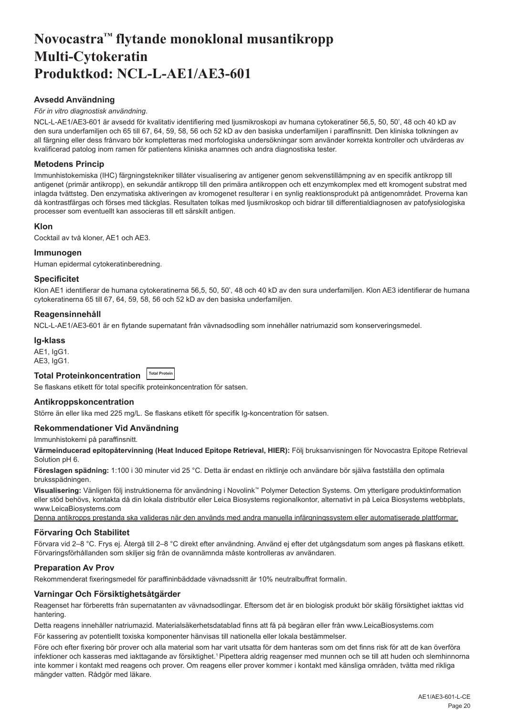# <span id="page-20-0"></span>**Novocastra™ flytande monoklonal musantikropp Multi-Cytokeratin Produktkod: NCL-L-AE1/AE3-601**

## **Avsedd Användning**

#### *För in vitro diagnostisk användning*.

NCL-L-AE1/AE3-601 är avsedd för kvalitativ identifiering med ljusmikroskopi av humana cytokeratiner 56,5, 50, 50', 48 och 40 kD av den sura underfamiljen och 65 till 67, 64, 59, 58, 56 och 52 kD av den basiska underfamiljen i paraffinsnitt. Den kliniska tolkningen av all färgning eller dess frånvaro bör kompletteras med morfologiska undersökningar som använder korrekta kontroller och utvärderas av kvalificerad patolog inom ramen för patientens kliniska anamnes och andra diagnostiska tester.

#### **Metodens Princip**

Immunhistokemiska (IHC) färgningstekniker tillåter visualisering av antigener genom sekvenstillämpning av en specifik antikropp till antigenet (primär antikropp), en sekundär antikropp till den primära antikroppen och ett enzymkomplex med ett kromogent substrat med inlagda tvättsteg. Den enzymatiska aktiveringen av kromogenet resulterar i en synlig reaktionsprodukt på antigenområdet. Proverna kan då kontrastfärgas och förses med täckglas. Resultaten tolkas med ljusmikroskop och bidrar till differentialdiagnosen av patofysiologiska processer som eventuellt kan associeras till ett särskilt antigen.

#### **Klon**

Cocktail av två kloner, AE1 och AE3.

#### **Immunogen**

Human epidermal cytokeratinberedning.

#### **Specificitet**

Klon AE1 identifierar de humana cytokeratinerna 56,5, 50, 50', 48 och 40 kD av den sura underfamiljen. Klon AE3 identifierar de humana cytokeratinerna 65 till 67, 64, 59, 58, 56 och 52 kD av den basiska underfamiljen.

#### **Reagensinnehåll**

NCL-L-AE1/AE3-601 är en flytande supernatant från vävnadsodling som innehåller natriumazid som konserveringsmedel.

#### **Ig-klass**

AE1, IgG1. AE3, IgG1.

## **Total Proteinkoncentration Total Protein**

Se flaskans etikett för total specifik proteinkoncentration för satsen.

#### **Antikroppskoncentration**

Större än eller lika med 225 mg/L. Se flaskans etikett för specifik Ig-koncentration för satsen.

#### **Rekommendationer Vid Användning**

Immunhistokemi på paraffinsnitt.

**Värmeinducerad epitopåtervinning (Heat Induced Epitope Retrieval, HIER):** Följ bruksanvisningen för Novocastra Epitope Retrieval Solution pH 6.

**Föreslagen spädning:** 1:100 i 30 minuter vid 25 °C. Detta är endast en riktlinje och användare bör själva fastställa den optimala bruksspädningen.

**Visualisering:** Vänligen följ instruktionerna för användning i Novolink™ Polymer Detection Systems. Om ytterligare produktinformation eller stöd behövs, kontakta då din lokala distributör eller Leica Biosystems regionalkontor, alternativt in på Leica Biosystems webbplats, www.LeicaBiosystems.com

Denna antikropps prestanda ska valideras när den används med andra manuella infärgningssystem eller automatiserade plattformar.

#### **Förvaring Och Stabilitet**

Förvara vid 2–8 °C. Frys ej. Återgå till 2–8 °C direkt efter användning. Använd ej efter det utgångsdatum som anges på flaskans etikett. Förvaringsförhållanden som skiljer sig från de ovannämnda måste kontrolleras av användaren.

#### **Preparation Av Prov**

Rekommenderat fixeringsmedel för paraffininbäddade vävnadssnitt är 10% neutralbuffrat formalin.

#### **Varningar Och Försiktighetsåtgärder**

Reagenset har förberetts från supernatanten av vävnadsodlingar. Eftersom det är en biologisk produkt bör skälig försiktighet iakttas vid hantering.

Detta reagens innehåller natriumazid. Materialsäkerhetsdatablad finns att få på begäran eller från www.LeicaBiosystems.com

För kassering av potentiellt toxiska komponenter hänvisas till nationella eller lokala bestämmelser.

Före och efter fixering bör prover och alla material som har varit utsatta för dem hanteras som om det finns risk för att de kan överföra infektioner och kasseras med iakttagande av försiktighet.<sup>1</sup> Pipettera aldrig reagenser med munnen och se till att huden och slemhinnorna inte kommer i kontakt med reagens och prover. Om reagens eller prover kommer i kontakt med känsliga områden, tvätta med rikliga mängder vatten. Rådgör med läkare.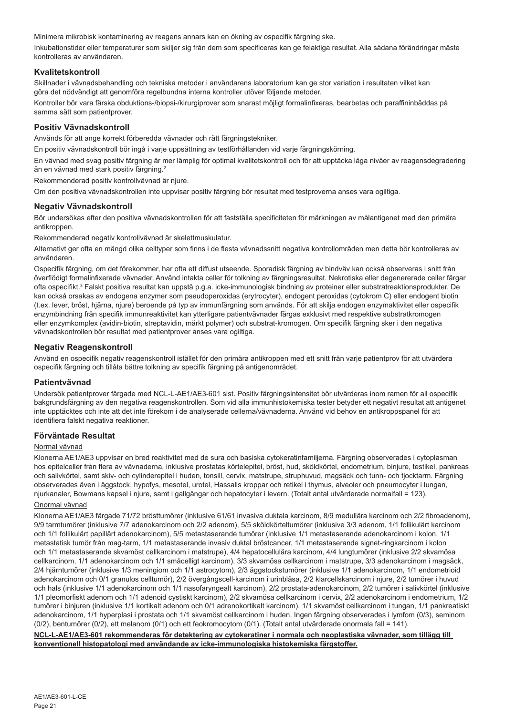Minimera mikrobisk kontaminering av reagens annars kan en ökning av ospecifik färgning ske.

Inkubationstider eller temperaturer som skiljer sig från dem som specificeras kan ge felaktiga resultat. Alla sådana förändringar måste kontrolleras av användaren.

#### **Kvalitetskontroll**

Skillnader i vävnadsbehandling och tekniska metoder i användarens laboratorium kan ge stor variation i resultaten vilket kan göra det nödvändigt att genomföra regelbundna interna kontroller utöver följande metoder.

Kontroller bör vara färska obduktions-/biopsi-/kirurgiprover som snarast möjligt formalinfixeras, bearbetas och paraffininbäddas på samma sätt som patientprover.

## **Positiv Vävnadskontroll**

Används för att ange korrekt förberedda vävnader och rätt färgningstekniker.

En positiv vävnadskontroll bör ingå i varje uppsättning av testförhållanden vid varje färgningskörning.

En vävnad med svag positiv färgning är mer lämplig för optimal kvalitetskontroll och för att upptäcka låga nivåer av reagensdegradering än en vävnad med stark positiv färgning.<sup>2</sup>

Rekommenderad positiv kontrollvävnad är njure.

Om den positiva vävnadskontrollen inte uppvisar positiv färgning bör resultat med testproverna anses vara ogiltiga.

#### **Negativ Vävnadskontroll**

Bör undersökas efter den positiva vävnadskontrollen för att fastställa specificiteten för märkningen av målantigenet med den primära antikroppen

Rekommenderad negativ kontrollvävnad är skelettmuskulatur.

Alternativt ger ofta en mängd olika celltyper som finns i de flesta vävnadssnitt negativa kontrollområden men detta bör kontrolleras av användaren.

Ospecifik färgning, om det förekommer, har ofta ett diffust utseende. Sporadisk färgning av bindväv kan också observeras i snitt från överflödigt formalinfixerade vävnader. Använd intakta celler för tolkning av färgningsresultat. Nekrotiska eller degenererade celler färgar ofta ospecifikt.<sup>3</sup> Falskt positiva resultat kan uppstå p.g.a. icke-immunologisk bindning av proteiner eller substratreaktionsprodukter. De kan också orsakas av endogena enzymer som pseudoperoxidas (erytrocyter), endogent peroxidas (cytokrom C) eller endogent biotin (t.ex. lever, bröst, hjärna, njure) beroende på typ av immunfärgning som används. För att skilja endogen enzymaktivitet eller ospecifik enzymbindning från specifik immunreaktivitet kan ytterligare patientvävnader färgas exklusivt med respektive substratkromogen eller enzymkomplex (avidin-biotin, streptavidin, märkt polymer) och substrat-kromogen. Om specifik färgning sker i den negativa vävnadskontrollen bör resultat med patientprover anses vara ogiltiga.

## **Negativ Reagenskontroll**

Använd en ospecifik negativ reagenskontroll istället för den primära antikroppen med ett snitt från varje patientprov för att utvärdera ospecifik färgning och tillåta bättre tolkning av specifik färgning på antigenområdet.

## **Patientvävnad**

Undersök patientprover färgade med NCL-L-AE1/AE3-601 sist. Positiv färgningsintensitet bör utvärderas inom ramen för all ospecifik bakgrundsfärgning av den negativa reagenskontrollen. Som vid alla immunhistokemiska tester betyder ett negativt resultat att antigenet inte upptäcktes och inte att det inte förekom i de analyserade cellerna/vävnaderna. Använd vid behov en antikroppspanel för att identifiera falskt negativa reaktioner.

## **Förväntade Resultat**

## Normal vävnad

Klonerna AE1/AE3 uppvisar en bred reaktivitet med de sura och basiska cytokeratinfamiljerna. Färgning observerades i cytoplasman hos epitelceller från flera av vävnaderna, inklusive prostatas körtelepitel, bröst, hud, sköldkörtel, endometrium, binjure, testikel, pankreas och salivkörtel, samt skiv- och cylinderepitel i huden, tonsill, cervix, matstrupe, struphuvud, magsäck och tunn- och tjocktarm. Färgning observerades även i äggstock, hypofys, mesotel, urotel, Hassalls kroppar och retikel i thymus, alveoler och pneumocyter i lungan, njurkanaler, Bowmans kapsel i njure, samt i gallgångar och hepatocyter i levern. (Totalt antal utvärderade normalfall = 123).

## Onormal vävnad

Klonerna AE1/AE3 färgade 71/72 brösttumörer (inklusive 61/61 invasiva duktala karcinom, 8/9 medullära karcinom och 2/2 fibroadenom), 9/9 tarmtumörer (inklusive 7/7 adenokarcinom och 2/2 adenom), 5/5 sköldkörteltumörer (inklusive 3/3 adenom, 1/1 follikulärt karcinom och 1/1 follikulärt papillärt adenokarcinom), 5/5 metastaserande tumörer (inklusive 1/1 metastaserande adenokarcinom i kolon, 1/1 metastatisk tumör från mag-tarm, 1/1 metastaserande invasiv duktal bröstcancer, 1/1 metastaserande signet-ringkarcinom i kolon och 1/1 metastaserande skvamöst cellkarcinom i matstrupe), 4/4 hepatocellulära karcinom, 4/4 lungtumörer (inklusive 2/2 skvamösa cellkarcinom, 1/1 adenokarcinom och 1/1 småcelligt karcinom), 3/3 skvamösa cellkarcinom i matstrupe, 3/3 adenokarcinom i magsäck, 2/4 hjärntumörer (inklusive 1/3 meningiom och 1/1 astrocytom), 2/3 äggstockstumörer (inklusive 1/1 adenokarcinom, 1/1 endometrioid adenokarcinom och 0/1 granulos celltumör), 2/2 övergångscell-karcinom i urinblåsa, 2/2 klarcellskarcinom i njure, 2/2 tumörer i huvud och hals (inklusive 1/1 adenokarcinom och 1/1 nasofaryngealt karcinom), 2/2 prostata-adenokarcinom, 2/2 tumörer i salivkörtel (inklusive 1/1 pleomorfiskt adenom och 1/1 adenoid cystiskt karcinom), 2/2 skvamösa cellkarcinom i cervix, 2/2 adenokarcinom i endometrium, 1/2 tumörer i binjuren (inklusive 1/1 kortikalt adenom och 0/1 adrenokortikalt karcinom), 1/1 skvamöst cellkarcinom i tungan, 1/1 pankreatiskt adenokarcinom, 1/1 hyperplasi i prostata och 1/1 skvamöst cellkarcinom i huden. Ingen färgning observerades i lymfom (0/3), seminom (0/2), bentumörer (0/2), ett melanom (0/1) och ett feokromocytom (0/1). (Totalt antal utvärderade onormala fall = 141).

**NCL-L-AE1/AE3-601 rekommenderas för detektering av cytokeratiner i normala och neoplastiska vävnader, som tillägg till konventionell histopatologi med användande av icke-immunologiska histokemiska färgstoffer.**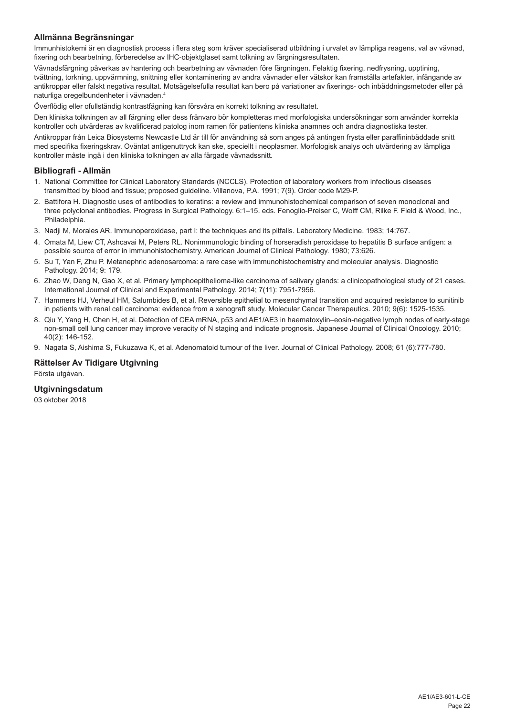## **Allmänna Begränsningar**

Immunhistokemi är en diagnostisk process i flera steg som kräver specialiserad utbildning i urvalet av lämpliga reagens, val av vävnad, fixering och bearbetning, förberedelse av IHC-objektglaset samt tolkning av färgningsresultaten.

Vävnadsfärgning påverkas av hantering och bearbetning av vävnaden före färgningen. Felaktig fixering, nedfrysning, upptining, tvättning, torkning, uppvärmning, snittning eller kontaminering av andra vävnader eller vätskor kan framställa artefakter, infångande av antikroppar eller falskt negativa resultat. Motsägelsefulla resultat kan bero på variationer av fixerings- och inbäddningsmetoder eller på naturliga oregelbundenheter i vävnaden.4

Överflödig eller ofullständig kontrastfägning kan försvåra en korrekt tolkning av resultatet.

Den kliniska tolkningen av all färgning eller dess frånvaro bör kompletteras med morfologiska undersökningar som använder korrekta kontroller och utvärderas av kvalificerad patolog inom ramen för patientens kliniska anamnes och andra diagnostiska tester.

Antikroppar från Leica Biosystems Newcastle Ltd är till för användning så som anges på antingen frysta eller paraffininbäddade snitt med specifika fixeringskrav. Oväntat antigenuttryck kan ske, speciellt i neoplasmer. Morfologisk analys och utvärdering av lämpliga kontroller måste ingå i den kliniska tolkningen av alla färgade vävnadssnitt.

## **Bibliografi - Allmän**

- 1. National Committee for Clinical Laboratory Standards (NCCLS). Protection of laboratory workers from infectious diseases transmitted by blood and tissue; proposed guideline. Villanova, P.A. 1991; 7(9). Order code M29-P.
- 2. Battifora H. Diagnostic uses of antibodies to keratins: a review and immunohistochemical comparison of seven monoclonal and three polyclonal antibodies. Progress in Surgical Pathology. 6:1–15. eds. Fenoglio-Preiser C, Wolff CM, Rilke F. Field & Wood, Inc., Philadelphia.
- 3. Nadji M, Morales AR. Immunoperoxidase, part I: the techniques and its pitfalls. Laboratory Medicine. 1983; 14:767.
- 4. Omata M, Liew CT, Ashcavai M, Peters RL. Nonimmunologic binding of horseradish peroxidase to hepatitis B surface antigen: a possible source of error in immunohistochemistry. American Journal of Clinical Pathology. 1980; 73:626.
- 5. Su T, Yan F, Zhu P. Metanephric adenosarcoma: a rare case with immunohistochemistry and molecular analysis. Diagnostic Pathology. 2014; 9: 179.
- 6. Zhao W, Deng N, Gao X, et al. Primary lymphoepithelioma-like carcinoma of salivary glands: a clinicopathological study of 21 cases. International Journal of Clinical and Experimental Pathology. 2014; 7(11): 7951-7956.
- 7. Hammers HJ, Verheul HM, Salumbides B, et al. Reversible epithelial to mesenchymal transition and acquired resistance to sunitinib in patients with renal cell carcinoma: evidence from a xenograft study. Molecular Cancer Therapeutics. 2010; 9(6): 1525-1535.
- 8. Qiu Y, Yang H, Chen H, et al. Detection of CEA mRNA, p53 and AE1/AE3 in haematoxylin–eosin-negative lymph nodes of early-stage non-small cell lung cancer may improve veracity of N staging and indicate prognosis. Japanese Journal of Clinical Oncology. 2010; 40(2): 146-152.
- 9. Nagata S, Aishima S, Fukuzawa K, et al. Adenomatoid tumour of the liver. Journal of Clinical Pathology. 2008; 61 (6):777-780.

## **Rättelser Av Tidigare Utgivning**

Första utgåvan.

## **Utgivningsdatum**

03 oktober 2018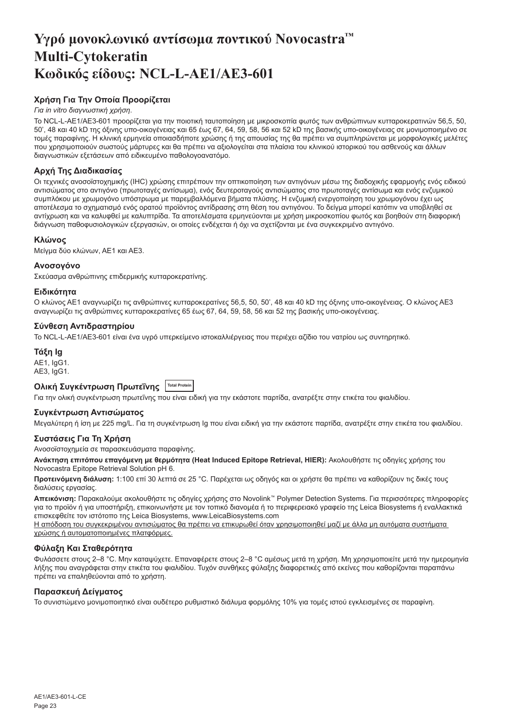# <span id="page-23-0"></span>**Υγρό μονοκλωνικό αντίσωμα ποντικού Novocastra™ Multi-Cytokeratin Κωδικός είδους: NCL-L-AE1/AE3-601**

## **Χρήση Για Την Οποία Προορίζεται**

## *Για in vitro διαγνωστική χρήση*.

Το NCL-L-AE1/AE3-601 προορίζεται για την ποιοτική ταυτοποίηση με μικροσκοπία φωτός των ανθρώπινων κυτταροκερατινών 56,5, 50, 50', 48 και 40 kD της όξινης υπο-οικογένειας και 65 έως 67, 64, 59, 58, 56 και 52 kD της βασικής υπο-οικογένειας σε μονιμοποιημένο σε τομές παραφίνης. Η κλινική ερμηνεία οποιασδήποτε χρώσης ή της απουσίας της θα πρέπει να συμπληρώνεται με μορφολογικές μελέτες που χρησιμοποιούν σωστούς μάρτυρες και θα πρέπει να αξιολογείται στα πλαίσια του κλινικού ιστορικού του ασθενούς και άλλων διαγνωστικών εξετάσεων από ειδικευμένο παθολογοανατόμο.

## **Αρχή Της Διαδικασίας**

Οι τεχνικές ανοσοϊστοχημικής (IHC) χρώσης επιτρέπουν την οπτικοποίηση των αντιγόνων μέσω της διαδοχικής εφαρμογής ενός ειδικού αντισώματος στο αντιγόνο (πρωτοταγές αντίσωμα), ενός δευτεροταγούς αντισώματος στο πρωτοταγές αντίσωμα και ενός ενζυμικού συμπλόκου με χρωμογόνο υπόστρωμα με παρεμβαλλόμενα βήματα πλύσης. Η ενζυμική ενεργοποίηση του χρωμογόνου έχει ως αποτέλεσμα το σχηματισμό ενός ορατού προϊόντος αντίδρασης στη θέση του αντιγόνου. Το δείγμα μπορεί κατόπιν να υποβληθεί σε αντίχρωση και να καλυφθεί με καλυπτρίδα. Τα αποτελέσματα ερμηνεύονται με χρήση μικροσκοπίου φωτός και βοηθούν στη διαφορική διάγνωση παθοφυσιολογικών εξεργασιών, οι οποίες ενδέχεται ή όχι να σχετίζονται με ένα συγκεκριμένο αντιγόνο.

## **Κλώνος**

Μείγμα δύο κλώνων, AE1 και AE3.

## **Ανοσογόνο**

Σκεύασμα ανθρώπινης επιδερμικής κυτταροκερατίνης.

## **Ειδικότητα**

Ο κλώνος AE1 αναγνωρίζει τις ανθρώπινες κυτταροκερατίνες 56,5, 50, 50', 48 και 40 kD της όξινης υπο-οικογένειας. Ο κλώνος AE3 αναγνωρίζει τις ανθρώπινες κυτταροκερατίνες 65 έως 67, 64, 59, 58, 56 και 52 της βασικής υπο-οικογένειας.

## **Σύνθεση Αντιδραστηρίου**

Το NCL-L-AE1/AE3-601 είναι ένα υγρό υπερκείμενο ιστοκαλλιέργειας που περιέχει αζίδιο του νατρίου ως συντηρητικό.

## **Τάξη Ig**

AE1, IgG1. AE3, IgG1.

## **Ολική Συγκέντρωση Πρωτεΐνης Total Protein**

Για την ολική συγκέντρωση πρωτεΐνης που είναι ειδική για την εκάστοτε παρτίδα, ανατρέξτε στην ετικέτα του φιαλιδίου.

## **Συγκέντρωση Αντισώματος**

Μεγαλύτερη ή ίση με 225 mg/L. Για τη συγκέντρωση Ig που είναι ειδική για την εκάστοτε παρτίδα, ανατρέξτε στην ετικέτα του φιαλιδίου.

## **Συστάσεις Για Τη Χρήση**

Ανοσοϊστοχημεία σε παρασκευάσματα παραφίνης.

**Ανάκτηση επιτόπου επαγόμενη με θερμότητα (Heat Induced Epitope Retrieval, HIER):** Ακολουθήστε τις οδηγίες χρήσης του Novocastra Epitope Retrieval Solution pH 6.

**Προτεινόμενη διάλυση:** 1:100 επί 30 λεπτά σε 25 °C. Παρέχεται ως οδηγός και οι χρήστε θα πρέπει να καθορίζουν τις δικές τους διαλύσεις εργασίας.

**Απεικόνιση:** Παρακαλούμε ακολουθήστε τις οδηγίες χρήσης στο Novolink™ Polymer Detection Systems. Για περισσότερες πληροφορίες για το προϊόν ή για υποστήριξη, επικοινωνήστε με τον τοπικό διανομέα ή το περιφερειακό γραφείο της Leica Biosystems ή εναλλακτικά επισκεφθείτε τον ιστότοπο της Leica Biosystems, www.LeicaBiosystems.com

Η απόδοση του συγκεκριμένου αντισώματος θα πρέπει να επικυρωθεί όταν χρησιμοποιηθεί μαζί με άλλα μη αυτόματα συστήματα χρώσης ή αυτοματοποιημένες πλατφόρμες.

## **Φύλαξη Και Σταθερότητα**

Φυλάσσετε στους 2–8 °C. Μην καταψύχετε. Επαναφέρετε στους 2–8 °C αμέσως μετά τη χρήση. Μη χρησιμοποιείτε μετά την ημερομηνία λήξης που αναγράφεται στην ετικέτα του φιαλιδίου. Τυχόν συνθήκες φύλαξης διαφορετικές από εκείνες που καθορίζονται παραπάνω πρέπει να επαληθεύονται από το χρήστη.

## **Παρασκευή Δείγματος**

Το συνιστώμενο μονιμοποιητικό είναι ουδέτερο ρυθμιστικό διάλυμα φορμόλης 10% για τομές ιστού εγκλεισμένες σε παραφίνη.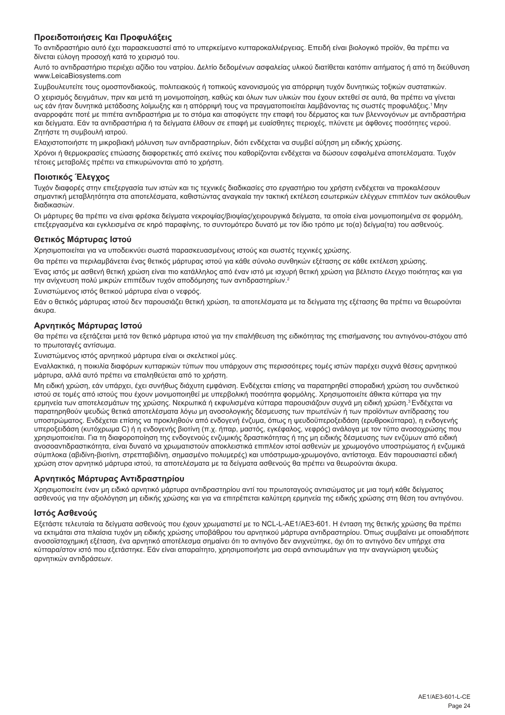## **Προειδοποιήσεις Και Προφυλάξεις**

Το αντιδραστήριο αυτό έχει παρασκευαστεί από το υπερκείμενο κυτταροκαλλιέργειας. Επειδή είναι βιολογικό προϊόν, θα πρέπει να δίνεται εύλογη προσοχή κατά το χειρισμό του.

Αυτό το αντιδραστήριο περιέχει αζίδιο του νατρίου. Δελτίο δεδομένων ασφαλείας υλικού διατίθεται κατόπιν αιτήματος ή από τη διεύθυνση www.LeicaBiosystems.com

Συμβουλευτείτε τους ομοσπονδιακούς, πολιτειακούς ή τοπικούς κανονισμούς για απόρριψη τυχόν δυνητικώς τοξικών συστατικών.

Ο χειρισμός δειγμάτων, πριν και μετά τη μονιμοποίηση, καθώς και όλων των υλικών που έχουν εκτεθεί σε αυτά, θα πρέπει να γίνεται ως εάν ήταν δυνητικά μετάδοσης λοίμωξης και η απόρριψή τους να πραγματοποιείται λαμβάνοντας τις σωστές προφυλάξεις.<sup>1</sup>Μην αναρροφάτε ποτέ με πιπέτα αντιδραστήρια με το στόμα και αποφύγετε την επαφή του δέρματος και των βλεννογόνων με αντιδραστήρια και δείγματα. Εάν τα αντιδραστήρια ή τα δείγματα έλθουν σε επαφή με ευαίσθητες περιοχές, πλύνετε με άφθονες ποσότητες νερού. Ζητήστε τη συμβουλή ιατρού.

Ελαχιστοποιήστε τη μικροβιακή μόλυνση των αντιδραστηρίων, διότι ενδέχεται να συμβεί αύξηση μη ειδικής χρώσης.

Χρόνοι ή θερμοκρασίες επώασης διαφορετικές από εκείνες που καθορίζονται ενδέχεται να δώσουν εσφαλμένα αποτελέσματα. Τυχόν τέτοιες μεταβολές πρέπει να επικυρώνονται από το χρήστη.

## **Ποιοτικός Έλεγχος**

Τυχόν διαφορές στην επεξεργασία των ιστών και τις τεχνικές διαδικασίες στο εργαστήριο του χρήστη ενδέχεται να προκαλέσουν σημαντική μεταβλητότητα στα αποτελέσματα, καθιστώντας αναγκαία την τακτική εκτέλεση εσωτερικών ελέγχων επιπλέον των ακόλουθων διαδικασιών.

Οι μάρτυρες θα πρέπει να είναι φρέσκα δείγματα νεκροψίας/βιοψίας/χειρουργικά δείγματα, τα οποία είναι μονιμοποιημένα σε φορμόλη, επεξεργασμένα και εγκλεισμένα σε κηρό παραφίνης, το συντομότερο δυνατό με τον ίδιο τρόπο με το(α) δείγμα(τα) του ασθενούς.

## **Θετικός Μάρτυρας Ιστού**

Χρησιμοποιείται για να υποδεικνύει σωστά παρασκευασμένους ιστούς και σωστές τεχνικές χρώσης.

Θα πρέπει να περιλαμβάνεται ένας θετικός μάρτυρας ιστού για κάθε σύνολο συνθηκών εξέτασης σε κάθε εκτέλεση χρώσης.

Ένας ιστός με ασθενή θετική χρώση είναι πιο κατάλληλος από έναν ιστό με ισχυρή θετική χρώση για βέλτιστο έλεγχο ποιότητας και για την ανίχνευση πολύ μικρών επιπέδων τυχόν αποδόμησης των αντιδραστηρίων.<sup>2</sup>

Συνιστώμενος ιστός θετικού μάρτυρα είναι ο νεφρός.

Εάν ο θετικός μάρτυρας ιστού δεν παρουσιάζει θετική χρώση, τα αποτελέσματα με τα δείγματα της εξέτασης θα πρέπει να θεωρούνται άκυρα.

#### **Αρνητικός Μάρτυρας Ιστού**

Θα πρέπει να εξετάζεται μετά τον θετικό μάρτυρα ιστού για την επαλήθευση της ειδικότητας της επισήμανσης του αντιγόνου-στόχου από το πρωτοταγές αντίσωμα.

Συνιστώμενος ιστός αρνητικού μάρτυρα είναι οι σκελετικοί μύες.

Εναλλακτικά, η ποικιλία διαφόρων κυτταρικών τύπων που υπάρχουν στις περισσότερες τομές ιστών παρέχει συχνά θέσεις αρνητικού μάρτυρα, αλλά αυτό πρέπει να επαληθεύεται από το χρήστη.

Μη ειδική χρώση, εάν υπάρχει, έχει συνήθως διάχυτη εμφάνιση. Ενδέχεται επίσης να παρατηρηθεί σποραδική χρώση του συνδετικού ιστού σε τομές από ιστούς που έχουν μονιμοποιηθεί με υπερβολική ποσότητα φορμόλης. Χρησιμοποιείτε άθικτα κύτταρα για την ερμηνεία των αποτελεσμάτων της χρώσης. Νεκρωτικά ή εκφυλισμένα κύτταρα παρουσιάζουν συχνά μη ειδική χρώση.<sup>3</sup>Ενδέχεται να παρατηρηθούν ψευδώς θετικά αποτελέσματα λόγω μη ανοσολογικής δέσμευσης των πρωτεϊνών ή των προϊόντων αντίδρασης του υποστρώματος. Ενδέχεται επίσης να προκληθούν από ενδογενή ένζυμα, όπως η ψευδοϋπεροξειδάση (ερυθροκύτταρα), η ενδογενής υπεροξειδάση (κυτόχρωμα C) ή η ενδογενής βιοτίνη (π.χ. ήπαρ, μαστός, εγκέφαλος, νεφρός) ανάλογα με τον τύπο ανοσοχρώσης που χρησιμοποιείται. Για τη διαφοροποίηση της ενδογενούς ενζυμικής δραστικότητας ή της μη ειδικής δέσμευσης των ενζύμων από ειδική ανοσοαντιδραστικότητα, είναι δυνατό να χρωματιστούν αποκλειστικά επιπλέον ιστοί ασθενών με χρωμογόνο υποστρώματος ή ενζυμικά σύμπλοκα (αβιδίνη-βιοτίνη, στρεπταβιδίνη, σημασμένο πολυμερές) και υπόστρωμα-χρωμογόνο, αντίστοιχα. Εάν παρουσιαστεί ειδική χρώση στον αρνητικό μάρτυρα ιστού, τα αποτελέσματα με τα δείγματα ασθενούς θα πρέπει να θεωρούνται άκυρα.

## **Αρνητικός Μάρτυρας Αντιδραστηρίου**

Χρησιμοποιείτε έναν μη ειδικό αρνητικό μάρτυρα αντιδραστηρίου αντί του πρωτοταγούς αντισώματος με μια τομή κάθε δείγματος ασθενούς για την αξιολόγηση μη ειδικής χρώσης και για να επιτρέπεται καλύτερη ερμηνεία της ειδικής χρώσης στη θέση του αντιγόνου.

## **Ιστός Ασθενούς**

Εξετάστε τελευταία τα δείγματα ασθενούς που έχουν χρωματιστεί με το NCL-L-AE1/AE3-601. Η ένταση της θετικής χρώσης θα πρέπει να εκτιμάται στα πλαίσια τυχόν μη ειδικής χρώσης υποβάθρου του αρνητικού μάρτυρα αντιδραστηρίου. Όπως συμβαίνει με οποιαδήποτε ανοσοϊστοχημική εξέταση, ένα αρνητικό αποτέλεσμα σημαίνει ότι το αντιγόνο δεν ανιχνεύτηκε, όχι ότι το αντιγόνο δεν υπήρχε στα κύτταρα/στον ιστό που εξετάστηκε. Εάν είναι απαραίτητο, χρησιμοποιήστε μια σειρά αντισωμάτων για την αναγνώριση ψευδώς αρνητικών αντιδράσεων.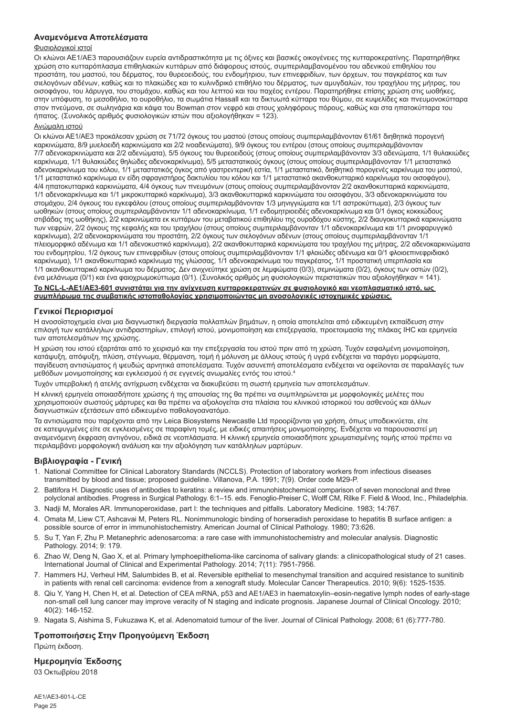## **Αναμενόμενα Αποτελέσματα**

### Φυσιολογικοί ιστοί

Οι κλώνοι AE1/AE3 παρουσιάζουν ευρεία αντιδραστικότητα με τις όξινες και βασικές οικογένειες της κυτταροκερατίνης. Παρατηρήθηκε χρώση στο κυτταρόπλασμα επιθηλιακών κυττάρων από διάφορους ιστούς, συμπεριλαμβανομένου του αδενικού επιθηλίου του προστάτη, του μαστού, του δέρματος, του θυρεοειδούς, του ενδομήτριου, των επινεφριδίων, των όρχεων, του παγκρέατος και των σιελογόνων αδένων, καθώς και το πλακώδες και το κυλινδρικό επιθήλιο του δέρματος, των αμυγδαλών, του τραχήλου της μήτρας, του οισοφάγου, του λάρυγγα, του στομάχου, καθώς και του λεπτού και του παχέος εντέρου. Παρατηρήθηκε επίσης χρώση στις ωοθήκες, στην υπόφυση, το μεσοθήλιο, το ουροθήλιο, τα σωμάτια Hassall και τα δικτυωτά κύτταρα του θύμου, σε κυψελίδες και πνευμονοκύτταρα στον πνεύμονα, σε σωληνάρια και κάψα του Bowman στον νεφρό και στους χοληφόρους πόρους, καθώς και στα ηπατοκύτταρα του ήπατος. (Συνολικός αριθμός φυσιολογικών ιστών που αξιολογήθηκαν = 123).

## Ανώμαλη ιστού

Οι κλώνοι AE1/AE3 προκάλεσαν χρώση σε 71/72 όγκους του μαστού (στους οποίους συμπεριλαμβάνονταν 61/61 διηθητικά πορογενή καρκινώματα, 8/9 μυελοειδή καρκινώματα και 2/2 ινοαδενώματα), 9/9 όγκους του εντέρου (στους οποίους συμπεριλαμβάνονταν 7/7 αδενοκαρκινώματα και 2/2 αδενώματα), 5/5 όγκους του θυρεοειδούς (στους οποίους συμπεριλαμβάνονταν 3/3 αδενώματα, 1/1 θυλακιώδες καρκίνωμα, 1/1 θυλακιώδες θηλώδες αδενοκαρκίνωμα), 5/5 μεταστατικούς όγκους (στους οποίους συμπεριλαμβάνονταν 1/1 μεταστατικό αδενοκαρκίνωμα του κόλου, 1/1 μεταστατικός όγκος από γαστρεντερική εστία, 1/1 μεταστατικό, διηθητικό πορογενές καρκίνωμα του μαστού, 1/1 μεταστατικό καρκίνωμα εν είδη σφραγιστήρος δακτυλίου του κόλου και 1/1 μεταστατικό ακανθοκυτταρικό καρκίνωμα του οισοφάγου), 4/4 ηπατοκυτταρικά καρκινώματα, 4/4 όγκους των πνευμόνων (στους οποίους συμπεριλαμβάνονταν 2/2 ακανθοκυτταρικά καρκινώματα, 1/1 αδενοκαρκίνωμα και 1/1 μικροκυτταρικό καρκίνωμα), 3/3 ακανθοκυτταρικά καρκινώματα του οισοφάγου, 3/3 αδενοκαρκινώματα του στομάχου, 2/4 όγκους του εγκεφάλου (στους οποίους συμπεριλαμβάνονταν 1/3 μηνιγγιώματα και 1/1 αστροκύττωμα), 2/3 όγκους των ωοθηκών (στους οποίους συμπεριλαμβάνονταν 1/1 αδενοκαρκίνωμα, 1/1 ενδομητριοειδές αδενοκαρκίνωμα και 0/1 όγκος κοκκιώδους στιβάδας της ωοθήκης), 2/2 καρκινώματα εκ κυττάρων του μεταβατικού επιθηλίου της ουροδόχου κύστης, 2/2 διαυγοκυτταρικά καρκινώματα των νεφρών, 2/2 όγκους της κεφαλής και του τραχήλου (στους οποίους συμπεριλαμβάνονταν 1/1 αδενοκαρκίνωμα και 1/1 ρινοφαρυγγικό καρκίνωμα), 2/2 αδενοκαρκινώματα του προστάτη, 2/2 όγκους των σιελογόνων αδένων (στους οποίους συμπεριλαμβάνονταν 1/1 πλειομορφικό αδένωμα και 1/1 αδενοκυστικό καρκίνωμα), 2/2 ακανθοκυτταρικά καρκινώματα του τραχήλου της μήτρας, 2/2 αδενοκαρκινώματα του ενδομητρίου, 1/2 όγκους των επινεφριδίων (στους οποίους συμπεριλαμβάνονταν 1/1 φλοιώδες αδένωμα και 0/1 φλοιοεπινεφριδιακό καρκίνωμα), 1/1 ακανθοκυτταρικό καρκίνωμα της γλώσσας, 1/1 αδενοκαρκίνωμα του παγκρέατος, 1/1 προστατική υπερπλασία και 1/1 ακανθοκυτταρικό καρκίνωμα του δέρματος. Δεν ανιχνεύτηκε χρώση σε λεμφώματα (0/3), σεμινώματα (0/2), όγκους των οστών (0/2), ένα μελάνωμα (0/1) και ένα φαιοχρωμοκύττωμα (0/1). (Συνολικός αριθμός μη φυσιολογικών περιστατικών που αξιολογήθηκαν = 141). **Το NCL-L-AE1/AE3-601 συνιστάται για την ανίχνευση κυτταροκερατινών σε φυσιολογικό και νεοπλασματικό ιστό, ως** 

**συμπλήρωμα της συμβατικής ιστοπαθολογίας χρησιμοποιώντας μη ανοσολογικές ιστοχημικές χρώσεις.**

## **Γενικοί Περιορισμοί**

Η ανοσοϊστοχημεία είναι μια διαγνωστική διεργασία πολλαπλών βημάτων, η οποία αποτελείται από ειδικευμένη εκπαίδευση στην επιλογή των κατάλληλων αντιδραστηρίων, επιλογή ιστού, μονιμοποίηση και επεξεργασία, προετοιμασία της πλάκας IHC και ερμηνεία των αποτελεσμάτων της χρώσης.

Η χρώση του ιστού εξαρτάται από το χειρισμό και την επεξεργασία του ιστού πριν από τη χρώση. Τυχόν εσφαλμένη μονιμοποίηση, κατάψυξη, απόψυξη, πλύση, στέγνωμα, θέρμανση, τομή ή μόλυνση με άλλους ιστούς ή υγρά ενδέχεται να παράγει μορφώματα, παγίδευση αντισώματος ή ψευδώς αρνητικά αποτελέσματα. Τυχόν ασυνεπή αποτελέσματα ενδέχεται να οφείλονται σε παραλλαγές των μεθόδων μονιμοποίησης και εγκλεισμού ή σε εγγενείς ανωμαλίες εντός του ιστού.4

Τυχόν υπερβολική ή ατελής αντίχρωση ενδέχεται να διακυβεύσει τη σωστή ερμηνεία των αποτελεσμάτων.

Η κλινική ερμηνεία οποιασδήποτε χρώσης ή της απουσίας της θα πρέπει να συμπληρώνεται με μορφολογικές μελέτες που χρησιμοποιούν σωστούς μάρτυρες και θα πρέπει να αξιολογείται στα πλαίσια του κλινικού ιστορικού του ασθενούς και άλλων διαγνωστικών εξετάσεων από ειδικευμένο παθολογοανατόμο.

Τα αντισώματα που παρέχονται από την Leica Biosystems Newcastle Ltd προορίζονται για χρήση, όπως υποδεικνύεται, είτε σε κατεψυγμένες είτε σε εγκλεισμένες σε παραφίνη τομές, με ειδικές απαιτήσεις μονιμοποίησης. Ενδέχεται να παρουσιαστεί μη αναμενόμενη έκφραση αντιγόνου, ειδικά σε νεοπλάσματα. Η κλινική ερμηνεία οποιασδήποτε χρωματισμένης τομής ιστού πρέπει να περιλαμβάνει μορφολογική ανάλυση και την αξιολόγηση των κατάλληλων μαρτύρων.

## **Βιβλιογραφία - Γενική**

- 1. National Committee for Clinical Laboratory Standards (NCCLS). Protection of laboratory workers from infectious diseases transmitted by blood and tissue; proposed guideline. Villanova, P.A. 1991; 7(9). Order code M29-P.
- 2. Battifora H. Diagnostic uses of antibodies to keratins: a review and immunohistochemical comparison of seven monoclonal and three polyclonal antibodies. Progress in Surgical Pathology. 6:1–15. eds. Fenoglio-Preiser C, Wolff CM, Rilke F. Field & Wood, Inc., Philadelphia.
- 3. Nadji M, Morales AR. Immunoperoxidase, part I: the techniques and pitfalls. Laboratory Medicine. 1983; 14:767.
- 4. Omata M, Liew CT, Ashcavai M, Peters RL. Nonimmunologic binding of horseradish peroxidase to hepatitis B surface antigen: a possible source of error in immunohistochemistry. American Journal of Clinical Pathology. 1980; 73:626.
- 5. Su T, Yan F, Zhu P. Metanephric adenosarcoma: a rare case with immunohistochemistry and molecular analysis. Diagnostic Pathology. 2014; 9: 179.
- 6. Zhao W, Deng N, Gao X, et al. Primary lymphoepithelioma-like carcinoma of salivary glands: a clinicopathological study of 21 cases. International Journal of Clinical and Experimental Pathology. 2014; 7(11): 7951-7956.
- 7. Hammers HJ, Verheul HM, Salumbides B, et al. Reversible epithelial to mesenchymal transition and acquired resistance to sunitinib in patients with renal cell carcinoma: evidence from a xenograft study. Molecular Cancer Therapeutics. 2010; 9(6): 1525-1535.
- 8. Qiu Y, Yang H, Chen H, et al. Detection of CEA mRNA, p53 and AE1/AE3 in haematoxylin–eosin-negative lymph nodes of early-stage non-small cell lung cancer may improve veracity of N staging and indicate prognosis. Japanese Journal of Clinical Oncology. 2010; 40(2): 146-152.
- 9. Nagata S, Aishima S, Fukuzawa K, et al. Adenomatoid tumour of the liver. Journal of Clinical Pathology. 2008; 61 (6):777-780.

## **Τροποποιήσεις Στην Προηγούμενη Έκδοση**

Πρώτη έκδοση.

## **Ημερομηνία Έκδοσης**

03 Οκτωβρίου 2018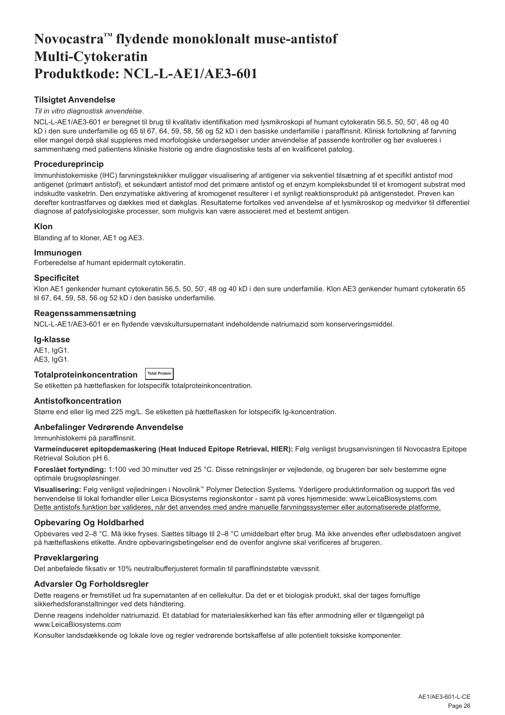# <span id="page-26-0"></span>**Novocastra™ flydende monoklonalt muse-antistof Multi-Cytokeratin Produktkode: NCL-L-AE1/AE3-601**

## **Tilsigtet Anvendelse**

#### *Til in vitro diagnostisk anvendelse*.

NCL-L-AE1/AE3-601 er beregnet til brug til kvalitativ identifikation med lysmikroskopi af humant cytokeratin 56,5, 50, 50', 48 og 40 kD i den sure underfamilie og 65 til 67, 64, 59, 58, 56 og 52 kD i den basiske underfamilie i paraffinsnit. Klinisk fortolkning af farvning eller mangel derpå skal suppleres med morfologiske undersøgelser under anvendelse af passende kontroller og bør evalueres i sammenhæng med patientens kliniske historie og andre diagnostiske tests af en kvalificeret patolog.

## **Procedureprincip**

Immunhistokemiske (IHC) farvningsteknikker muliggør visualisering af antigener via sekventiel tilsætning af et specifikt antistof mod antigenet (primært antistof), et sekundært antistof mod det primære antistof og et enzym kompleksbundet til et kromogent substrat med indskudte vasketrin. Den enzymatiske aktivering af kromogenet resulterer i et synligt reaktionsprodukt på antigenstedet. Prøven kan derefter kontrastfarves og dækkes med et dækglas. Resultaterne fortolkes ved anvendelse af et lysmikroskop og medvirker til differentiel diagnose af patofysiologiske processer, som muligvis kan være associeret med et bestemt antigen.

#### **Klon**

Blanding af to kloner, AE1 og AE3.

#### **Immunogen**

Forberedelse af humant epidermalt cytokeratin.

#### **Specificitet**

Klon AE1 genkender humant cytokeratin 56,5, 50, 50', 48 og 40 kD i den sure underfamilie. Klon AE3 genkender humant cytokeratin 65 til 67, 64, 59, 58, 56 og 52 kD i den basiske underfamilie.

## **Reagenssammensætning**

NCL-L-AE1/AE3-601 er en flydende vævskultursupernatant indeholdende natriumazid som konserveringsmiddel.

#### **Ig-klasse**

AE1, IgG1. AE3, IgG1.

**Totalproteinkoncentration Total Protein**

Se etiketten på hætteflasken for lotspecifik totalproteinkoncentration.

#### **Antistofkoncentration**

Større end eller lig med 225 mg/L. Se etiketten på hætteflasken for lotspecifik Ig-koncentration.

#### **Anbefalinger Vedrørende Anvendelse**

Immunhistokemi på paraffinsnit.

**Varmeinduceret epitopdemaskering (Heat Induced Epitope Retrieval, HIER):** Følg venligst brugsanvisningen til Novocastra Epitope Retrieval Solution pH 6.

**Foreslået fortynding:** 1:100 ved 30 minutter ved 25 °C. Disse retningslinjer er vejledende, og brugeren bør selv bestemme egne optimale brugsopløsninger.

**Visualisering:** Følg venligst vejledningen i Novolink™ Polymer Detection Systems. Yderligere produktinformation og support fås ved henvendelse til lokal forhandler eller Leica Biosystems regionskontor - samt på vores hjemmeside: www.LeicaBiosystems.com Dette antistofs funktion bør valideres, når det anvendes med andre manuelle farvningssystemer eller automatiserede platforme.

## **Opbevaring Og Holdbarhed**

Opbevares ved 2–8 °C. Må ikke fryses. Sættes tilbage til 2–8 °C umiddelbart efter brug. Må ikke anvendes efter udløbsdatoen angivet på hætteflaskens etikette. Andre opbevaringsbetingelser end de ovenfor angivne skal verificeres af brugeren.

## **Prøveklargøring**

Det anbefalede fiksativ er 10% neutralbufferjusteret formalin til paraffinindstøbte vævssnit.

## **Advarsler Og Forholdsregler**

Dette reagens er fremstillet ud fra supernatanten af en cellekultur. Da det er et biologisk produkt, skal der tages fornuftige sikkerhedsforanstaltninger ved dets håndtering.

Denne reagens indeholder natriumazid. Et datablad for materialesikkerhed kan fås efter anmodning eller er tilgængeligt på www.LeicaBiosystems.com

Konsulter landsdækkende og lokale love og regler vedrørende bortskaffelse af alle potentielt toksiske komponenter.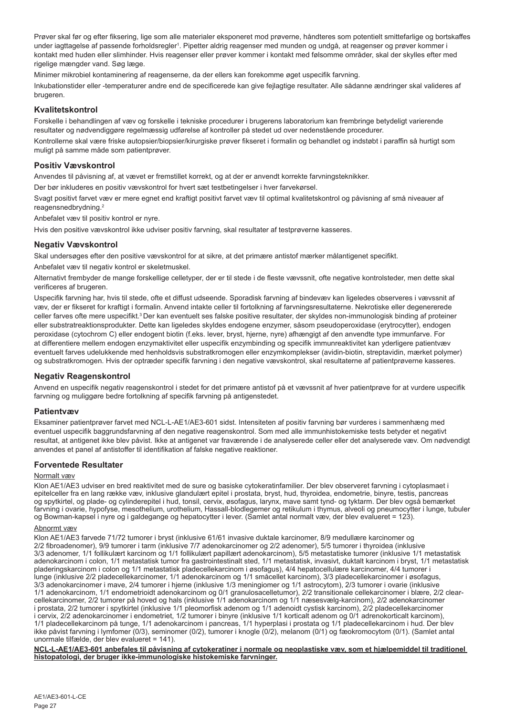Prøver skal før og efter fiksering, lige som alle materialer eksponeret mod prøverne, håndteres som potentielt smittefarlige og bortskaffes under iagttagelse af passende forholdsregler<sup>ı</sup>. Pipetter aldrig reagenser med munden og undgå, at reagenser og prøver kommer i kontakt med huden eller slimhinder. Hvis reagenser eller prøver kommer i kontakt med følsomme områder, skal der skylles efter med rigelige mængder vand. Søg læge.

Minimer mikrobiel kontaminering af reagenserne, da der ellers kan forekomme øget uspecifik farvning.

Inkubationstider eller -temperaturer andre end de specificerede kan give fejlagtige resultater. Alle sådanne ændringer skal valideres af brugeren.

## **Kvalitetskontrol**

Forskelle i behandlingen af væv og forskelle i tekniske procedurer i brugerens laboratorium kan frembringe betydeligt varierende resultater og nødvendiggøre regelmæssig udførelse af kontroller på stedet ud over nedenstående procedurer.

Kontrollerne skal være friske autopsier/biopsier/kirurgiske prøver fikseret i formalin og behandlet og indstøbt i paraffin så hurtigt som muligt på samme måde som patientprøver.

## **Positiv Vævskontrol**

Anvendes til påvisning af, at vævet er fremstillet korrekt, og at der er anvendt korrekte farvningsteknikker.

Der bør inkluderes en positiv vævskontrol for hvert sæt testbetingelser i hver farvekørsel.

Svagt positivt farvet væv er mere egnet end kraftigt positivt farvet væv til optimal kvalitetskontrol og påvisning af små niveauer af reagensnedbrydning.<sup>2</sup>

Anbefalet væv til positiv kontrol er nyre.

Hvis den positive vævskontrol ikke udviser positiv farvning, skal resultater af testprøverne kasseres.

#### **Negativ Vævskontrol**

Skal undersøges efter den positive vævskontrol for at sikre, at det primære antistof mærker målantigenet specifikt.

Anbefalet væv til negativ kontrol er skeletmuskel.

Alternativt frembyder de mange forskellige celletyper, der er til stede i de fleste vævssnit, ofte negative kontrolsteder, men dette skal verificeres af brugeren.

Uspecifik farvning har, hvis til stede, ofte et diffust udseende. Sporadisk farvning af bindevæv kan ligeledes observeres i vævssnit af væv, der er fikseret for kraftigt i formalin. Anvend intakte celler til fortolkning af farvningsresultaterne. Nekrotiske eller degenererede celler farves ofte mere uspecifikt.<sup>3</sup> Der kan eventuelt ses falske positive resultater, der skyldes non-immunologisk binding af proteiner eller substratreaktionsprodukter. Dette kan ligeledes skyldes endogene enzymer, såsom pseudoperoxidase (erytrocytter), endogen peroxidase (cytochrom C) eller endogent biotin (f.eks. lever, bryst, hjerne, nyre) afhængigt af den anvendte type immunfarve. For at differentiere mellem endogen enzymaktivitet eller uspecifik enzymbinding og specifik immunreaktivitet kan yderligere patientvæv eventuelt farves udelukkende med henholdsvis substratkromogen eller enzymkomplekser (avidin-biotin, streptavidin, mærket polymer) og substratkromogen. Hvis der optræder specifik farvning i den negative vævskontrol, skal resultaterne af patientprøverne kasseres.

#### **Negativ Reagenskontrol**

Anvend en uspecifik negativ reagenskontrol i stedet for det primære antistof på et vævssnit af hver patientprøve for at vurdere uspecifik farvning og muliggøre bedre fortolkning af specifik farvning på antigenstedet.

#### **Patientvæv**

Eksaminer patientprøver farvet med NCL-L-AE1/AE3-601 sidst. Intensiteten af positiv farvning bør vurderes i sammenhæng med eventuel uspecifik baggrundsfarvning af den negative reagenskontrol. Som med alle immunhistokemiske tests betyder et negativt resultat, at antigenet ikke blev påvist. Ikke at antigenet var fraværende i de analyserede celler eller det analyserede væv. Om nødvendigt anvendes et panel af antistoffer til identifikation af falske negative reaktioner.

## **Forventede Resultater**

#### Normalt væv

Klon AE1/AE3 udviser en bred reaktivitet med de sure og basiske cytokeratinfamilier. Der blev observeret farvning i cytoplasmaet i epitelceller fra en lang række væv, inklusive glandulært epitel i prostata, bryst, hud, thyroidea, endometrie, binyre, testis, pancreas og spytkirtel, og plade- og cylinderepitel i hud, tonsil, cervix, øsofagus, larynx, mave samt tynd- og tyktarm. Der blev også bemærket farvning i ovarie, hypofyse, mesothelium, urothelium, Hassall-blodlegemer og retikulum i thymus, alveoli og pneumocytter i lunge, tubuler og Bowman-kapsel i nyre og i galdegange og hepatocytter i lever. (Samlet antal normalt væv, der blev evalueret = 123).

#### Abnormt væv

Klon AE1/AE3 farvede 71/72 tumorer i bryst (inklusive 61/61 invasive duktale karcinomer, 8/9 medullære karcinomer og 2/2 fibroadenomer), 9/9 tumorer i tarm (inklusive 7/7 adenokarcinomer og 2/2 adenomer), 5/5 tumorer i thyroidea (inklusive 3/3 adenomer, 1/1 follikulært karcinom og 1/1 follikulært papillært adenokarcinom), 5/5 metastatiske tumorer (inklusive 1/1 metastatisk adenokarcinom i colon, 1/1 metastatisk tumor fra gastrointestinalt sted, 1/1 metastatisk, invasivt, duktalt karcinom i bryst, 1/1 metastatisk pladeringskarcinom i colon og 1/1 metastatisk pladecellekarcinom i øsofagus), 4/4 hepatocellulære karcinomer, 4/4 tumorer i<br>lunge (inklusive 2/2 pladecellekarcinomer, 1/1 adenokarcinom og 1/1 småcellet karcinom), 3/3 plade 3/3 adenokarcinomer i mave, 2/4 tumorer i hjerne (inklusive 1/3 meningiomer og 1/1 astrocytom), 2/3 tumorer i ovarie (inklusive 1/1 adenokarcinom, 1/1 endometrioidt adenokarcinom og 0/1 granulosacelletumor), 2/2 transitionale cellekarcinomer i blære, 2/2 clearcellekarcinomer, 2/2 tumorer på hoved og hals (inklusive 1/1 adenokarcinom og 1/1 næsesvælg-karcinom), 2/2 adenokarcinomer i prostata, 2/2 tumorer i spytkirtel (inklusive 1/1 pleomorfisk adenom og 1/1 adenoidt cystisk karcinom), 2/2 pladecellekarcinomer i cervix, 2/2 adenokarcinomer i endometriet, 1/2 tumorer i binyre (inklusive 1/1 korticalt adenom og 0/1 adrenokorticalt karcinom), 1/1 pladecellekarcinom på tunge, 1/1 adenokarcinom i pancreas, 1/1 hyperplasi i prostata og 1/1 pladecellekarcinom i hud. Der blev ikke påvist farvning i lymfomer (0/3), seminomer (0/2), tumorer i knogle (0/2), melanom (0/1) og fæokromocytom (0/1). (Samlet antal unormale tilfælde, der blev evalueret = 141).

**NCL-L-AE1/AE3-601 anbefales til påvisning af cytokeratiner i normale og neoplastiske væv, som et hjælpemiddel til traditionel histopatologi, der bruger ikke-immunologiske histokemiske farvninger.**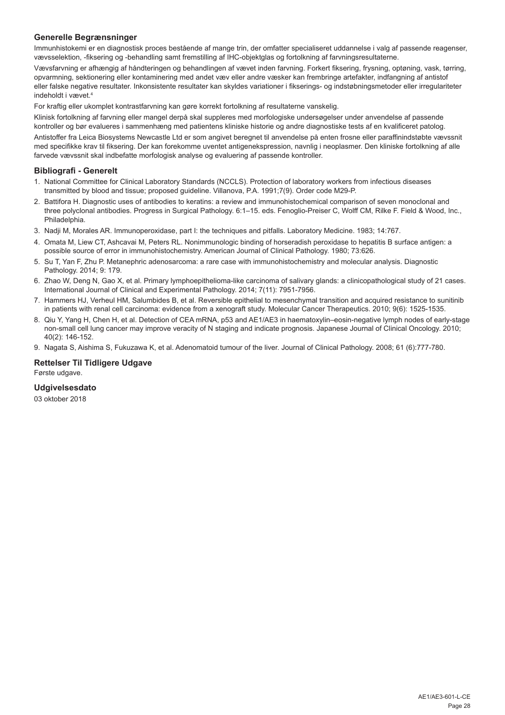## **Generelle Begrænsninger**

Immunhistokemi er en diagnostisk proces bestående af mange trin, der omfatter specialiseret uddannelse i valg af passende reagenser, vævsselektion, -fiksering og -behandling samt fremstilling af IHC-objektglas og fortolkning af farvningsresultaterne.

Vævsfarvning er afhængig af håndteringen og behandlingen af vævet inden farvning. Forkert fiksering, frysning, optøning, vask, tørring, opvarmning, sektionering eller kontaminering med andet væv eller andre væsker kan frembringe artefakter, indfangning af antistof eller falske negative resultater. Inkonsistente resultater kan skyldes variationer i fikserings- og indstøbningsmetoder eller irregulariteter indeholdt i vævet.4

For kraftig eller ukomplet kontrastfarvning kan gøre korrekt fortolkning af resultaterne vanskelig.

Klinisk fortolkning af farvning eller mangel derpå skal suppleres med morfologiske undersøgelser under anvendelse af passende kontroller og bør evalueres i sammenhæng med patientens kliniske historie og andre diagnostiske tests af en kvalificeret patolog.

Antistoffer fra Leica Biosystems Newcastle Ltd er som angivet beregnet til anvendelse på enten frosne eller paraffinindstøbte vævssnit med specifikke krav til fiksering. Der kan forekomme uventet antigenekspression, navnlig i neoplasmer. Den kliniske fortolkning af alle farvede vævssnit skal indbefatte morfologisk analyse og evaluering af passende kontroller.

## **Bibliografi - Generelt**

- 1. National Committee for Clinical Laboratory Standards (NCCLS). Protection of laboratory workers from infectious diseases transmitted by blood and tissue; proposed guideline. Villanova, P.A. 1991;7(9). Order code M29-P.
- 2. Battifora H. Diagnostic uses of antibodies to keratins: a review and immunohistochemical comparison of seven monoclonal and three polyclonal antibodies. Progress in Surgical Pathology. 6:1–15. eds. Fenoglio-Preiser C, Wolff CM, Rilke F. Field & Wood, Inc., Philadelphia.
- 3. Nadji M, Morales AR. Immunoperoxidase, part I: the techniques and pitfalls. Laboratory Medicine. 1983; 14:767.
- 4. Omata M, Liew CT, Ashcavai M, Peters RL. Nonimmunologic binding of horseradish peroxidase to hepatitis B surface antigen: a possible source of error in immunohistochemistry. American Journal of Clinical Pathology. 1980; 73:626.
- 5. Su T, Yan F, Zhu P. Metanephric adenosarcoma: a rare case with immunohistochemistry and molecular analysis. Diagnostic Pathology. 2014; 9: 179.
- 6. Zhao W, Deng N, Gao X, et al. Primary lymphoepithelioma-like carcinoma of salivary glands: a clinicopathological study of 21 cases. International Journal of Clinical and Experimental Pathology. 2014; 7(11): 7951-7956.
- 7. Hammers HJ, Verheul HM, Salumbides B, et al. Reversible epithelial to mesenchymal transition and acquired resistance to sunitinib in patients with renal cell carcinoma: evidence from a xenograft study. Molecular Cancer Therapeutics. 2010; 9(6): 1525-1535.
- 8. Qiu Y, Yang H, Chen H, et al. Detection of CEA mRNA, p53 and AE1/AE3 in haematoxylin–eosin-negative lymph nodes of early-stage non-small cell lung cancer may improve veracity of N staging and indicate prognosis. Japanese Journal of Clinical Oncology. 2010; 40(2): 146-152.
- 9. Nagata S, Aishima S, Fukuzawa K, et al. Adenomatoid tumour of the liver. Journal of Clinical Pathology. 2008; 61 (6):777-780.

## **Rettelser Til Tidligere Udgave**

Første udgave.

## **Udgivelsesdato**

03 oktober 2018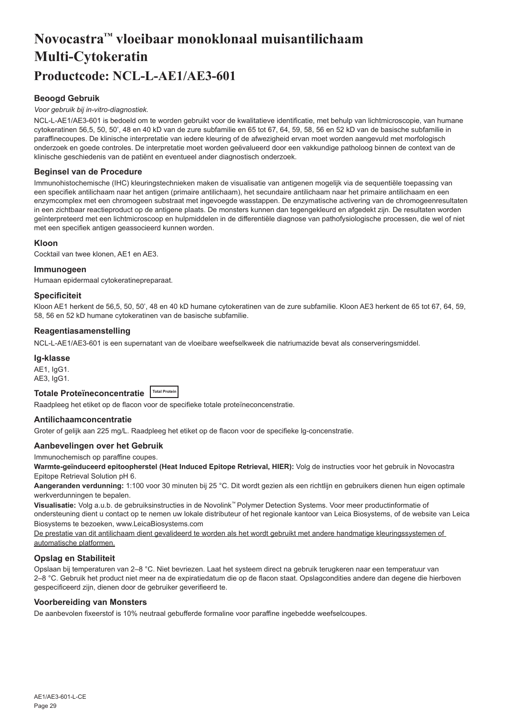# <span id="page-29-0"></span>**Novocastra™ vloeibaar monoklonaal muisantilichaam Multi-Cytokeratin Productcode: NCL-L-AE1/AE3-601**

## **Beoogd Gebruik**

#### *Voor gebruik bij in-vitro-diagnostiek.*

NCL-L-AE1/AE3-601 is bedoeld om te worden gebruikt voor de kwalitatieve identificatie, met behulp van lichtmicroscopie, van humane cytokeratinen 56,5, 50, 50', 48 en 40 kD van de zure subfamilie en 65 tot 67, 64, 59, 58, 56 en 52 kD van de basische subfamilie in paraffinecoupes. De klinische interpretatie van iedere kleuring of de afwezigheid ervan moet worden aangevuld met morfologisch onderzoek en goede controles. De interpretatie moet worden geëvalueerd door een vakkundige patholoog binnen de context van de klinische geschiedenis van de patiënt en eventueel ander diagnostisch onderzoek.

## **Beginsel van de Procedure**

Immunohistochemische (IHC) kleuringstechnieken maken de visualisatie van antigenen mogelijk via de sequentiële toepassing van een specifiek antilichaam naar het antigen (primaire antilichaam), het secundaire antilichaam naar het primaire antilichaam en een enzymcomplex met een chromogeen substraat met ingevoegde wasstappen. De enzymatische activering van de chromogeenresultaten in een zichtbaar reactieproduct op de antigene plaats. De monsters kunnen dan tegengekleurd en afgedekt zijn. De resultaten worden geïnterpreteerd met een lichtmicroscoop en hulpmiddelen in de differentiële diagnose van pathofysiologische processen, die wel of niet met een specifiek antigen geassocieerd kunnen worden.

#### **Kloon**

Cocktail van twee klonen, AE1 en AE3.

#### **Immunogeen**

Humaan epidermaal cytokeratinepreparaat.

### **Specificiteit**

Kloon AE1 herkent de 56,5, 50, 50', 48 en 40 kD humane cytokeratinen van de zure subfamilie. Kloon AE3 herkent de 65 tot 67, 64, 59, 58, 56 en 52 kD humane cytokeratinen van de basische subfamilie.

## **Reagentiasamenstelling**

NCL-L-AE1/AE3-601 is een supernatant van de vloeibare weefselkweek die natriumazide bevat als conserveringsmiddel.

#### **Ig-klasse**

AE1, IgG1. AE3, IgG1.

## **Totale Proteïneconcentratie Total Protein**

Raadpleeg het etiket op de flacon voor de specifieke totale proteïneconcenstratie.

## **Antilichaamconcentratie**

Groter of gelijk aan 225 mg/L. Raadpleeg het etiket op de flacon voor de specifieke lg-concenstratie.

## **Aanbevelingen over het Gebruik**

#### Immunochemisch op paraffine coupes.

**Warmte-geïnduceerd epitoopherstel (Heat Induced Epitope Retrieval, HIER):** Volg de instructies voor het gebruik in Novocastra Epitope Retrieval Solution pH 6.

**Aangeranden verdunning:** 1:100 voor 30 minuten bij 25 °C. Dit wordt gezien als een richtlijn en gebruikers dienen hun eigen optimale werkverdunningen te bepalen.

**Visualisatie:** Volg a.u.b. de gebruiksinstructies in de Novolink™ Polymer Detection Systems. Voor meer productinformatie of ondersteuning dient u contact op te nemen uw lokale distributeur of het regionale kantoor van Leica Biosystems, of de website van Leica Biosystems te bezoeken, www.LeicaBiosystems.com

De prestatie van dit antilichaam dient gevalideerd te worden als het wordt gebruikt met andere handmatige kleuringssystemen of automatische platformen.

#### **Opslag en Stabiliteit**

Opslaan bij temperaturen van 2–8 °C. Niet bevriezen. Laat het systeem direct na gebruik terugkeren naar een temperatuur van 2–8 °C. Gebruik het product niet meer na de expiratiedatum die op de flacon staat. Opslagcondities andere dan degene die hierboven gespecificeerd zijn, dienen door de gebruiker geverifieerd te.

#### **Voorbereiding van Monsters**

De aanbevolen fixeerstof is 10% neutraal gebufferde formaline voor paraffine ingebedde weefselcoupes.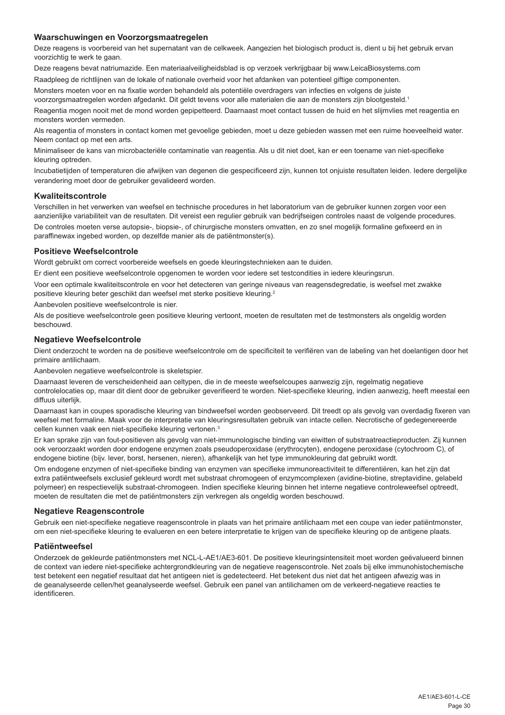## **Waarschuwingen en Voorzorgsmaatregelen**

Deze reagens is voorbereid van het supernatant van de celkweek. Aangezien het biologisch product is, dient u bij het gebruik ervan voorzichtig te werk te gaan.

Deze reagens bevat natriumazide. Een materiaalveiligheidsblad is op verzoek verkrijgbaar bij www.LeicaBiosystems.com

Raadpleeg de richtlijnen van de lokale of nationale overheid voor het afdanken van potentieel giftige componenten.

Monsters moeten voor en na fixatie worden behandeld als potentiële overdragers van infecties en volgens de juiste voorzorgsmaatregelen worden afgedankt. Dit geldt tevens voor alle materialen die aan de monsters zijn blootgesteld.<sup>1</sup>

Reagentia mogen nooit met de mond worden gepipetteerd. Daarnaast moet contact tussen de huid en het slijmvlies met reagentia en monsters worden vermeden.

Als reagentia of monsters in contact komen met gevoelige gebieden, moet u deze gebieden wassen met een ruime hoeveelheid water. Neem contact op met een arts.

Minimaliseer de kans van microbacteriële contaminatie van reagentia. Als u dit niet doet, kan er een toename van niet-specifieke kleuring optreden.

Incubatietijden of temperaturen die afwijken van degenen die gespecificeerd zijn, kunnen tot onjuiste resultaten leiden. Iedere dergelijke verandering moet door de gebruiker gevalideerd worden.

## **Kwaliteitscontrole**

Verschillen in het verwerken van weefsel en technische procedures in het laboratorium van de gebruiker kunnen zorgen voor een aanzienlijke variabiliteit van de resultaten. Dit vereist een regulier gebruik van bedrijfseigen controles naast de volgende procedures. De controles moeten verse autopsie-, biopsie-, of chirurgische monsters omvatten, en zo snel mogelijk formaline gefixeerd en in paraffinewax ingebed worden, op dezelfde manier als de patiëntmonster(s).

## **Positieve Weefselcontrole**

Wordt gebruikt om correct voorbereide weefsels en goede kleuringstechnieken aan te duiden.

Er dient een positieve weefselcontrole opgenomen te worden voor iedere set testcondities in iedere kleuringsrun.

Voor een optimale kwaliteitscontrole en voor het detecteren van geringe niveaus van reagensdegredatie, is weefsel met zwakke positieve kleuring beter geschikt dan weefsel met sterke positieve kleuring.<sup>2</sup>

Aanbevolen positieve weefselcontrole is nier.

Als de positieve weefselcontrole geen positieve kleuring vertoont, moeten de resultaten met de testmonsters als ongeldig worden beschouwd.

#### **Negatieve Weefselcontrole**

Dient onderzocht te worden na de positieve weefselcontrole om de specificiteit te verifiëren van de labeling van het doelantigen door het primaire antilichaam.

Aanbevolen negatieve weefselcontrole is skeletspier.

Daarnaast leveren de verscheidenheid aan celtypen, die in de meeste weefselcoupes aanwezig zijn, regelmatig negatieve controlelocaties op, maar dit dient door de gebruiker geverifieerd te worden. Niet-specifieke kleuring, indien aanwezig, heeft meestal een diffuus uiterlijk.

Daarnaast kan in coupes sporadische kleuring van bindweefsel worden geobserveerd. Dit treedt op als gevolg van overdadig fixeren van weefsel met formaline. Maak voor de interpretatie van kleuringsresultaten gebruik van intacte cellen. Necrotische of gedegenereerde cellen kunnen vaak een niet-specifieke kleuring vertonen.<sup>3</sup>

Er kan sprake zijn van fout-positieven als gevolg van niet-immunologische binding van eiwitten of substraatreactieproducten. Zij kunnen ook veroorzaakt worden door endogene enzymen zoals pseudoperoxidase (erythrocyten), endogene peroxidase (cytochroom C), of endogene biotine (bijv. lever, borst, hersenen, nieren), afhankelijk van het type immunokleuring dat gebruikt wordt.

Om endogene enzymen of niet-specifieke binding van enzymen van specifieke immunoreactiviteit te differentiëren, kan het zijn dat extra patiëntweefsels exclusief gekleurd wordt met substraat chromogeen of enzymcomplexen (avidine-biotine, streptavidine, gelabeld polymeer) en respectievelijk substraat-chromogeen. Indien specifieke kleuring binnen het interne negatieve controleweefsel optreedt, moeten de resultaten die met de patiëntmonsters zijn verkregen als ongeldig worden beschouwd.

#### **Negatieve Reagenscontrole**

Gebruik een niet-specifieke negatieve reagenscontrole in plaats van het primaire antilichaam met een coupe van ieder patiëntmonster, om een niet-specifieke kleuring te evalueren en een betere interpretatie te krijgen van de specifieke kleuring op de antigene plaats.

#### **Patiëntweefsel**

Onderzoek de gekleurde patiëntmonsters met NCL-L-AE1/AE3-601. De positieve kleuringsintensiteit moet worden geëvalueerd binnen de context van iedere niet-specifieke achtergrondkleuring van de negatieve reagenscontrole. Net zoals bij elke immunohistochemische test betekent een negatief resultaat dat het antigeen niet is gedetecteerd. Het betekent dus niet dat het antigeen afwezig was in de geanalyseerde cellen/het geanalyseerde weefsel. Gebruik een panel van antilichamen om de verkeerd-negatieve reacties te identificeren.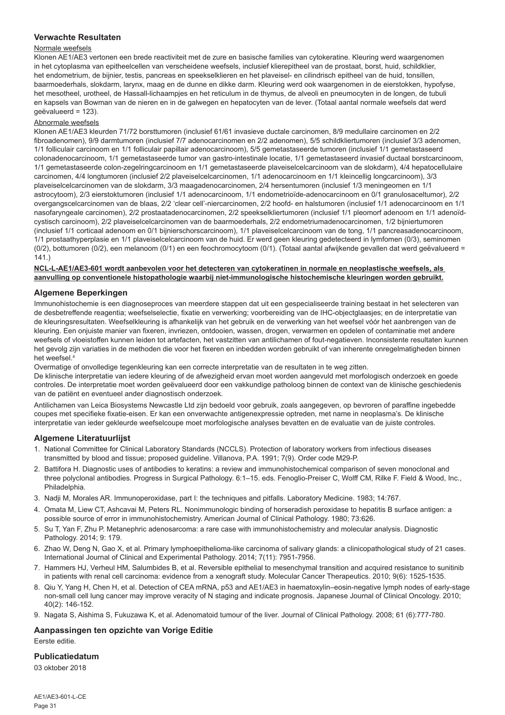## **Verwachte Resultaten**

#### Normale weefsels

Klonen AE1/AE3 vertonen een brede reactiviteit met de zure en basische families van cytokeratine. Kleuring werd waargenomen in het cytoplasma van epitheelcellen van verscheidene weefsels, inclusief klierepitheel van de prostaat, borst, huid, schildklier, het endometrium, de bijnier, testis, pancreas en speekselklieren en het plaveisel- en cilindrisch epitheel van de huid, tonsillen, baarmoederhals, slokdarm, larynx, maag en de dunne en dikke darm. Kleuring werd ook waargenomen in de eierstokken, hypofyse, het mesotheel, urotheel, de Hassall-lichaampjes en het reticulum in de thymus, de alveoli en pneumocyten in de longen, de tubuli en kapsels van Bowman van de nieren en in de galwegen en hepatocyten van de lever. (Totaal aantal normale weefsels dat werd geëvalueerd = 123).

## Abnormale weefsels

Klonen AE1/AE3 kleurden 71/72 borsttumoren (inclusief 61/61 invasieve ductale carcinomen, 8/9 medullaire carcinomen en 2/2 fibroadenomen), 9/9 darmtumoren (inclusief 7/7 adenocarcinomen en 2/2 adenomen), 5/5 schildkliertumoren (inclusief 3/3 adenomen, 1/1 folliculair carcinoom en 1/1 folliculair papillair adenocarcinoom), 5/5 gemetastaseerde tumoren (inclusief 1/1 gemetastaseerd colonadenocarcinoom, 1/1 gemetastaseerde tumor van gastro-intestinale locatie, 1/1 gemetastaseerd invasief ductaal borstcarcinoom, 1/1 gemetastaseerde colon-zegelringcarcinoom en 1/1 gemetastaseerde plaveiselcelcarcinoom van de slokdarm), 4/4 hepatocellulaire carcinomen, 4/4 longtumoren (inclusief 2/2 plaveiselcelcarcinomen, 1/1 adenocarcinoom en 1/1 kleincellig longcarcinoom), 3/3 plaveiselcelcarcinomen van de slokdarm, 3/3 maagadenocarcinomen, 2/4 hersentumoren (inclusief 1/3 meningeomen en 1/1 astrocytoom), 2/3 eierstoktumoren (inclusief 1/1 adenocarcinoom, 1/1 endometrioïde-adenocarcinoom en 0/1 granulosaceltumor), 2/2 overgangscelcarcinomen van de blaas, 2/2 'clear cell'-niercarcinomen, 2/2 hoofd- en halstumoren (inclusief 1/1 adenocarcinoom en 1/1 nasofaryngeale carcinomen), 2/2 prostaatadenocarcinomen, 2/2 speekselkliertumoren (inclusief 1/1 pleomorf adenoom en 1/1 adenoïdcystisch carcinoom), 2/2 plaveiselcelcarcinomen van de baarmoederhals, 2/2 endometriumadenocarcinomen, 1/2 bijniertumoren (inclusief 1/1 corticaal adenoom en 0/1 bijnierschorscarcinoom), 1/1 plaveiselcelcarcinoom van de tong, 1/1 pancreasadenocarcinoom, 1/1 prostaathyperplasie en 1/1 plaveiselcelcarcinoom van de huid. Er werd geen kleuring gedetecteerd in lymfomen (0/3), seminomen (0/2), bottumoren (0/2), een melanoom (0/1) en een feochromocytoom (0/1). (Totaal aantal afwijkende gevallen dat werd geëvalueerd = 141.)

#### **NCL-L-AE1/AE3-601 wordt aanbevolen voor het detecteren van cytokeratinen in normale en neoplastische weefsels, als aanvulling op conventionele histopathologie waarbij niet-immunologische histochemische kleuringen worden gebruikt.**

#### **Algemene Beperkingen**

Immunohistochemie is een diagnoseproces van meerdere stappen dat uit een gespecialiseerde training bestaat in het selecteren van de desbetreffende reagentia; weefselselectie, fixatie en verwerking; voorbereiding van de IHC-objectglaasjes; en de interpretatie van de kleuringsresultaten. Weefselkleuring is afhankelijk van het gebruik en de verwerking van het weefsel vóór het aanbrengen van de kleuring. Een onjuiste manier van fixeren, invriezen, ontdooien, wassen, drogen, verwarmen en opdelen of contaminatie met andere weefsels of vloeistoffen kunnen leiden tot artefacten, het vastzitten van antilichamen of fout-negatieven. Inconsistente resultaten kunnen het gevolg zijn variaties in de methoden die voor het fixeren en inbedden worden gebruikt of van inherente onregelmatigheden binnen het weefsel.<sup>4</sup>

Overmatige of onvolledige tegenkleuring kan een correcte interpretatie van de resultaten in te weg zitten.

De klinische interpretatie van iedere kleuring of de afwezigheid ervan moet worden aangevuld met morfologisch onderzoek en goede controles. De interpretatie moet worden geëvalueerd door een vakkundige patholoog binnen de context van de klinische geschiedenis van de patiënt en eventueel ander diagnostisch onderzoek.

Antilichamen van Leica Biosystems Newcastle Ltd zijn bedoeld voor gebruik, zoals aangegeven, op bevroren of paraffine ingebedde coupes met specifieke fixatie-eisen. Er kan een onverwachte antigenexpressie optreden, met name in neoplasma's. De klinische interpretatie van ieder gekleurde weefselcoupe moet morfologische analyses bevatten en de evaluatie van de juiste controles.

## **Algemene Literatuurlijst**

- 1. National Committee for Clinical Laboratory Standards (NCCLS). Protection of laboratory workers from infectious diseases transmitted by blood and tissue; proposed guideline. Villanova, P.A. 1991; 7(9). Order code M29-P.
- 2. Battifora H. Diagnostic uses of antibodies to keratins: a review and immunohistochemical comparison of seven monoclonal and three polyclonal antibodies. Progress in Surgical Pathology. 6:1–15. eds. Fenoglio-Preiser C, Wolff CM, Rilke F. Field & Wood, Inc., Philadelphia.
- 3. Nadji M, Morales AR. Immunoperoxidase, part I: the techniques and pitfalls. Laboratory Medicine. 1983; 14:767.
- 4. Omata M, Liew CT, Ashcavai M, Peters RL. Nonimmunologic binding of horseradish peroxidase to hepatitis B surface antigen: a possible source of error in immunohistochemistry. American Journal of Clinical Pathology. 1980; 73:626.
- 5. Su T, Yan F, Zhu P. Metanephric adenosarcoma: a rare case with immunohistochemistry and molecular analysis. Diagnostic Pathology. 2014; 9: 179.
- 6. Zhao W, Deng N, Gao X, et al. Primary lymphoepithelioma-like carcinoma of salivary glands: a clinicopathological study of 21 cases. International Journal of Clinical and Experimental Pathology. 2014; 7(11): 7951-7956.
- 7. Hammers HJ, Verheul HM, Salumbides B, et al. Reversible epithelial to mesenchymal transition and acquired resistance to sunitinib in patients with renal cell carcinoma: evidence from a xenograft study. Molecular Cancer Therapeutics. 2010; 9(6): 1525-1535.
- 8. Qiu Y, Yang H, Chen H, et al. Detection of CEA mRNA, p53 and AE1/AE3 in haematoxylin–eosin-negative lymph nodes of early-stage non-small cell lung cancer may improve veracity of N staging and indicate prognosis. Japanese Journal of Clinical Oncology. 2010; 40(2): 146-152.
- 9. Nagata S, Aishima S, Fukuzawa K, et al. Adenomatoid tumour of the liver. Journal of Clinical Pathology. 2008; 61 (6):777-780.

#### **Aanpassingen ten opzichte van Vorige Editie**

Eerste editie.

## **Publicatiedatum**

03 oktober 2018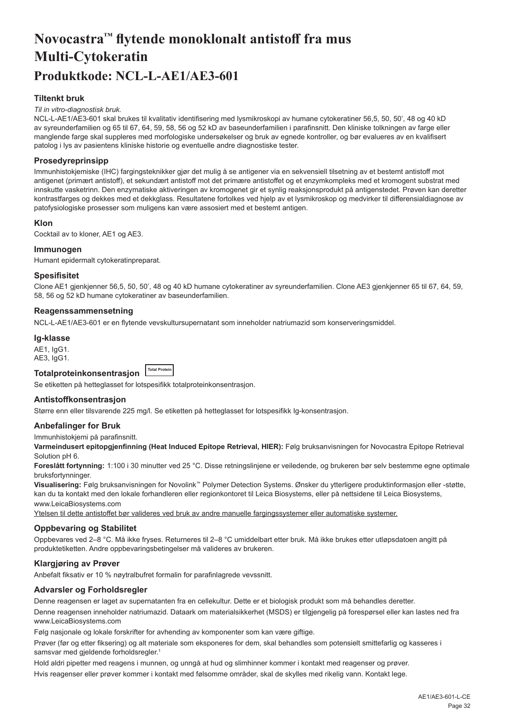# <span id="page-32-0"></span>**Novocastra™ flytende monoklonalt antistoff fra mus Multi-Cytokeratin Produktkode: NCL-L-AE1/AE3-601**

## **Tiltenkt bruk**

#### *Til in vitro-diagnostisk bruk.*

NCL-L-AE1/AE3-601 skal brukes til kvalitativ identifisering med lysmikroskopi av humane cytokeratiner 56,5, 50, 50', 48 og 40 kD av syreunderfamilien og 65 til 67, 64, 59, 58, 56 og 52 kD av baseunderfamilien i parafinsnitt. Den kliniske tolkningen av farge eller manglende farge skal suppleres med morfologiske undersøkelser og bruk av egnede kontroller, og bør evalueres av en kvalifisert patolog i lys av pasientens kliniske historie og eventuelle andre diagnostiske tester.

#### **Prosedyreprinsipp**

Immunhistokjemiske (IHC) fargingsteknikker gjør det mulig å se antigener via en sekvensiell tilsetning av et bestemt antistoff mot antigenet (primært antistoff), et sekundært antistoff mot det primære antistoffet og et enzymkompleks med et kromogent substrat med innskutte vasketrinn. Den enzymatiske aktiveringen av kromogenet gir et synlig reaksjonsprodukt på antigenstedet. Prøven kan deretter kontrastfarges og dekkes med et dekkglass. Resultatene fortolkes ved hjelp av et lysmikroskop og medvirker til differensialdiagnose av patofysiologiske prosesser som muligens kan være assosiert med et bestemt antigen.

#### **Klon**

Cocktail av to kloner, AE1 og AE3.

### **Immunogen**

Humant epidermalt cytokeratinpreparat.

#### **Spesifisitet**

Clone AE1 gjenkjenner 56,5, 50, 50', 48 og 40 kD humane cytokeratiner av syreunderfamilien. Clone AE3 gjenkjenner 65 til 67, 64, 59, 58, 56 og 52 kD humane cytokeratiner av baseunderfamilien.

## **Reagenssammensetning**

NCL-L-AE1/AE3-601 er en flytende vevskultursupernatant som inneholder natriumazid som konserveringsmiddel.

#### **Ig-klasse**

AE1, IgG1. AE3, IgG1.

| Totalproteinkonsentrasion | <b>Total Protein</b> |
|---------------------------|----------------------|
|                           |                      |

Se etiketten på hetteglasset for lotspesifikk totalproteinkonsentrasjon.

#### **Antistoffkonsentrasjon**

Større enn eller tilsvarende 225 mg/l. Se etiketten på hetteglasset for lotspesifikk Ig-konsentrasjon.

## **Anbefalinger for Bruk**

Immunhistokjemi på parafinsnitt.

**Varmeindusert epitopgjenfinning (Heat Induced Epitope Retrieval, HIER):** Følg bruksanvisningen for Novocastra Epitope Retrieval Solution pH 6.

**Foreslått fortynning:** 1:100 i 30 minutter ved 25 °C. Disse retningslinjene er veiledende, og brukeren bør selv bestemme egne optimale bruksfortynninger.

**Visualisering:** Følg bruksanvisningen for Novolink™ Polymer Detection Systems. Ønsker du ytterligere produktinformasjon eller -støtte, kan du ta kontakt med den lokale forhandleren eller regionkontoret til Leica Biosystems, eller på nettsidene til Leica Biosystems, www.LeicaBiosystems.com

Ytelsen til dette antistoffet bør valideres ved bruk av andre manuelle fargingssystemer eller automatiske systemer.

## **Oppbevaring og Stabilitet**

Oppbevares ved 2–8 °C. Må ikke fryses. Returneres til 2–8 °C umiddelbart etter bruk. Må ikke brukes etter utløpsdatoen angitt på produktetiketten. Andre oppbevaringsbetingelser må valideres av brukeren.

## **Klargjøring av Prøver**

Anbefalt fiksativ er 10 % nøytralbufret formalin for parafinlagrede vevssnitt.

## **Advarsler og Forholdsregler**

Denne reagensen er laget av supernatanten fra en cellekultur. Dette er et biologisk produkt som må behandles deretter.

Denne reagensen inneholder natriumazid. Dataark om materialsikkerhet (MSDS) er tilgjengelig på forespørsel eller kan lastes ned fra www.LeicaBiosystems.com

Følg nasjonale og lokale forskrifter for avhending av komponenter som kan være giftige.

Prøver (før og etter fiksering) og alt materiale som eksponeres for dem, skal behandles som potensielt smittefarlig og kasseres i samsvar med gjeldende forholdsregler.<sup>1</sup>

Hold aldri pipetter med reagens i munnen, og unngå at hud og slimhinner kommer i kontakt med reagenser og prøver.

Hvis reagenser eller prøver kommer i kontakt med følsomme områder, skal de skylles med rikelig vann. Kontakt lege.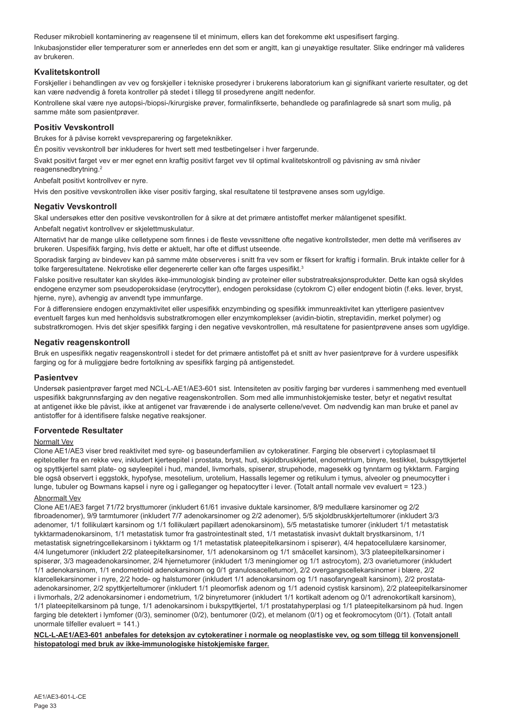Reduser mikrobiell kontaminering av reagensene til et minimum, ellers kan det forekomme økt uspesifisert farging.

Inkubasjonstider eller temperaturer som er annerledes enn det som er angitt, kan gi unøyaktige resultater. Slike endringer må valideres av brukeren.

#### **Kvalitetskontroll**

Forskjeller i behandlingen av vev og forskjeller i tekniske prosedyrer i brukerens laboratorium kan gi signifikant varierte resultater, og det kan være nødvendig å foreta kontroller på stedet i tillegg til prosedyrene angitt nedenfor.

Kontrollene skal være nye autopsi-/biopsi-/kirurgiske prøver, formalinfikserte, behandlede og parafinlagrede så snart som mulig, på samme måte som pasientprøver.

## **Positiv Vevskontroll**

Brukes for å påvise korrekt vevspreparering og fargeteknikker.

Én positiv vevskontroll bør inkluderes for hvert sett med testbetingelser i hver fargerunde.

Svakt positivt farget vev er mer egnet enn kraftig positivt farget vev til optimal kvalitetskontroll og påvisning av små nivåer reagensnedbrytning.<sup>2</sup>

Anbefalt positivt kontrollvev er nyre.

Hvis den positive vevskontrollen ikke viser positiv farging, skal resultatene til testprøvene anses som ugyldige.

#### **Negativ Vevskontroll**

Skal undersøkes etter den positive vevskontrollen for å sikre at det primære antistoffet merker målantigenet spesifikt.

Anbefalt negativt kontrollvev er skjelettmuskulatur.

Alternativt har de mange ulike celletypene som finnes i de fleste vevssnittene ofte negative kontrollsteder, men dette må verifiseres av brukeren. Uspesifikk farging, hvis dette er aktuelt, har ofte et diffust utseende.

Sporadisk farging av bindevev kan på samme måte observeres i snitt fra vev som er fiksert for kraftig i formalin. Bruk intakte celler for å tolke fargeresultatene. Nekrotiske eller degenererte celler kan ofte farges uspesifikt.<sup>3</sup>

Falske positive resultater kan skyldes ikke-immunologisk binding av proteiner eller substratreaksjonsprodukter. Dette kan også skyldes endogene enzymer som pseudoperoksidase (erytrocytter), endogen peroksidase (cytokrom C) eller endogent biotin (f.eks. lever, bryst, hjerne, nyre), avhengig av anvendt type immunfarge.

For å differensiere endogen enzymaktivitet eller uspesifikk enzymbinding og spesifikk immunreaktivitet kan ytterligere pasientvev eventuelt farges kun med henholdsvis substratkromogen eller enzymkomplekser (avidin-biotin, streptavidin, merket polymer) og substratkromogen. Hvis det skjer spesifikk farging i den negative vevskontrollen, må resultatene for pasientprøvene anses som ugyldige.

#### **Negativ reagenskontroll**

Bruk en uspesifikk negativ reagenskontroll i stedet for det primære antistoffet på et snitt av hver pasientprøve for å vurdere uspesifikk farging og for å muliggjøre bedre fortolkning av spesifikk farging på antigenstedet.

## **Pasientvev**

Undersøk pasientprøver farget med NCL-L-AE1/AE3-601 sist. Intensiteten av positiv farging bør vurderes i sammenheng med eventuell uspesifikk bakgrunnsfarging av den negative reagenskontrollen. Som med alle immunhistokjemiske tester, betyr et negativt resultat at antigenet ikke ble påvist, ikke at antigenet var fraværende i de analyserte cellene/vevet. Om nødvendig kan man bruke et panel av antistoffer for å identifisere falske negative reaksjoner.

#### **Forventede Resultater**

#### Normalt Vev

Clone AE1/AE3 viser bred reaktivitet med syre- og baseunderfamilien av cytokeratiner. Farging ble observert i cytoplasmaet til epitelceller fra en rekke vev, inkludert kjerteepitel i prostata, bryst, hud, skjoldbruskkjertel, endometrium, binyre, testikkel, bukspyttkjertel og spyttkjertel samt plate- og søyleepitel i hud, mandel, livmorhals, spiserør, strupehode, magesekk og tynntarm og tykktarm. Farging ble også observert i eggstokk, hypofyse, mesotelium, urotelium, Hassalls legemer og retikulum i tymus, alveoler og pneumocytter i lunge, tubuler og Bowmans kapsel i nyre og i galleganger og hepatocytter i lever. (Totalt antall normale vev evaluert = 123.)

## Abnormalt Vev

Clone AE1/AE3 farget 71/72 brysttumorer (inkludert 61/61 invasive duktale karsinomer, 8/9 medullære karsinomer og 2/2 fibroadenomer), 9/9 tarmtumorer (inkludert 7/7 adenokarsinomer og 2/2 adenomer), 5/5 skjoldbruskkjerteltumorer (inkludert 3/3 adenomer, 1/1 follikulært karsinom og 1/1 follikulært papillært adenokarsinom), 5/5 metastatiske tumorer (inkludert 1/1 metastatisk tykktarmadenokarsinom, 1/1 metastatisk tumor fra gastrointestinalt sted, 1/1 metastatisk invasivt duktalt brystkarsinom, 1/1 metastatisk signetringcellekarsinom i tykktarm og 1/1 metastatisk plateepitelkarsinom i spiserør), 4/4 hepatocellulære karsinomer, 4/4 lungetumorer (inkludert 2/2 plateepitelkarsinomer, 1/1 adenokarsinom og 1/1 småcellet karsinom), 3/3 plateepitelkarsinomer i spiserør, 3/3 mageadenokarsinomer, 2/4 hjernetumorer (inkludert 1/3 meningiomer og 1/1 astrocytom), 2/3 ovarietumorer (inkludert 1/1 adenokarsinom, 1/1 endometrioid adenokarsinom og 0/1 granulosacelletumor), 2/2 overgangscellekarsinomer i blære, 2/2 klarcellekarsinomer i nyre, 2/2 hode- og halstumorer (inkludert 1/1 adenokarsinom og 1/1 nasofaryngealt karsinom), 2/2 prostataadenokarsinomer, 2/2 spyttkjerteltumorer (inkludert 1/1 pleomorfisk adenom og 1/1 adenoid cystisk karsinom), 2/2 plateepitelkarsinomer i livmorhals, 2/2 adenokarsinomer i endometrium, 1/2 binyretumorer (inkludert 1/1 kortikalt adenom og 0/1 adrenokortikalt karsinom), 1/1 plateepitelkarsinom på tunge, 1/1 adenokarsinom i bukspyttkjertel, 1/1 prostatahyperplasi og 1/1 plateepitelkarsinom på hud. Ingen farging ble detektert i lymfomer (0/3), seminomer (0/2), bentumorer (0/2), et melanom (0/1) og et feokromocytom (0/1). (Totalt antall unormale tilfeller evaluert = 141.)

**NCL-L-AE1/AE3-601 anbefales for deteksjon av cytokeratiner i normale og neoplastiske vev, og som tillegg til konvensjonell histopatologi med bruk av ikke-immunologiske histokjemiske farger.**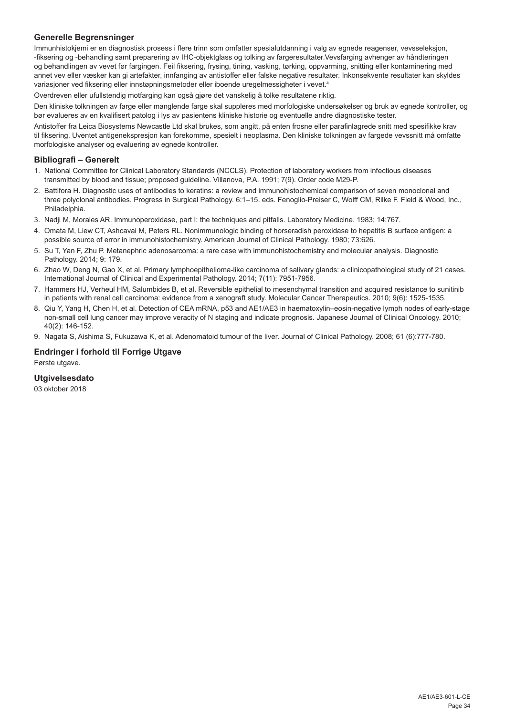## **Generelle Begrensninger**

Immunhistokjemi er en diagnostisk prosess i flere trinn som omfatter spesialutdanning i valg av egnede reagenser, vevsseleksjon, -fiksering og -behandling samt preparering av IHC-objektglass og tolking av fargeresultater.Vevsfarging avhenger av håndteringen og behandlingen av vevet før fargingen. Feil fiksering, frysing, tining, vasking, tørking, oppvarming, snitting eller kontaminering med annet vev eller væsker kan gi artefakter, innfanging av antistoffer eller falske negative resultater. Inkonsekvente resultater kan skyldes variasjoner ved fiksering eller innstøpningsmetoder eller iboende uregelmessigheter i vevet.4

Overdreven eller ufullstendig motfarging kan også gjøre det vanskelig å tolke resultatene riktig.

Den kliniske tolkningen av farge eller manglende farge skal suppleres med morfologiske undersøkelser og bruk av egnede kontroller, og bør evalueres av en kvalifisert patolog i lys av pasientens kliniske historie og eventuelle andre diagnostiske tester.

Antistoffer fra Leica Biosystems Newcastle Ltd skal brukes, som angitt, på enten frosne eller parafinlagrede snitt med spesifikke krav til fiksering. Uventet antigenekspresjon kan forekomme, spesielt i neoplasma. Den kliniske tolkningen av fargede vevssnitt må omfatte morfologiske analyser og evaluering av egnede kontroller.

#### **Bibliografi – Generelt**

- 1. National Committee for Clinical Laboratory Standards (NCCLS). Protection of laboratory workers from infectious diseases transmitted by blood and tissue; proposed guideline. Villanova, P.A. 1991; 7(9). Order code M29-P.
- 2. Battifora H. Diagnostic uses of antibodies to keratins: a review and immunohistochemical comparison of seven monoclonal and three polyclonal antibodies. Progress in Surgical Pathology. 6:1–15. eds. Fenoglio-Preiser C, Wolff CM, Rilke F. Field & Wood, Inc., Philadelphia.
- 3. Nadji M, Morales AR. Immunoperoxidase, part I: the techniques and pitfalls. Laboratory Medicine. 1983; 14:767.
- 4. Omata M, Liew CT, Ashcavai M, Peters RL. Nonimmunologic binding of horseradish peroxidase to hepatitis B surface antigen: a possible source of error in immunohistochemistry. American Journal of Clinical Pathology. 1980; 73:626.
- 5. Su T, Yan F, Zhu P. Metanephric adenosarcoma: a rare case with immunohistochemistry and molecular analysis. Diagnostic Pathology. 2014; 9: 179.
- 6. Zhao W, Deng N, Gao X, et al. Primary lymphoepithelioma-like carcinoma of salivary glands: a clinicopathological study of 21 cases. International Journal of Clinical and Experimental Pathology. 2014; 7(11): 7951-7956.
- 7. Hammers HJ, Verheul HM, Salumbides B, et al. Reversible epithelial to mesenchymal transition and acquired resistance to sunitinib in patients with renal cell carcinoma: evidence from a xenograft study. Molecular Cancer Therapeutics. 2010; 9(6): 1525-1535.
- 8. Qiu Y, Yang H, Chen H, et al. Detection of CEA mRNA, p53 and AE1/AE3 in haematoxylin–eosin-negative lymph nodes of early-stage non-small cell lung cancer may improve veracity of N staging and indicate prognosis. Japanese Journal of Clinical Oncology. 2010; 40(2): 146-152.
- 9. Nagata S, Aishima S, Fukuzawa K, et al. Adenomatoid tumour of the liver. Journal of Clinical Pathology. 2008; 61 (6):777-780.

#### **Endringer i forhold til Forrige Utgave**

Første utgave.

#### **Utgivelsesdato**

03 oktober 2018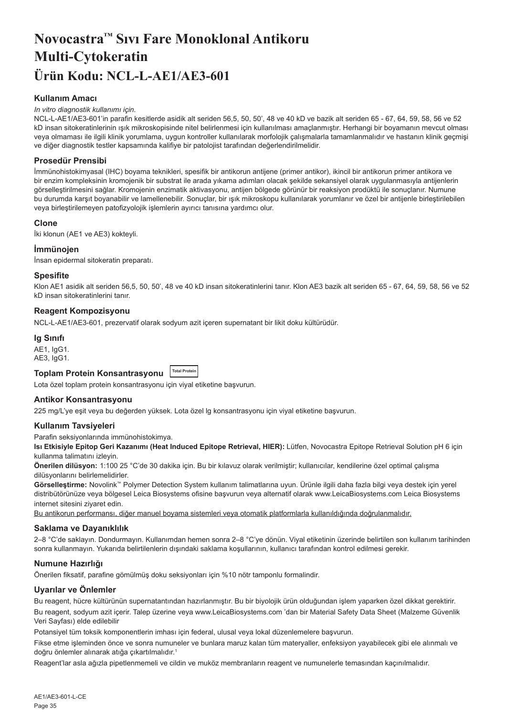# <span id="page-35-0"></span>**Novocastra™ Sıvı Fare Monoklonal Antikoru Multi-Cytokeratin Ürün Kodu: NCL-L-AE1/AE3-601**

## **Kullanım Amacı**

#### *In vitro diagnostik kullanımı için.*

NCL-L-AE1/AE3-601'in parafin kesitlerde asidik alt seriden 56,5, 50, 50', 48 ve 40 kD ve bazik alt seriden 65 - 67, 64, 59, 58, 56 ve 52 kD insan sitokeratinlerinin ışık mikroskopisinde nitel belirlenmesi için kullanılması amaçlanmıştır. Herhangi bir boyamanın mevcut olması veya olmaması ile ilgili klinik yorumlama, uygun kontroller kullanılarak morfolojik çalışmalarla tamamlanmalıdır ve hastanın klinik geçmişi ve diğer diagnostik testler kapsamında kalifiye bir patolojist tarafından değerlendirilmelidir.

## **Prosedür Prensibi**

İmmünohistokimyasal (IHC) boyama teknikleri, spesifik bir antikorun antijene (primer antikor), ikincil bir antikorun primer antikora ve bir enzim kompleksinin kromojenik bir substrat ile arada yıkama adımları olacak şekilde sekansiyel olarak uygulanmasıyla antijenlerin görselleştirilmesini sağlar. Kromojenin enzimatik aktivasyonu, antijen bölgede görünür bir reaksiyon prodüktü ile sonuçlanır. Numune bu durumda karşıt boyanabilir ve lamellenebilir. Sonuçlar, bir ışık mikroskopu kullanılarak yorumlanır ve özel bir antijenle birleştirilebilen veya birleştirilemeyen patofizyolojik işlemlerin ayırıcı tanısına yardımcı olur.

#### **Clone**

İki klonun (AE1 ve AE3) kokteyli.

#### **İmmünojen**

İnsan epidermal sitokeratin preparatı.

#### **Spesifite**

Klon AE1 asidik alt seriden 56,5, 50, 50', 48 ve 40 kD insan sitokeratinlerini tanır. Klon AE3 bazik alt seriden 65 - 67, 64, 59, 58, 56 ve 52 kD insan sitokeratinlerini tanır.

## **Reagent Kompozisyonu**

NCL-L-AE1/AE3-601, prezervatif olarak sodyum azit içeren supernatant bir likit doku kültürüdür.

#### **Ig Sınıfı**

AE1, IgG1. AE3, IgG1.

## **Toplam Protein Konsantrasyonu Total Protein**

Lota özel toplam protein konsantrasyonu için viyal etiketine başvurun.

#### **Antikor Konsantrasyonu**

225 mg/L'ye eşit veya bu değerden yüksek. Lota özel lg konsantrasyonu için viyal etiketine başvurun.

## **Kullanım Tavsiyeleri**

Parafin seksiyonlarında immünohistokimya.

**Isı Etkisiyle Epitop Geri Kazanımı (Heat Induced Epitope Retrieval, HIER):** Lütfen, Novocastra Epitope Retrieval Solution pH 6 için kullanma talimatını izleyin.

**Önerilen dilüsyon:** 1:100 25 °C'de 30 dakika için. Bu bir kılavuz olarak verilmiştir; kullanıcılar, kendilerine özel optimal çalışma dilüsyonlarını belirlemelidirler.

**Görselleştirme:** Novolink™ Polymer Detection System kullanım talimatlarına uyun. Ürünle ilgili daha fazla bilgi veya destek için yerel distribütörünüze veya bölgesel Leica Biosystems ofisine başvurun veya alternatif olarak www.LeicaBiosystems.com Leica Biosystems internet sitesini ziyaret edin.

Bu antikorun performansı, diğer manuel boyama sistemleri veya otomatik platformlarla kullanıldığında doğrulanmalıdır.

#### **Saklama ve Dayanıklılık**

2–8 °C'de saklayın. Dondurmayın. Kullanımdan hemen sonra 2–8 °C'ye dönün. Viyal etiketinin üzerinde belirtilen son kullanım tarihinden sonra kullanmayın. Yukarıda belirtilenlerin dışındaki saklama koşullarının, kullanıcı tarafından kontrol edilmesi gerekir.

#### **Numune Hazırlığı**

Önerilen fiksatif, parafine gömülmüş doku seksiyonları için %10 nötr tamponlu formalindir.

## **Uyarılar ve Önlemler**

Bu reagent, hücre kültürünün supernatantından hazırlanmıştır. Bu bir biyolojik ürün olduğundan işlem yaparken özel dikkat gerektirir.

Bu reagent, sodyum azit içerir. Talep üzerine veya www.LeicaBiosystems.com 'dan bir Material Safety Data Sheet (Malzeme Güvenlik Veri Sayfası) elde edilebilir

Potansiyel tüm toksik komponentlerin imhası için federal, ulusal veya lokal düzenlemelere başvurun.

Fikse etme işleminden önce ve sonra numuneler ve bunlara maruz kalan tüm materyaller, enfeksiyon yayabilecek gibi ele alınmalı ve doğru önlemler alınarak atığa çıkartılmalıdır.<sup>1</sup>

Reagent'lar asla ağızla pipetlenmemeli ve cildin ve muköz membranların reagent ve numunelerle temasından kaçınılmalıdır.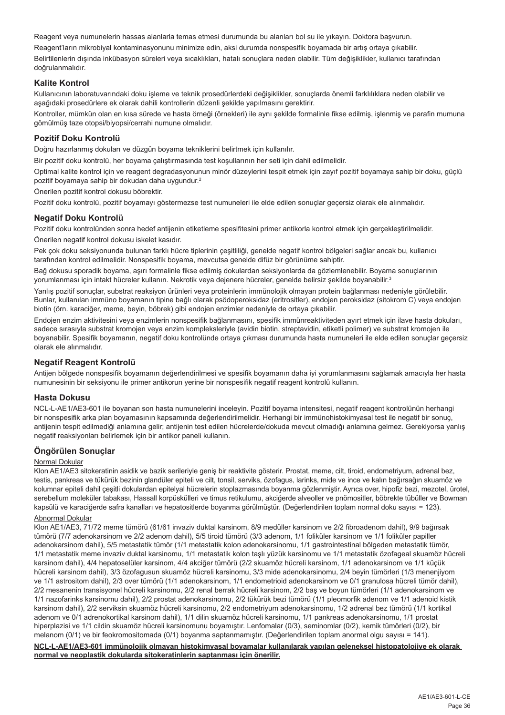Reagent veya numunelerin hassas alanlarla temas etmesi durumunda bu alanları bol su ile yıkayın. Doktora başvurun.

Reagent'ların mikrobiyal kontaminasyonunu minimize edin, aksi durumda nonspesifik boyamada bir artış ortaya çıkabilir.

Belirtilenlerin dışında inkübasyon süreleri veya sıcaklıkları, hatalı sonuçlara neden olabilir. Tüm değişiklikler, kullanıcı tarafından doğrulanmalıdır.

## **Kalite Kontrol**

Kullanıcının laboratuvarındaki doku işleme ve teknik prosedürlerdeki değişiklikler, sonuçlarda önemli farklılıklara neden olabilir ve aşağıdaki prosedürlere ek olarak dahili kontrollerin düzenli şekilde yapılmasını gerektirir.

Kontroller, mümkün olan en kısa sürede ve hasta örneği (örnekleri) ile aynı şekilde formalinle fikse edilmiş, işlenmiş ve parafin mumuna gömülmüş taze otopsi/biyopsi/cerrahi numune olmalıdır.

## **Pozitif Doku Kontrolü**

Doğru hazırlanmış dokuları ve düzgün boyama tekniklerini belirtmek için kullanılır.

Bir pozitif doku kontrolü, her boyama çalıştırmasında test koşullarının her seti için dahil edilmelidir.

Optimal kalite kontrol için ve reagent degradasyonunun minör düzeylerini tespit etmek için zayıf pozitif boyamaya sahip bir doku, güçlü pozitif boyamaya sahip bir dokudan daha uygundur.<sup>2</sup>

Önerilen pozitif kontrol dokusu böbrektir.

Pozitif doku kontrolü, pozitif boyamayı göstermezse test numuneleri ile elde edilen sonuçlar geçersiz olarak ele alınmalıdır.

## **Negatif Doku Kontrolü**

Pozitif doku kontrolünden sonra hedef antijenin etiketleme spesifitesini primer antikorla kontrol etmek için gerçekleştirilmelidir. Önerilen negatif kontrol dokusu iskelet kasıdır.

Pek çok doku seksiyonunda bulunan farklı hücre tiplerinin çeşitliliği, genelde negatif kontrol bölgeleri sağlar ancak bu, kullanıcı tarafından kontrol edilmelidir. Nonspesifik boyama, mevcutsa genelde difüz bir görünüme sahiptir.

Bağ dokusu sporadik boyama, aşırı formalinle fikse edilmiş dokulardan seksiyonlarda da gözlemlenebilir. Boyama sonuçlarının yorumlanması için intakt hücreler kullanın. Nekrotik veya dejenere hücreler, genelde belirsiz şekilde boyanabilir.<sup>3</sup>

Yanlış pozitif sonuçlar, substrat reaksiyon ürünleri veya proteinlerin immünolojik olmayan protein bağlanması nedeniyle görülebilir. Bunlar, kullanılan immüno boyamanın tipine bağlı olarak psödoperoksidaz (eritrositler), endojen peroksidaz (sitokrom C) veya endojen biotin (örn. karaciğer, meme, beyin, böbrek) gibi endojen enzimler nedeniyle de ortaya çıkabilir.

Endojen enzim aktivitesini veya enzimlerin nonspesifik bağlanmasını, spesifik immünreaktiviteden ayırt etmek için ilave hasta dokuları, sadece sırasıyla substrat kromojen veya enzim kompleksleriyle (avidin biotin, streptavidin, etiketli polimer) ve substrat kromojen ile boyanabilir. Spesifik boyamanın, negatif doku kontrolünde ortaya çıkması durumunda hasta numuneleri ile elde edilen sonuçlar geçersiz olarak ele alınmalıdır.

## **Negatif Reagent Kontrolü**

Antijen bölgede nonspesifik boyamanın değerlendirilmesi ve spesifik boyamanın daha iyi yorumlanmasını sağlamak amacıyla her hasta numunesinin bir seksiyonu ile primer antikorun yerine bir nonspesifik negatif reagent kontrolü kullanın.

## **Hasta Dokusu**

NCL-L-AE1/AE3-601 ile boyanan son hasta numunelerini inceleyin. Pozitif boyama intensitesi, negatif reagent kontrolünün herhangi bir nonspesifik arka plan boyamasının kapsamında değerlendirilmelidir. Herhangi bir immünohistokimyasal test ile negatif bir sonuç, antijenin tespit edilmediği anlamına gelir; antijenin test edilen hücrelerde/dokuda mevcut olmadığı anlamına gelmez. Gerekiyorsa yanlış negatif reaksiyonları belirlemek için bir antikor paneli kullanın.

## **Öngörülen Sonuçlar**

#### Normal Dokular

Klon AE1/AE3 sitokeratinin asidik ve bazik serileriyle geniş bir reaktivite gösterir. Prostat, meme, cilt, tiroid, endometriyum, adrenal bez, testis, pankreas ve tükürük bezinin glandüler epiteli ve cilt, tonsil, serviks, özofagus, larinks, mide ve ince ve kalın bağırsağın skuamöz ve kolumnar epiteli dahil çeşitli dokulardan epitelyal hücrelerin stoplazmasında boyanma gözlenmiştir. Ayrıca over, hipofiz bezi, mezotel, ürotel, serebellum moleküler tabakası, Hassall korpüskülleri ve timus retikulumu, akciğerde alveoller ve pnömositler, böbrekte tübüller ve Bowman kapsülü ve karaciğerde safra kanalları ve hepatositlerde boyanma görülmüştür. (Değerlendirilen toplam normal doku sayısı = 123).

## Abnormal Dokular

Klon AE1/AE3, 71/72 meme tümörü (61/61 invaziv duktal karsinom, 8/9 medüller karsinom ve 2/2 fibroadenom dahil), 9/9 bağırsak tümörü (7/7 adenokarsinom ve 2/2 adenom dahil), 5/5 tiroid tümörü (3/3 adenom, 1/1 foliküler karsinom ve 1/1 foliküler papiller adenokarsinom dahil), 5/5 metastatik tümör (1/1 metastatik kolon adenokarsinomu, 1/1 gastrointestinal bölgeden metastatik tümör, 1/1 metastatik meme invaziv duktal karsinomu, 1/1 metastatik kolon taşlı yüzük karsinomu ve 1/1 metastatik özofageal skuamöz hücreli karsinom dahil), 4/4 hepatoselüler karsinom, 4/4 akciğer tümörü (2/2 skuamöz hücreli karsinom, 1/1 adenokarsinom ve 1/1 küçük hücreli karsinom dahil), 3/3 özofagusun skuamöz hücreli karsinomu, 3/3 mide adenokarsinomu, 2/4 beyin tümörleri (1/3 menenjiyom ve 1/1 astrositom dahil), 2/3 over tümörü (1/1 adenokarsinom, 1/1 endometrioid adenokarsinom ve 0/1 granulosa hücreli tümör dahil), 2/2 mesanenin transisyonel hücreli karsinomu, 2/2 renal berrak hücreli karsinom, 2/2 baş ve boyun tümörleri (1/1 adenokarsinom ve 1/1 nazofarinks karsinomu dahil), 2/2 prostat adenokarsinomu, 2/2 tükürük bezi tümörü (1/1 pleomorfik adenom ve 1/1 adenoid kistik karsinom dahil), 2/2 serviksin skuamöz hücreli karsinomu, 2/2 endometriyum adenokarsinomu, 1/2 adrenal bez tümörü (1/1 kortikal adenom ve 0/1 adrenokortikal karsinom dahil), 1/1 dilin skuamöz hücreli karsinomu, 1/1 pankreas adenokarsinomu, 1/1 prostat hiperplazisi ve 1/1 cildin skuamöz hücreli karsinomunu boyamıştır. Lenfomalar (0/3), seminomlar (0/2), kemik tümörleri (0/2), bir melanom (0/1) ve bir feokromositomada (0/1) boyanma saptanmamıştır. (Değerlendirilen toplam anormal olgu sayısı = 141).

**NCL-L-AE1/AE3-601 immünolojik olmayan histokimyasal boyamalar kullanılarak yapılan geleneksel histopatolojiye ek olarak normal ve neoplastik dokularda sitokeratinlerin saptanması için önerilir.**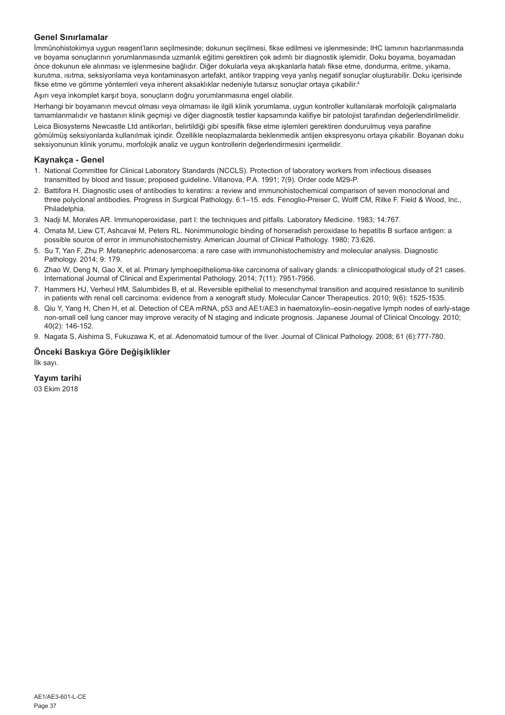## **Genel Sınırlamalar**

İmmünohistokimya uygun reagent'ların seçilmesinde; dokunun seçilmesi, fikse edilmesi ve işlenmesinde; IHC lamının hazırlanmasında ve boyama sonuçlarının yorumlanmasında uzmanlık eğitimi gerektiren çok adımlı bir diagnostik işlemidir. Doku boyama, boyamadan önce dokunun ele alınması ve işlenmesine bağlıdır. Diğer dokularla veya akışkanlarla hatalı fikse etme, dondurma, eritme, yıkama, kurutma, ısıtma, seksiyonlama veya kontaminasyon artefakt, antikor trapping veya yanlış negatif sonuçlar oluşturabilir. Doku içerisinde fikse etme ve gömme yöntemleri veya inherent aksaklıklar nedeniyle tutarsız sonuçlar ortaya çıkabilir. 4

Aşırı veya inkomplet karşıt boya, sonuçların doğru yorumlanmasına engel olabilir.

Herhangi bir boyamanın mevcut olması veya olmaması ile ilgili klinik yorumlama, uygun kontroller kullanılarak morfolojik çalışmalarla tamamlanmalıdır ve hastanın klinik geçmişi ve diğer diagnostik testler kapsamında kalifiye bir patolojist tarafından değerlendirilmelidir.

Leica Biosystems Newcastle Ltd antikorları, belirtildiği gibi spesifik fikse etme işlemleri gerektiren dondurulmuş veya parafine gömülmüş seksiyonlarda kullanılmak içindir. Özellikle neoplazmalarda beklenmedik antijen ekspresyonu ortaya çıkabilir. Boyanan doku seksiyonunun klinik yorumu, morfolojik analiz ve uygun kontrollerin değerlendirmesini içermelidir.

## **Kaynakça - Genel**

- 1. National Committee for Clinical Laboratory Standards (NCCLS). Protection of laboratory workers from infectious diseases transmitted by blood and tissue; proposed guideline. Villanova, P.A. 1991; 7(9). Order code M29-P.
- 2. Battifora H. Diagnostic uses of antibodies to keratins: a review and immunohistochemical comparison of seven monoclonal and three polyclonal antibodies. Progress in Surgical Pathology. 6:1–15. eds. Fenoglio-Preiser C, Wolff CM, Rilke F. Field & Wood, Inc., Philadelphia.
- 3. Nadji M, Morales AR. Immunoperoxidase, part I: the techniques and pitfalls. Laboratory Medicine. 1983; 14:767.
- 4. Omata M, Liew CT, Ashcavai M, Peters RL. Nonimmunologic binding of horseradish peroxidase to hepatitis B surface antigen: a possible source of error in immunohistochemistry. American Journal of Clinical Pathology. 1980; 73:626.
- 5. Su T, Yan F, Zhu P. Metanephric adenosarcoma: a rare case with immunohistochemistry and molecular analysis. Diagnostic Pathology. 2014; 9: 179.
- 6. Zhao W, Deng N, Gao X, et al. Primary lymphoepithelioma-like carcinoma of salivary glands: a clinicopathological study of 21 cases. International Journal of Clinical and Experimental Pathology. 2014; 7(11): 7951-7956.
- 7. Hammers HJ, Verheul HM, Salumbides B, et al. Reversible epithelial to mesenchymal transition and acquired resistance to sunitinib in patients with renal cell carcinoma: evidence from a xenograft study. Molecular Cancer Therapeutics. 2010; 9(6): 1525-1535.
- 8. Qiu Y, Yang H, Chen H, et al. Detection of CEA mRNA, p53 and AE1/AE3 in haematoxylin–eosin-negative lymph nodes of early-stage non-small cell lung cancer may improve veracity of N staging and indicate prognosis. Japanese Journal of Clinical Oncology. 2010; 40(2): 146-152.
- 9. Nagata S, Aishima S, Fukuzawa K, et al. Adenomatoid tumour of the liver. Journal of Clinical Pathology. 2008; 61 (6):777-780.

## **Önceki Baskıya Göre Değişiklikler**

İlk sayı.

#### **Yayım tarihi**

03 Ekim 2018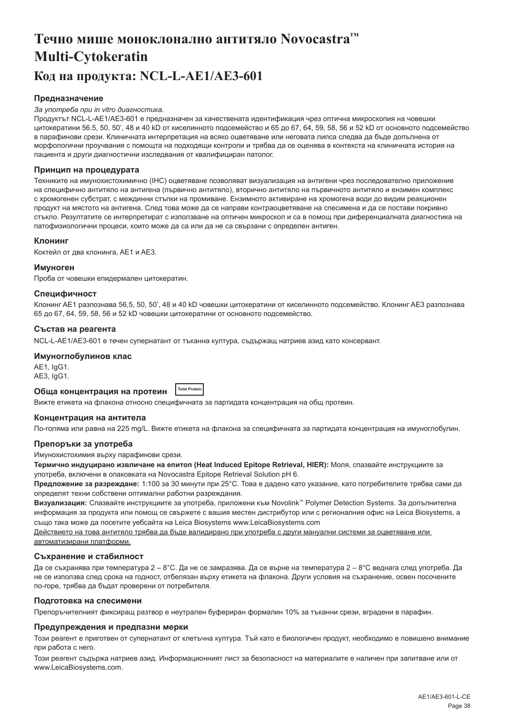# <span id="page-38-0"></span>**Течно мише моноклонално антитяло Novocastra™ Multi-Cytokeratin Код на продукта: NCL-L-AE1/AE3-601**

## **Предназначение**

#### *За употреба при in vitro диагностика.*

Продуктът NCL-L-AE1/AE3-601 е предназначен за качествената идентификация чрез оптична микроскопия на човешки цитокератини 56.5, 50, 50', 48 и 40 kD от киселинното подсемейство и 65 до 67, 64, 59, 58, 56 и 52 kD от основното подсемейство в парафинови срези. Клиничната интерпретация на всяко оцветяване или неговата липса следва да бъде допълнена от морфологични проучвания с помощта на подходящи контроли и трябва да се оценява в контекста на клиничната история на пациента и други диагностични изследвания от квалифициран патолог.

#### **Принцип на процедурата**

Техниките на имунохистохимично (IHC) оцветяване позволяват визуализация на антигени чрез последователно приложение на специфично антитяло на антигена (първично антитяло), вторично антитяло на първичното антитяло и ензимен комплекс с хромогенен субстрат, с междинни стъпки на промиване. Ензимното активиране на хромогена води до видим реакционен продукт на мястото на антигена. След това може да се направи контраоцветяване на спесимена и да се постави покривно стъкло. Резултатите се интерпретират с използване на оптичен микроскоп и са в помощ при диференциалната диагностика на патофизиологични процеси, които може да са или да не са свързани с определен антиген.

#### **Клонинг**

Коктейл от два клонинга, AE1 и AE3.

#### **Имуноген**

Проба от човешки епидермален цитокератин.

## **Специфичност**

Клонинг AE1 разпознава 56,5, 50, 50', 48 и 40 kD човешки цитокератини от киселинното подсемейство. Клонинг AE3 разпознава 65 до 67, 64, 59, 58, 56 и 52 kD човешки цитокератини от основното подсемейство.

#### **Състав на реагента**

NCL-L-AE1/AE3-601 е течен супернатант от тъканна култура, съдържащ натриев азид като консервант.

#### **Имуноглобулинов клас**

AE1, IgG1. AE3, IgG1.

#### **Обща концентрация на протеин Total Protein**

Вижте етикета на флакона относно специфичната за партидата концентрация на общ протеин.

#### **Концентрация на антитела**

По-голяма или равна на 225 mg/L. Вижте етикета на флакона за специфичната за партидата концентрация на имуноглобулин.

## **Препоръки за употреба**

Имунохистохимия върху парафинови срези.

**Термично индуцирано извличане на епитоп (Heat Induced Epitope Retrieval, HIER):** Моля, спазвайте инструкциите за употреба, включени в опаковката на Novocastra Epitope Retrieval Solution pH 6.

**Предложение за разреждане:** 1:100 за 30 минути при 25°C. Това е дадено като указание, като потребителите трябва сами да определят техни собствени оптимални работни разреждания.

**Визуализация:** Спазвайте инструкциите за употреба, приложени към Novolink™ Polymer Detection Systems. За допълнителна информация за продукта или помощ се свържете с вашия местен дистрибутор или с регионалния офис на Leica Biosystems, а също така може да посетите уебсайта на Leica Biosystems www.LeicaBiosystems.com

Действието на това антитяло трябва да бъде валидирано при употреба с други мануални системи за оцветяване или автоматизирани платформи.

#### **Съхранение и стабилност**

Да се съхранява при температура 2 – 8°C. Да не се замразява. Да се върне на температура 2 – 8°C веднага след употреба. Да не се използва след срока на годност, отбелязан върху етикета на флакона. Други условия на съхранение, освен посочените по-горе, трябва да бъдат проверени от потребителя.

#### **Подготовка на спесимени**

Препоръчителният фиксиращ разтвор е неутрален буфериран формалин 10% за тъканни срези, вградени в парафин.

#### **Предупреждения и предпазни мерки**

Този реагент е приготвен от супернатант от клетъчна култура. Тъй като е биологичен продукт, необходимо е повишено внимание при работа с него.

Този реагент съдържа натриев азид. Информационният лист за безопасност на материалите е наличен при запитване или от www.LeicaBiosystems.com.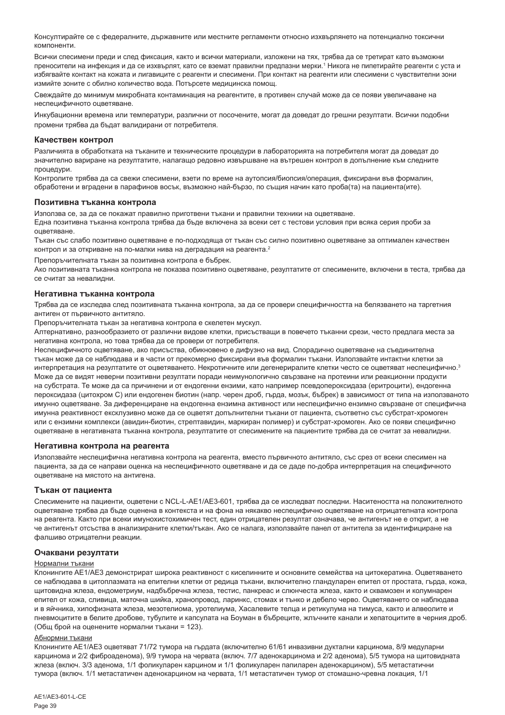Консултирайте се с федералните, държавните или местните регламенти относно изхвърлянето на потенциално токсични компоненти.

Всички спесимени преди и след фиксация, както и всички материали, изложени на тях, трябва да се третират като възможни преносители на инфекция и да се изхвърлят, като се вземат правилни предпазни мерки.<sup>1</sup> Никога не пипетирайте реагенти с уста и избягвайте контакт на кожата и лигавиците с реагенти и спесимени. При контакт на реагенти или спесимени с чувствителни зони измийте зоните с обилно количество вода. Потърсете медицинска помощ.

Свеждайте до минимум микробната контаминация на реагентите, в противен случай може да се появи увеличаване на неспецифичното оцветяване.

Инкубационни времена или температури, различни от посочените, могат да доведат до грешни резултати. Всички подобни промени трябва да бъдат валидирани от потребителя.

#### **Качествен контрол**

Различията в обработката на тъканите и техническите процедури в лабораторията на потребителя могат да доведат до значително вариране на резултатите, налагащо редовно извършване на вътрешен контрол в допълнение към следните процедури.

Контролите трябва да са свежи спесимени, взети по време на аутопсия/биопсия/операция, фиксирани във формалин, обработени и вградени в парафинов восък, възможно най-бързо, по същия начин като проба(та) на пациента(ите).

#### **Позитивна тъканна контрола**

Използва се, за да се покажат правилно приготвени тъкани и правилни техники на оцветяване.

Една позитивна тъканна контрола трябва да бъде включена за всеки сет с тестови условия при всяка серия проби за оцветяване.

Тъкан със слабо позитивно оцветяване е по-подходяща от тъкан със силно позитивно оцветяване за оптимален качествен контрол и за откриване на по-малки нива на деградация на реагента.<sup>2</sup>

Препоръчителната тъкан за позитивна контрола е бъбрек.

Ако позитивната тъканна контрола не показва позитивно оцветяване, резултатите от спесимените, включени в теста, трябва да се считат за невалидни.

#### **Негативна тъканна контрола**

Трябва да се изследва след позитивната тъканна контрола, за да се провери специфичността на белязването на таргетния антиген от първичното антитяло.

Препоръчителната тъкан за негативна контрола e скелетен мускул.

Алтернативно, разнообразието от различни видове клетки, присъстващи в повечето тъканни срези, често предлага места за негативна контрола, но това трябва да се провери от потребителя.

Неспецифичното оцветяване, ако присъства, обикновено е дифузно на вид. Спорадично оцветяване на съединителна тъкан може да се наблюдава и в части от прекомерно фиксирани във формалин тъкани. Използвайте интактни клетки за интерпретация на резултатите от оцветяването. Некротичните или дегенериралите клетки често се оцветяват неспецифично.<sup>3</sup> Може да се видят неверни позитивни резултати поради неимунологично свързване на протеини или реакционни продукти на субстрата. Те може да са причинени и от ендогенни ензими, като например псевдопероксидаза (еритроцити), ендогенна пероксидаза (цитохром C) или ендогенен биотин (напр. черен дроб, гърда, мозък, бъбрек) в зависимост от типа на използваното имунно оцветяване. За диференциране на ендогенна ензимна активност или неспецифично ензимно свързване от специфична имунна реактивност ексклузивно може да се оцветят допълнителни тъкани от пациента, съответно със субстрат-хромоген или с ензимни комплекси (авидин-биотин, стрептавидин, маркиран полимер) и субстрат-хромоген. Ако се появи специфично оцветяване в негативната тъканна контрола, резултатите от спесимените на пациентите трябва да се считат за невалидни.

#### **Негативна контрола на реагента**

Използвайте неспецифична негативна контрола на реагента, вместо първичното антитяло, със срез от всеки спесимен на пациента, за да се направи оценка на неспецифичното оцветяване и да се даде по-добра интерпретация на специфичното оцветяване на мястото на антигена.

#### **Тъкан от пациента**

Спесимените на пациенти, оцветени с NCL-L-AE1/AE3-601, трябва да се изследват последни. Наситеността на положителното оцветяване трябва да бъде оценена в контекста и на фона на някакво неспецифично оцветяване на отрицателната контрола на реагента. Както при всеки имунохистохимичен тест, един отрицателен резултат означава, че антигенът не е открит, а не че антигенът отсъства в анализираните клетки/тъкан. Ако се налага, използвайте панел от антитела за идентифициране на фалшиво отрицателни реакции.

#### **Очаквани резултати**

#### Нормални тъкани

Клонингите AE1/AE3 демонстрират широка реактивност с киселинните и основните семейства на цитокератина. Оцветяването се наблюдава в цитоплазмата на епителни клетки от редица тъкани, включително гландуларен епител от простата, гърда, кожа, щитовидна жлеза, ендометриум, надбъбречна жлеза, тестис, панкреас и слюнчеста жлеза, както и сквамозен и колумнарен епител от кожа, сливица, маточна шийка, хранопровод, ларинкс, стомах и тънко и дебело черво. Оцветяването се наблюдава и в яйчника, хипофизната жлеза, мезотелиома, уротелиума, Хасалевите телца и ретикулума на тимуса, както и алвеолите и пневмоцитите в белите дробове, тубулите и капсулата на Боуман в бъбреците, жлъчните канали и хепатоцитите в черния дроб. (Общ брой на оценените нормални тъкани = 123).

#### Абнормни тъкани

Клонингите AE1/AE3 оцветяват 71/72 тумора на гърдата (включително 61/61 инвазивни дуктални карцинома, 8/9 медуларни карцинома и 2/2 фиброаденома), 9/9 тумора на червата (включ. 7/7 аденокарцинома и 2/2 аденома), 5/5 тумора на щитовидната жлеза (включ. 3/3 аденома, 1/1 фоликуларен карцином и 1/1 фоликуларен папиларен аденокарцином), 5/5 метастатични тумора (включ. 1/1 метастатичен аденокарцином на червата, 1/1 метастатичен тумор от стомашно-чревна локация, 1/1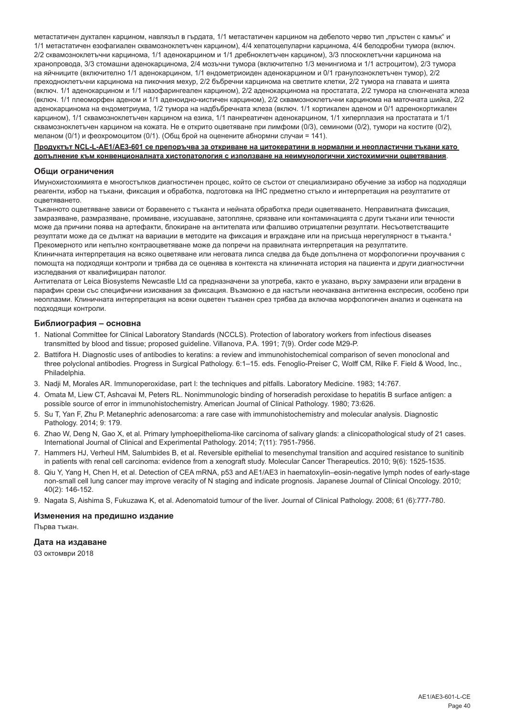метастатичен дуктален карцином, навлязъл в гърдата, 1/1 метастатичен карцином на дебелото черво тип "пръстен с камък" и 1/1 метастатичен езофагиален сквамозноклетъчен карцином), 4/4 хепатоцелуларни карцинома, 4/4 белодробни тумора (включ. 2/2 сквамозноклетъчни карцинома, 1/1 аденокарцином и 1/1 дребноклетъчен карцином), 3/3 плоскоклетъчни карцинома на хранопровода, 3/3 стомашни аденокарцинома, 2/4 мозъчни тумора (включително 1/3 менингиома и 1/1 астроцитом), 2/3 тумора на яйчниците (включително 1/1 аденокарцином, 1/1 ендометриоиден аденокарцином и 0/1 гранулозноклетъчен тумор), 2/2 преходноклетъчни карцинома на пикочния мехур, 2/2 бъбречни карцинома на светлите клетки, 2/2 тумора на главата и шията (включ. 1/1 аденокарцином и 1/1 назофарингеален карцином), 2/2 аденокарцинома на простатата, 2/2 тумора на слюнчената жлеза (включ. 1/1 плеоморфен аденом и 1/1 аденоидно-кистичен карцином), 2/2 сквамозноклетъчни карцинома на маточната шийка, 2/2 аденокарцинома на ендометриума, 1/2 тумора на надбъбречната жлеза (включ. 1/1 кортикален аденом и 0/1 адренокортикален карцином), 1/1 сквамозноклетъчен карцином на езика, 1/1 панкреатичен аденокарцином, 1/1 хиперплазия на простатата и 1/1 сквамозноклетъчен карцином на кожата. Не е открито оцветяване при лимфоми (0/3), семиноми (0/2), тумори на костите (0/2), меланом (0/1) и феохромоцитом (0/1). (Общ брой на оценените абнормни случаи = 141).

**Продуктът NCL-L-AE1/AE3-601 се препоръчва за откриване на цитокератини в нормални и неопластични тъкани като допълнение към конвенционалната хистопатология с използване на неимунологични хистохимични оцветявания**.

#### **Общи ограничения**

Имунохистохимията е многостъпков диагностичен процес, който се състои от специализирано обучение за избор на подходящи реагенти, избор на тъкани, фиксация и обработка, подготовка на IHC предметно стъкло и интерпретация на резултатите от оцветяването.

Тъканното оцветяване зависи от боравенето с тъканта и нейната обработка преди оцветяването. Неправилната фиксация, замразяване, размразяване, промиване, изсушаване, затопляне, срязване или контаминацията с други тъкани или течности може да причини поява на артефакти, блокиране на антителата или фалшиво отрицателни резултати. Несъответстващите резултати може да се дължат на вариации в методите на фиксация и вграждане или на присъща нерегулярност в тъканта.4 Прекомерното или непълно контраоцветяване може да попречи на правилната интерпретация на резултатите.

Клиничната интерпретация на всяко оцветяване или неговата липса следва да бъде допълнена от морфологични проучвания с помощта на подходящи контроли и трябва да се оценява в контекста на клиничната история на пациента и други диагностични изследвания от квалифициран патолог.

Антителата от Leica Biosystems Newcastle Ltd са предназначени за употреба, както е указано, върху замразени или вградени в парафин срези със специфични изисквания за фиксация. Възможно е да настъпи неочаквана антигенна експресия, особено при неоплазми. Клиничната интерпретация на всеки оцветен тъканен срез трябва да включва морфологичен анализ и оценката на подходящи контроли.

#### **Библиография – основна**

- 1. National Committee for Clinical Laboratory Standards (NCCLS). Protection of laboratory workers from infectious diseases transmitted by blood and tissue; proposed guideline. Villanova, P.A. 1991; 7(9). Order code M29-P.
- 2. Battifora H. Diagnostic uses of antibodies to keratins: a review and immunohistochemical comparison of seven monoclonal and three polyclonal antibodies. Progress in Surgical Pathology. 6:1–15. eds. Fenoglio-Preiser C, Wolff CM, Rilke F. Field & Wood, Inc., Philadelphia.
- 3. Nadji M, Morales AR. Immunoperoxidase, part I: the techniques and pitfalls. Laboratory Medicine. 1983; 14:767.
- 4. Omata M, Liew CT, Ashcavai M, Peters RL. Nonimmunologic binding of horseradish peroxidase to hepatitis B surface antigen: a possible source of error in immunohistochemistry. American Journal of Clinical Pathology. 1980; 73:626.
- 5. Su T, Yan F, Zhu P. Metanephric adenosarcoma: a rare case with immunohistochemistry and molecular analysis. Diagnostic Pathology. 2014; 9: 179.
- 6. Zhao W, Deng N, Gao X, et al. Primary lymphoepithelioma-like carcinoma of salivary glands: a clinicopathological study of 21 cases. International Journal of Clinical and Experimental Pathology. 2014; 7(11): 7951-7956.
- 7. Hammers HJ, Verheul HM, Salumbides B, et al. Reversible epithelial to mesenchymal transition and acquired resistance to sunitinib in patients with renal cell carcinoma: evidence from a xenograft study. Molecular Cancer Therapeutics. 2010; 9(6): 1525-1535.
- 8. Qiu Y, Yang H, Chen H, et al. Detection of CEA mRNA, p53 and AE1/AE3 in haematoxylin–eosin-negative lymph nodes of early-stage non-small cell lung cancer may improve veracity of N staging and indicate prognosis. Japanese Journal of Clinical Oncology. 2010; 40(2): 146-152.
- 9. Nagata S, Aishima S, Fukuzawa K, et al. Adenomatoid tumour of the liver. Journal of Clinical Pathology. 2008; 61 (6):777-780.

#### **Изменения на предишно издание**

Първа тъкан.

#### **Дата на издаване**

03 октомври 2018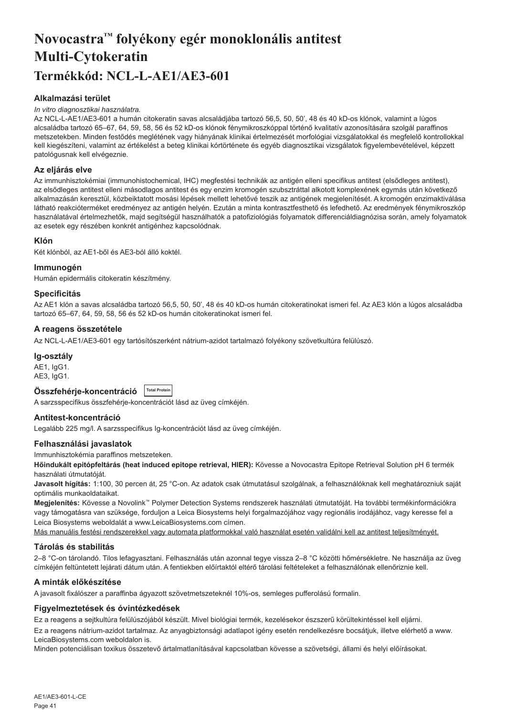# <span id="page-41-0"></span>**Novocastra™ folyékony egér monoklonális antitest Multi-Cytokeratin Termékkód: NCL-L-AE1/AE3-601**

## **Alkalmazási terület**

#### *In vitro diagnosztikai használatra.*

Az NCL-L-AE1/AE3-601 a humán citokeratin savas alcsaládjába tartozó 56,5, 50, 50', 48 és 40 kD-os klónok, valamint a lúgos alcsaládba tartozó 65–67, 64, 59, 58, 56 és 52 kD-os klónok fénymikroszkóppal történő kvalitatív azonosítására szolgál paraffinos metszetekben. Minden festődés meglétének vagy hiányának klinikai értelmezését morfológiai vizsgálatokkal és megfelelő kontrollokkal kell kiegészíteni, valamint az értékelést a beteg klinikai kórtörténete és egyéb diagnosztikai vizsgálatok figyelembevételével, képzett patológusnak kell elvégeznie.

## **Az eljárás elve**

Az immunhisztokémiai (immunohistochemical, IHC) megfestési technikák az antigén elleni specifikus antitest (elsődleges antitest), az elsődleges antitest elleni másodlagos antitest és egy enzim kromogén szubsztráttal alkotott komplexének egymás után következő alkalmazásán keresztül, közbeiktatott mosási lépések mellett lehetővé teszik az antigének megjelenítését. A kromogén enzimaktiválása látható reakcióterméket eredményez az antigén helyén. Ezután a minta kontrasztfesthető és lefedhető. Az eredmények fénymikroszkóp használatával értelmezhetők, majd segítségül használhatók a patofiziológiás folyamatok differenciáldiagnózisa során, amely folyamatok az esetek egy részében konkrét antigénhez kapcsolódnak.

## **Klón**

Két klónból, az AE1-ből és AE3-ból álló koktél.

## **Immunogén**

Humán epidermális citokeratin készítmény.

#### **Specificitás**

Az AE1 klón a savas alcsaládba tartozó 56,5, 50, 50', 48 és 40 kD-os humán citokeratinokat ismeri fel. Az AE3 klón a lúgos alcsaládba tartozó 65–67, 64, 59, 58, 56 és 52 kD-os humán citokeratinokat ismeri fel.

#### **A reagens összetétele**

Az NCL-L-AE1/AE3-601 egy tartósítószerként nátrium-azidot tartalmazó folyékony szövetkultúra felülúszó.

## **Ig-osztály**

AE1, IgG1. AE3, IgG1.

## **Összfehérje-koncentráció Total Protein**

A sarzsspecifikus összfehérje-koncentrációt lásd az üveg címkéjén.

## **Antitest-koncentráció**

Legalább 225 mg/l. A sarzsspecifikus Ig-koncentrációt lásd az üveg címkéjén.

## **Felhasználási javaslatok**

Immunhisztokémia paraffinos metszeteken.

**Hőindukált epitópfeltárás (heat induced epitope retrieval, HIER):** Kövesse a Novocastra Epitope Retrieval Solution pH 6 termék használati útmutatóját.

**Javasolt hígítás:** 1:100, 30 percen át, 25 °C-on. Az adatok csak útmutatásul szolgálnak, a felhasználóknak kell meghatározniuk saját optimális munkaoldataikat.

**Megjelenítés:** Kövesse a Novolink™ Polymer Detection Systems rendszerek használati útmutatóját. Ha további termékinformációkra vagy támogatásra van szüksége, forduljon a Leica Biosystems helyi forgalmazójához vagy regionális irodájához, vagy keresse fel a Leica Biosystems weboldalát a www.LeicaBiosystems.com címen.

Más manuális festési rendszerekkel vagy automata platformokkal való használat esetén validálni kell az antitest teljesítményét.

## **Tárolás és stabilitás**

2–8 °C-on tárolandó. Tilos lefagyasztani. Felhasználás után azonnal tegye vissza 2–8 °C közötti hőmérsékletre. Ne használja az üveg címkéjén feltüntetett lejárati dátum után. A fentiekben előírtaktól eltérő tárolási feltételeket a felhasználónak ellenőriznie kell.

## **A minták előkészítése**

A javasolt fixálószer a paraffinba ágyazott szövetmetszeteknél 10%-os, semleges pufferolású formalin.

#### **Figyelmeztetések és óvintézkedések**

Ez a reagens a sejtkultúra felülúszójából készült. Mivel biológiai termék, kezelésekor észszerű körültekintéssel kell eljárni.

Ez a reagens nátrium-azidot tartalmaz. Az anyagbiztonsági adatlapot igény esetén rendelkezésre bocsátjuk, illetve elérhető a www. LeicaBiosystems.com weboldalon is.

Minden potenciálisan toxikus összetevő ártalmatlanításával kapcsolatban kövesse a szövetségi, állami és helyi előírásokat.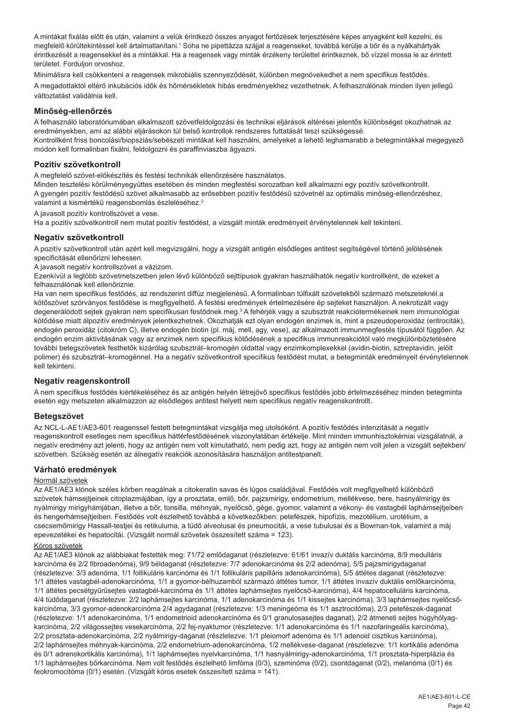A mintákat fixálás előtt és után, valamint a velük érintkező összes anyagot fertőzések terjesztésére képes anyagként kell kezelni, és megfelelő körültekintéssel kell ártalmatlanítani.' Soha ne pipettázza szájjal a reagenseket, továbbá kerülje a bőr és a nyálkahártyák érintkezését a reagensekkel és a mintákkal. Ha a reagensek vagy minták érzékeny területtel érintkeznek, bő vízzel mossa le az érintett területet. Forduljon orvoshoz.

Minimálisra kell csökkenteni a reagensek mikrobiális szennyeződését, különben megnövekedhet a nem specifikus festődés. A megadottaktól eltérő inkubációs idők és hőmérsékletek hibás eredményekhez vezethetnek. A felhasználónak minden ilyen jellegű

változtatást validálnia kell.

## **Minőség-ellenőrzés**

A felhasználó laboratóriumában alkalmazott szövetfeldolgozási és technikai eljárások eltérései jelentős különbséget okozhatnak az eredményekben, ami az alábbi eljárásokon túl belső kontrollok rendszeres futtatását teszi szükségessé.

Kontrollként friss boncolási/biopsziás/sebészeti mintákat kell használni, amelyeket a lehető leghamarabb a betegmintákkal megegyező módon kell formalinban fixálni, feldolgozni és paraffinviaszba ágyazni.

## **Pozitív szövetkontroll**

A megfelelő szövet-előkészítés és festési technikák ellenőrzésére használatos.

Minden tesztelési körülményegyüttes esetében és minden megfestési sorozatban kell alkalmazni egy pozitív szövetkontrollt. A gyengén pozitív festődésű szövet alkalmasabb az erősebben pozitív festődésű szövetnél az optimális minőség-ellenőrzéshez, valamint a kismértékű reagensbomlás észleléséhez.<sup>2</sup>

A javasolt pozitív kontrollszövet a vese.

Ha a pozitív szövetkontroll nem mutat pozitív festődést, a vizsgált minták eredményeit érvénytelennek kell tekinteni.

#### **Negatív szövetkontroll**

A pozitív szövetkontroll után azért kell megvizsgálni, hogy a vizsgált antigén elsődleges antitest segítségével történő jelölésének specificitását ellenőrizni lehessen.

A javasolt negatív kontrollszövet a vázizom.

Ezenkívül a legtöbb szövetmetszetben jelen lévő különböző sejttípusok gyakran használhatók negatív kontrollként, de ezeket a felhasználónak kell ellenőriznie.

Ha van nem specifikus festődés, az rendszerint diffúz megjelenésű. A formalinban túlfixált szövetekből származó metszeteknél a kötőszövet szórványos festődése is megfigyelhető. A festési eredmények értelmezésére ép sejteket használjon. A nekrotizált vagy degenerálódott sejtek gyakran nem specifikusan festődnek meg.<sup>3</sup> A fehérjék vagy a szubsztrát reakciótermékeinek nem immunológiai kötődése miatt álpozitív eredmények jelentkezhetnek. Okozhatják ezt olyan endogén enzimek is, mint a pszeudoperoxidáz (eritrociták), endogén peroxidáz (citokróm C), illetve endogén biotin (pl. máj, mell, agy, vese), az alkalmazott immunmegfestés típusától függően. Az endogén enzim aktivitásának vagy az enzimek nem specifikus kötődésének a specifikus immunreakciótól való megkülönböztetésére további betegszövetek festhetők kizárólag szubsztrát–kromogén oldattal vagy enzimkomplexekkel (avidin-biotin, sztreptavidin, jelölt polimer) és szubsztrát–kromogénnel. Ha a negatív szövetkontroll specifikus festődést mutat, a betegminták eredményeit érvénytelennek kell tekinteni.

## **Negatív reagenskontroll**

A nem specifikus festődés kiértékeléséhez és az antigén helyén létrejövő specifikus festődés jobb értelmezéséhez minden betegminta esetén egy metszeten alkalmazzon az elsődleges antitest helyett nem specifikus negatív reagenskontrollt.

#### **Betegszövet**

Az NCL-L-AE1/AE3-601 reagenssel festett betegmintákat vizsgálja meg utolsóként. A pozitív festődés intenzitását a negatív reagenskontroll esetleges nem specifikus háttérfestődésének viszonylatában értékelje. Mint minden immunhisztokémiai vizsgálatnál, a negatív eredmény azt jelenti, hogy az antigén nem volt kimutatható, nem pedig azt, hogy az antigén nem volt jelen a vizsgált sejtekben/ szövetben. Szükség esetén az álnegatív reakciók azonosítására használjon antitestpanelt.

## **Várható eredmények**

#### Normál szövetek

Az AE1/AE3 klónok széles körben reagálnak a citokeratin savas és lúgos családjával. Festődés volt megfigyelhető különböző szövetek hámsejtjeinek citoplazmájában, így a prosztata, emlő, bőr, pajzsmirigy, endometrium, mellékvese, here, hasnyálmirigy és nyálmirigy mirigyhámjában, illetve a bőr, tonsilla, méhnyak, nyelőcső, gége, gyomor, valamint a vékony- és vastagbél laphámsejtjeiben és hengerhámsejtjeiben. Festődés volt észlelhető továbbá a következőkben: petefészek, hipofízis, mezotélium, urotélium, a csecsemőmirigy Hassall-testjei és retikuluma, a tüdő alveolusai és pneumocitái, a vese tubulusai és a Bowman-tok, valamint a máj epevezetékei és hepatocitái. (Vizsgált normál szövetek összesített száma = 123).

#### Kóros szövetek

Az AE1/AE3 klónok az alábbiakat festették meg: 71/72 emlődaganat (részletezve: 61/61 invazív duktális karcinóma, 8/9 medulláris karcinóma és 2/2 fibroadenóma), 9/9 béldaganat (részletezve: 7/7 adenokarcinóma és 2/2 adenóma), 5/5 pajzsmirigydaganat (részletezve: 3/3 adenóma, 1/1 follikuláris karcinóma és 1/1 follikuláris papilláris adenokarcinóma), 5/5 áttétes daganat (részletezve: 1/1 áttétes vastagbél-adenokarcinóma, 1/1 a gyomor-bélhuzamból származó áttétes tumor, 1/1 áttétes invazív duktális emlőkarcinóma, 1/1 áttétes pecsétgyűrűsejtes vastagbél-karcinóma és 1/1 áttétes laphámsejtes nyelőcső-karcinóma), 4/4 hepatocelluláris karcinóma, 4/4 tüdődaganat (részletezve: 2/2 laphámsejtes karcinóma, 1/1 adenokarcinóma és 1/1 kissejtes karcinóma), 3/3 laphámsejtes nyelőcsőkarcinóma, 3/3 gyomor-adenokarcinóma 2/4 agydaganat (részletezve: 1/3 meningeóma és 1/1 asztrocitóma), 2/3 petefészek-daganat (részletezve: 1/1 adenokarcinóma, 1/1 endometrioid adenokarcinóma és 0/1 granulosasejtes daganat), 2/2 átmeneti sejtes húgyhólyagkarcinóma, 2/2 világossejtes vesekarcinóma, 2/2 fej-nyaktumor (részletezve: 1/1 adenokarcinóma és 1/1 nazofaringeális karcinóma), 2/2 prosztata-adenokarcinóma, 2/2 nyálmirigy-daganat (részletezve: 1/1 pleiomorf adenóma és 1/1 adenoid cisztikus karcinóma), 2/2 laphámsejtes méhnyak-karcinóma, 2/2 endometrium-adenokarcinóma, 1/2 mellékvese-daganat (részletezve: 1/1 kortikális adenóma és 0/1 adrenokortikális karcinóma), 1/1 laphámsejtes nyelvkarcinóma, 1/1 hasnyálmirigy-adenokarcinóma, 1/1 prosztata-hiperplázia és 1/1 laphámsejtes bőrkarcinóma. Nem volt festődés észlelhető limfóma (0/3), szeminóma (0/2), csontdaganat (0/2), melanóma (0/1) és feokromocitóma (0/1) esetén. (Vizsgált kóros esetek összesített száma = 141).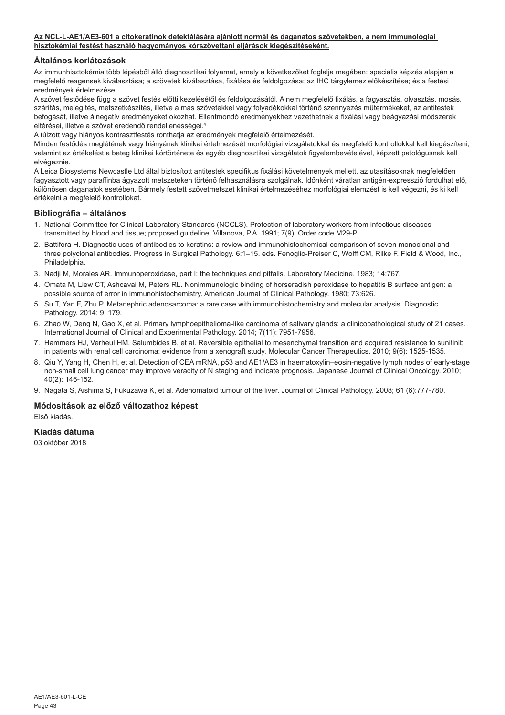#### **Az NCL-L-AE1/AE3-601 a citokeratinok detektálására ajánlott normál és daganatos szövetekben, a nem immunológiai hisztokémiai festést használó hagyományos kórszövettani eljárások kiegészítéseként.**

## **Általános korlátozások**

Az immunhisztokémia több lépésből álló diagnosztikai folyamat, amely a következőket foglalja magában: speciális képzés alapján a megfelelő reagensek kiválasztása; a szövetek kiválasztása, fixálása és feldolgozása; az IHC tárgylemez előkészítése; és a festési eredmények értelmezése.

A szövet festődése függ a szövet festés előtti kezelésétől és feldolgozásától. A nem megfelelő fixálás, a fagyasztás, olvasztás, mosás, szárítás, melegítés, metszetkészítés, illetve a más szövetekkel vagy folyadékokkal történő szennyezés műtermékeket, az antitestek befogását, illetve álnegatív eredményeket okozhat. Ellentmondó eredményekhez vezethetnek a fixálási vagy beágyazási módszerek eltérései, illetve a szövet eredendő rendellenességei.4

A túlzott vagy hiányos kontrasztfestés ronthatja az eredmények megfelelő értelmezését.

Minden festődés meglétének vagy hiányának klinikai értelmezését morfológiai vizsgálatokkal és megfelelő kontrollokkal kell kiegészíteni, valamint az értékelést a beteg klinikai kórtörténete és egyéb diagnosztikai vizsgálatok figyelembevételével, képzett patológusnak kell elvégeznie.

A Leica Biosystems Newcastle Ltd által biztosított antitestek specifikus fixálási követelmények mellett, az utasításoknak megfelelően fagyasztott vagy paraffinba ágyazott metszeteken történő felhasználásra szolgálnak. Időnként váratlan antigén-expresszió fordulhat elő, különösen daganatok esetében. Bármely festett szövetmetszet klinikai értelmezéséhez morfológiai elemzést is kell végezni, és ki kell értékelni a megfelelő kontrollokat.

## **Bibliográfia – általános**

- 1. National Committee for Clinical Laboratory Standards (NCCLS). Protection of laboratory workers from infectious diseases transmitted by blood and tissue; proposed guideline. Villanova, P.A. 1991; 7(9). Order code M29-P.
- 2. Battifora H. Diagnostic uses of antibodies to keratins: a review and immunohistochemical comparison of seven monoclonal and three polyclonal antibodies. Progress in Surgical Pathology. 6:1–15. eds. Fenoglio-Preiser C, Wolff CM, Rilke F. Field & Wood, Inc., Philadelphia.
- 3. Nadji M, Morales AR. Immunoperoxidase, part I: the techniques and pitfalls. Laboratory Medicine. 1983; 14:767.
- 4. Omata M, Liew CT, Ashcavai M, Peters RL. Nonimmunologic binding of horseradish peroxidase to hepatitis B surface antigen: a possible source of error in immunohistochemistry. American Journal of Clinical Pathology. 1980; 73:626.
- 5. Su T, Yan F, Zhu P. Metanephric adenosarcoma: a rare case with immunohistochemistry and molecular analysis. Diagnostic Pathology. 2014; 9: 179.
- 6. Zhao W, Deng N, Gao X, et al. Primary lymphoepithelioma-like carcinoma of salivary glands: a clinicopathological study of 21 cases. International Journal of Clinical and Experimental Pathology. 2014; 7(11): 7951-7956.
- 7. Hammers HJ, Verheul HM, Salumbides B, et al. Reversible epithelial to mesenchymal transition and acquired resistance to sunitinib in patients with renal cell carcinoma: evidence from a xenograft study. Molecular Cancer Therapeutics. 2010; 9(6): 1525-1535.
- 8. Qiu Y, Yang H, Chen H, et al. Detection of CEA mRNA, p53 and AE1/AE3 in haematoxylin–eosin-negative lymph nodes of early-stage non-small cell lung cancer may improve veracity of N staging and indicate prognosis. Japanese Journal of Clinical Oncology. 2010; 40(2): 146-152.
- 9. Nagata S, Aishima S, Fukuzawa K, et al. Adenomatoid tumour of the liver. Journal of Clinical Pathology. 2008; 61 (6):777-780.

## **Módosítások az előző változathoz képest**

Első kiadás.

### **Kiadás dátuma**

03 október 2018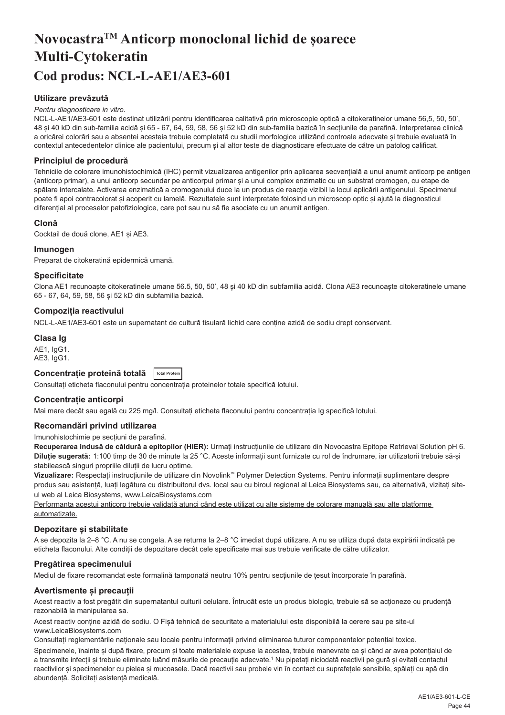# <span id="page-44-0"></span>**NovocastraTM Anticorp monoclonal lichid de șoarece Multi-Cytokeratin Cod produs: NCL-L-AE1/AE3-601**

## **Utilizare prevăzută**

#### *Pentru diagnosticare in vitro.*

NCL-L-AE1/AE3-601 este destinat utilizării pentru identificarea calitativă prin microscopie optică a citokeratinelor umane 56,5, 50, 50', 48 și 40 kD din sub-familia acidă și 65 - 67, 64, 59, 58, 56 și 52 kD din sub-familia bazică în secțiunile de parafină. Interpretarea clinică a oricărei colorări sau a absenței acesteia trebuie completată cu studii morfologice utilizând controale adecvate și trebuie evaluată în contextul antecedentelor clinice ale pacientului, precum și al altor teste de diagnosticare efectuate de către un patolog calificat.

#### **Principiul de procedură**

Tehnicile de colorare imunohistochimică (IHC) permit vizualizarea antigenilor prin aplicarea secvențială a unui anumit anticorp pe antigen (anticorp primar), a unui anticorp secundar pe anticorpul primar și a unui complex enzimatic cu un substrat cromogen, cu etape de spălare intercalate. Activarea enzimatică a cromogenului duce la un produs de reacție vizibil la locul aplicării antigenului. Specimenul poate fi apoi contracolorat și acoperit cu lamelă. Rezultatele sunt interpretate folosind un microscop optic și ajută la diagnosticul diferențial al proceselor patofiziologice, care pot sau nu să fie asociate cu un anumit antigen.

#### **Clonă**

Cocktail de două clone, AE1 și AE3.

## **Imunogen**

Preparat de citokeratină epidermică umană.

#### **Specificitate**

Clona AE1 recunoaște citokeratinele umane 56.5, 50, 50', 48 și 40 kD din subfamilia acidă. Clona AE3 recunoaște citokeratinele umane 65 - 67, 64, 59, 58, 56 și 52 kD din subfamilia bazică.

## **Compoziția reactivului**

NCL-L-AE1/AE3-601 este un supernatant de cultură tisulară lichid care conține azidă de sodiu drept conservant.

#### **Clasa Ig**

AE1, IgG1. AE3, IgG1.

## **Concentrație proteină totală Total Protein**

Consultați eticheta flaconului pentru concentrația proteinelor totale specifică lotului.

#### **Concentrație anticorpi**

Mai mare decât sau egală cu 225 mg/l. Consultați eticheta flaconului pentru concentrația Ig specifică lotului.

#### **Recomandări privind utilizarea**

Imunohistochimie pe secțiuni de parafină.

**Recuperarea indusă de căldură a epitopilor (HIER):** Urmați instrucțiunile de utilizare din Novocastra Epitope Retrieval Solution pH 6. **Diluție sugerată:** 1:100 timp de 30 de minute la 25 °C. Aceste informații sunt furnizate cu rol de îndrumare, iar utilizatorii trebuie să-și stabilească singuri propriile diluții de lucru optime.

**Vizualizare:** Respectați instrucțiunile de utilizare din Novolink™ Polymer Detection Systems. Pentru informații suplimentare despre produs sau asistență, luați legătura cu distribuitorul dvs. local sau cu biroul regional al Leica Biosystems sau, ca alternativă, vizitați siteul web al Leica Biosystems, www.LeicaBiosystems.com

Performanța acestui anticorp trebuie validată atunci când este utilizat cu alte sisteme de colorare manuală sau alte platforme automatizate.

## **Depozitare și stabilitate**

A se depozita la 2–8 °C. A nu se congela. A se returna la 2–8 °C imediat după utilizare. A nu se utiliza după data expirării indicată pe eticheta flaconului. Alte condiții de depozitare decât cele specificate mai sus trebuie verificate de către utilizator.

#### **Pregătirea specimenului**

Mediul de fixare recomandat este formalină tamponată neutru 10% pentru secțiunile de țesut încorporate în parafină.

#### **Avertismente și precauții**

Acest reactiv a fost pregătit din supernatantul culturii celulare. Întrucât este un produs biologic, trebuie să se actioneze cu prudentă rezonabilă la manipularea sa.

Acest reactiv conține azidă de sodiu. O Fișă tehnică de securitate a materialului este disponibilă la cerere sau pe site-ul www.LeicaBiosystems.com

Consultați reglementările naționale sau locale pentru informații privind eliminarea tuturor componentelor potențial toxice.

Specimenele, înainte și după fixare, precum și toate materialele expuse la acestea, trebuie manevrate ca și când ar avea potențialul de a transmite infecții și trebuie eliminate luând măsurile de precauție adecvate.<sup>1</sup> Nu pipetați niciodată reactivii pe gură și evitați contactul reactivilor și specimenelor cu pielea și mucoasele. Dacă reactivii sau probele vin în contact cu suprafețele sensibile, spălați cu apă din abundență. Solicitați asistență medicală.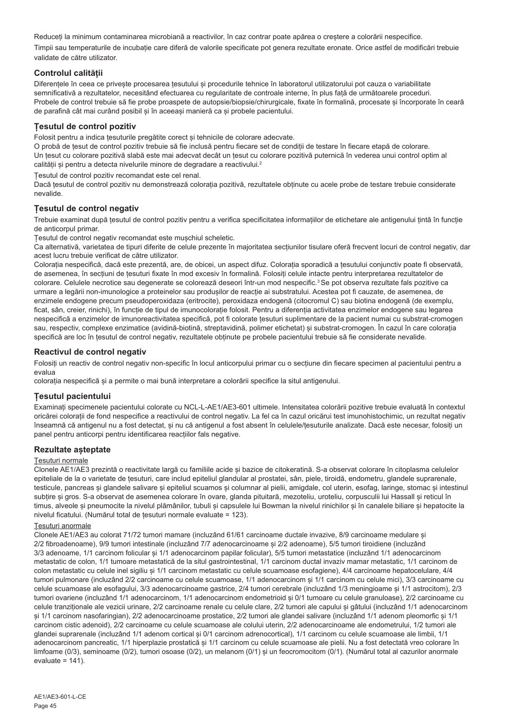Reduceți la minimum contaminarea microbiană a reactivilor, în caz contrar poate apărea o creștere a colorării nespecifice. Timpii sau temperaturile de incubație care diferă de valorile specificate pot genera rezultate eronate. Orice astfel de modificări trebuie validate de către utilizator.

## **Controlul calității**

Diferentele în ceea ce privește procesarea tesutului și procedurile tehnice în laboratorul utilizatorului pot cauza o variabilitate semnificativă a rezultatelor, necesitând efectuarea cu regularitate de controale interne, în plus față de următoarele proceduri. Probele de control trebuie să fie probe proaspete de autopsie/biopsie/chirurgicale, fixate în formalină, procesate și încorporate în ceară de parafină cât mai curând posibil și în aceeași manieră ca și probele pacientului.

## **Țesutul de control pozitiv**

Folosit pentru a indica țesuturile pregătite corect și tehnicile de colorare adecvate.

O probă de țesut de control pozitiv trebuie să fie inclusă pentru fiecare set de condiții de testare în fiecare etapă de colorare. Un țesut cu colorare pozitivă slabă este mai adecvat decât un țesut cu colorare pozitivă puternică în vederea unui control optim al calității și pentru a detecta nivelurile minore de degradare a reactivului.<sup>2</sup>

Țesutul de control pozitiv recomandat este cel renal.

Dacă țesutul de control pozitiv nu demonstrează colorația pozitivă, rezultatele obținute cu acele probe de testare trebuie considerate nevalide.

## **Țesutul de control negativ**

Trebuie examinat după țesutul de control pozitiv pentru a verifica specificitatea informațiilor de etichetare ale antigenului țintă în funcție de anticorpul primar.

Țesutul de control negativ recomandat este mușchiul scheletic.

Ca alternativă, varietatea de tipuri diferite de celule prezente în majoritatea secțiunilor tisulare oferă frecvent locuri de control negativ, dar acest lucru trebuie verificat de către utilizator.

Colorația nespecifică, dacă este prezentă, are, de obicei, un aspect difuz. Colorația sporadică a țesutului conjunctiv poate fi observată. de asemenea, în secțiuni de țesuturi fixate în mod excesiv în formalină. Folosiți celule intacte pentru interpretarea rezultatelor de colorare. Celulele necrotice sau degenerate se colorează deseori într-un mod nespecific.<sup>3</sup> Se pot observa rezultate fals pozitive ca urmare a legării non-imunologice a proteinelor sau produșilor de reacție ai substratului. Acestea pot fi cauzate, de asemenea, de enzimele endogene precum pseudoperoxidaza (eritrocite), peroxidaza endogenă (citocromul C) sau biotina endogenă (de exemplu, ficat, sân, creier, rinichi), în funcție de tipul de imunocolorație folosit. Pentru a diferenția activitatea enzimelor endogene sau legarea nespecifică a enzimelor de imunoreactivitatea specifică, pot fi colorate tesuturi suplimentare de la pacient numai cu substrat-cromogen sau, respectiv, complexe enzimatice (avidină-biotină, streptavidină, polimer etichetat) și substrat-cromogen. În cazul în care colorația specifică are loc în țesutul de control negativ, rezultatele obținute pe probele pacientului trebuie să fie considerate nevalide.

## **Reactivul de control negativ**

Folosiți un reactiv de control negativ non-specific în locul anticorpului primar cu o secțiune din fiecare specimen al pacientului pentru a evalua

colorația nespecifică și a permite o mai bună interpretare a colorării specifice la situl antigenului.

## **Țesutul pacientului**

Examinați specimenele pacientului colorate cu NCL-L-AE1/AE3-601 ultimele. Intensitatea colorării pozitive trebuie evaluată în contextul oricărei colorații de fond nespecifice a reactivului de control negativ. La fel ca în cazul oricărui test imunohistochimic, un rezultat negativ înseamnă că antigenul nu a fost detectat, și nu că antigenul a fost absent în celulele/țesuturile analizate. Dacă este necesar, folosiți un panel pentru anticorpi pentru identificarea reacțiilor fals negative.

## **Rezultate așteptate**

## Țesuturi normale

Clonele AE1/AE3 prezintă o reactivitate largă cu familiile acide și bazice de citokeratină. S-a observat colorare în citoplasma celulelor epiteliale de la o varietate de țesuturi, care includ epiteliul glandular al prostatei, sân, piele, tiroidă, endometru, glandele suprarenale, testicule, pancreas și glandele salivare și epiteliul scuamos și columnar al pielii, amigdale, col uterin, esofag, laringe, stomac și intestinul subțire și gros. S-a observat de asemenea colorare în ovare, glanda pituitară, mezoteliu, uroteliu, corpusculii lui Hassall și reticul în timus, alveole și pneumocite la nivelul plămânilor, tubuli și capsulele lui Bowman la nivelul rinichilor și în canalele biliare și hepatocite la nivelul ficatului. (Numărul total de țesuturi normale evaluate = 123).

## Țesuturi anormale

Clonele AE1/AE3 au colorat 71/72 tumori mamare (incluzând 61/61 carcinoame ductale invazive, 8/9 carcinoame medulare și 2/2 fibroadenoame), 9/9 tumori intestinale (incluzând 7/7 adenocarcinoame și 2/2 adenoame), 5/5 tumori tiroidiene (incluzând 3/3 adenoame, 1/1 carcinom folicular și 1/1 adenocarcinom papilar folicular), 5/5 tumori metastatice (incluzând 1/1 adenocarcinom metastatic de colon, 1/1 tumoare metastatică de la situl gastrointestinal, 1/1 carcinom ductal invaziv mamar metastatic, 1/1 carcinom de colon metastatic cu celule inel sigiliu și 1/1 carcinom metastatic cu celule scuamoase esofagiene), 4/4 carcinoame hepatocelulare, 4/4 tumori pulmonare (incluzând 2/2 carcinoame cu celule scuamoase, 1/1 adenocarcinom și 1/1 carcinom cu celule mici), 3/3 carcinoame cu celule scuamoase ale esofagului, 3/3 adenocarcinoame gastrice, 2/4 tumori cerebrale (incluzând 1/3 meningioame și 1/1 astrocitom), 2/3 tumori ovariene (incluzând 1/1 adenocarcinom, 1/1 adenocarcinom endometrioid și 0/1 tumoare cu celule granuloase), 2/2 carcinoame cu celule tranziționale ale vezicii urinare, 2/2 carcinoame renale cu celule clare, 2/2 tumori ale capului și gâtului (incluzând 1/1 adenocarcinom și 1/1 carcinom nasofaringian), 2/2 adenocarcinoame prostatice, 2/2 tumori ale glandei salivare (incluzând 1/1 adenom pleomorfic și 1/1 carcinom cistic adenoid), 2/2 carcinoame cu celule scuamoase ale colului uterin, 2/2 adenocarcinoame ale endometrului, 1/2 tumori ale glandei suprarenale (incluzând 1/1 adenom cortical și 0/1 carcinom adrenocortical), 1/1 carcinom cu celule scuamoase ale limbii, 1/1 adenocarcinom pancreatic, 1/1 hiperplazie prostatică și 1/1 carcinom cu celule scuamoase ale pielii. Nu a fost detectată vreo colorare în limfoame (0/3), seminoame (0/2), tumori osoase (0/2), un melanom (0/1) și un feocromocitom (0/1). (Numărul total al cazurilor anormale  $evaluate = 141$ ).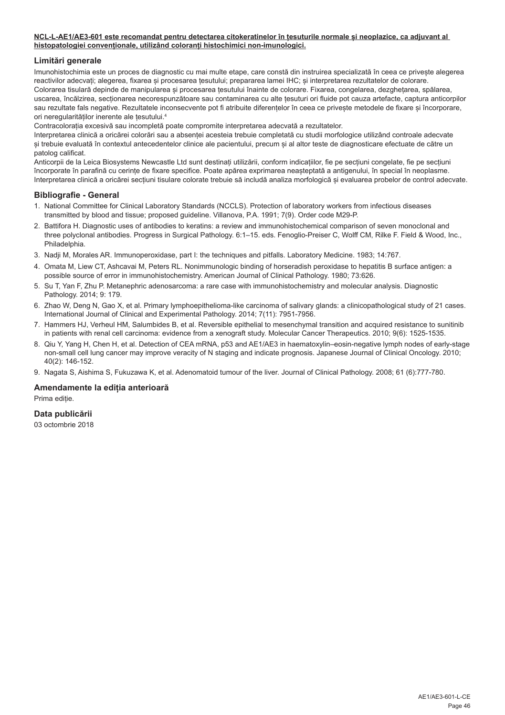#### **NCL-L-AE1/AE3-601 este recomandat pentru detectarea citokeratinelor în țesuturile normale și neoplazice, ca adjuvant al histopatologiei convenționale, utilizând coloranți histochimici non-imunologici.**

## **Limitări generale**

Imunohistochimia este un proces de diagnostic cu mai multe etape, care constă din instruirea specializată în ceea ce privește alegerea reactivilor adecvați; alegerea, fixarea și procesarea țesutului; prepararea lamei IHC; și interpretarea rezultatelor de colorare. Colorarea tisulară depinde de manipularea și procesarea țesutului înainte de colorare. Fixarea, congelarea, dezghețarea, spălarea, uscarea, încălzirea, secționarea necorespunzătoare sau contaminarea cu alte țesuturi ori fluide pot cauza artefacte, captura anticorpilor sau rezultate fals negative. Rezultatele inconsecvente pot fi atribuite diferențelor în ceea ce privește metodele de fixare și încorporare, ori neregularităților inerente ale țesutului.4

Contracolorația excesivă sau incompletă poate compromite interpretarea adecvată a rezultatelor.

Interpretarea clinică a oricărei colorări sau a absenței acesteia trebuie completată cu studii morfologice utilizând controale adecvate și trebuie evaluată în contextul antecedentelor clinice ale pacientului, precum și al altor teste de diagnosticare efectuate de către un patolog calificat.

Anticorpii de la Leica Biosystems Newcastle Ltd sunt destinați utilizării, conform indicațiilor, fie pe secțiuni congelate, fie pe secțiuni încorporate în parafină cu cerințe de fixare specifice. Poate apărea exprimarea neașteptată a antigenului, în special în neoplasme. Interpretarea clinică a oricărei secțiuni tisulare colorate trebuie să includă analiza morfologică și evaluarea probelor de control adecvate.

#### **Bibliografie - General**

- 1. National Committee for Clinical Laboratory Standards (NCCLS). Protection of laboratory workers from infectious diseases transmitted by blood and tissue; proposed guideline. Villanova, P.A. 1991; 7(9). Order code M29-P.
- 2. Battifora H. Diagnostic uses of antibodies to keratins: a review and immunohistochemical comparison of seven monoclonal and three polyclonal antibodies. Progress in Surgical Pathology. 6:1–15. eds. Fenoglio-Preiser C, Wolff CM, Rilke F. Field & Wood, Inc., Philadelphia
- 3. Nadji M, Morales AR. Immunoperoxidase, part I: the techniques and pitfalls. Laboratory Medicine. 1983; 14:767.
- 4. Omata M, Liew CT, Ashcavai M, Peters RL. Nonimmunologic binding of horseradish peroxidase to hepatitis B surface antigen: a possible source of error in immunohistochemistry. American Journal of Clinical Pathology. 1980; 73:626.
- 5. Su T, Yan F, Zhu P. Metanephric adenosarcoma: a rare case with immunohistochemistry and molecular analysis. Diagnostic Pathology. 2014; 9: 179.
- 6. Zhao W, Deng N, Gao X, et al. Primary lymphoepithelioma-like carcinoma of salivary glands: a clinicopathological study of 21 cases. International Journal of Clinical and Experimental Pathology. 2014; 7(11): 7951-7956.
- 7. Hammers HJ, Verheul HM, Salumbides B, et al. Reversible epithelial to mesenchymal transition and acquired resistance to sunitinib in patients with renal cell carcinoma: evidence from a xenograft study. Molecular Cancer Therapeutics. 2010; 9(6): 1525-1535.
- 8. Qiu Y, Yang H, Chen H, et al. Detection of CEA mRNA, p53 and AE1/AE3 in haematoxylin–eosin-negative lymph nodes of early-stage non-small cell lung cancer may improve veracity of N staging and indicate prognosis. Japanese Journal of Clinical Oncology. 2010; 40(2): 146-152.
- 9. Nagata S, Aishima S, Fukuzawa K, et al. Adenomatoid tumour of the liver. Journal of Clinical Pathology. 2008; 61 (6):777-780.

## **Amendamente la ediția anterioară**

Prima ediție.

## **Data publicării**

03 octombrie 2018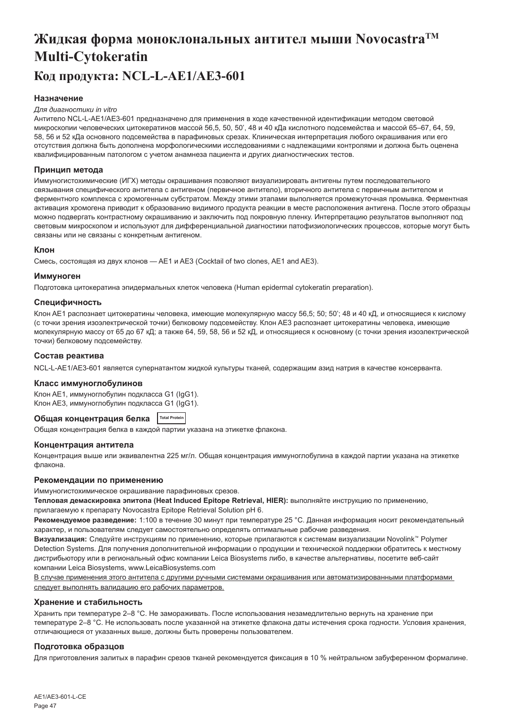# <span id="page-47-0"></span>**Жидкая форма моноклональных антител мыши NovocastraTM Multi-Cytokeratin Код продукта: NCL-L-AE1/AE3-601**

## **Назначение**

#### *Для диагностики in vitro*

Антитело NCL-L-AE1/AE3-601 предназначено для применения в ходе качественной идентификации методом световой микроскопии человеческих цитокератинов массой 56,5, 50, 50', 48 и 40 кДа кислотного подсемейства и массой 65–67, 64, 59, 58, 56 и 52 кДа основного подсемейства в парафиновых срезах. Клиническая интерпретация любого окрашивания или его отсутствия должна быть дополнена морфологическими исследованиями с надлежащими контролями и должна быть оценена квалифицированным патологом с учетом анамнеза пациента и других диагностических тестов.

#### **Принцип метода**

Иммуногистохимические (ИГХ) методы окрашивания позволяют визуализировать антигены путем последовательного связывания специфического антитела с антигеном (первичное антитело), вторичного антитела с первичным антителом и ферментного комплекса с хромогенным субстратом. Между этими этапами выполняется промежуточная промывка. Ферментная активация хромогена приводит к образованию видимого продукта реакции в месте расположения антигена. После этого образцы можно подвергать контрастному окрашиванию и заключить под покровную пленку. Интерпретацию результатов выполняют под световым микроскопом и используют для дифференциальной диагностики патофизиологических процессов, которые могут быть связаны или не связаны с конкретным антигеном.

#### **Клон**

Смесь, состоящая из двух клонов — AE1 и AE3 (Cocktail of two clones, AE1 and AE3).

#### **Иммуноген**

Подготовка цитокератина эпидермальных клеток человека (Human epidermal cytokeratin preparation).

#### **Специфичность**

Клон AE1 распознает цитокератины человека, имеющие молекулярную массу 56,5; 50; 50'; 48 и 40 кД, и относящиеся к кислому (с точки зрения изоэлектрической точки) белковому подсемейству. Клон AE3 распознает цитокератины человека, имеющие молекулярную массу от 65 до 67 кД; а также 64, 59, 58, 56 и 52 кД, и относящиеся к основному (с точки зрения изоэлектрической точки) белковому подсемейству.

## **Состав реактива**

NCL-L-AE1/AE3-601 является супернатантом жидкой культуры тканей, содержащим азид натрия в качестве консерванта.

## **Класс иммуноглобулинов**

Клон AE1, иммуноглобулин подкласса G1 (IgG1). Клон AE3, иммуноглобулин подкласса G1 (IgG1).

## **Общая концентрация белка Total Protein**

Общая концентрация белка в каждой партии указана на этикетке флакона.

#### **Концентрация антитела**

Концентрация выше или эквивалентна 225 мг/л. Общая концентрация иммуноглобулина в каждой партии указана на этикетке флакона.

#### **Рекомендации по применению**

Иммуногистохимическое окрашивание парафиновых срезов.

**Тепловая демаскировка эпитопа (Heat Induced Epitope Retrieval, HIER):** выполняйте инструкцию по применению,

прилагаемую к препарату Novocastra Epitope Retrieval Solution pH 6.

**Рекомендуемое разведение:** 1:100 в течение 30 минут при температуре 25 °C. Данная информация носит рекомендательный характер, и пользователям следует самостоятельно определять оптимальные рабочие разведения.

**Визуализация:** Следуйте инструкциям по применению, которые прилагаются к системам визуализации Novolink™ Polymer Detection Systems. Для получения дополнительной информации о продукции и технической поддержки обратитесь к местному дистрибьютору или в региональный офис компании Leica Biosystems либо, в качестве альтернативы, посетите веб-сайт компании Leica Biosystems, www.LeicaBiosystems.com

В случае применения этого антитела с другими ручными системами окрашивания или автоматизированными платформами следует выполнять валидацию его рабочих параметров.

#### **Хранение и стабильность**

Хранить при температуре 2–8 °C. Не замораживать. После использования незамедлительно вернуть на хранение при температуре 2–8 °C. Не использовать после указанной на этикетке флакона даты истечения срока годности. Условия хранения, отличающиеся от указанных выше, должны быть проверены пользователем.

## **Подготовка образцов**

Для приготовления залитых в парафин срезов тканей рекомендуется фиксация в 10 % нейтральном забуференном формалине.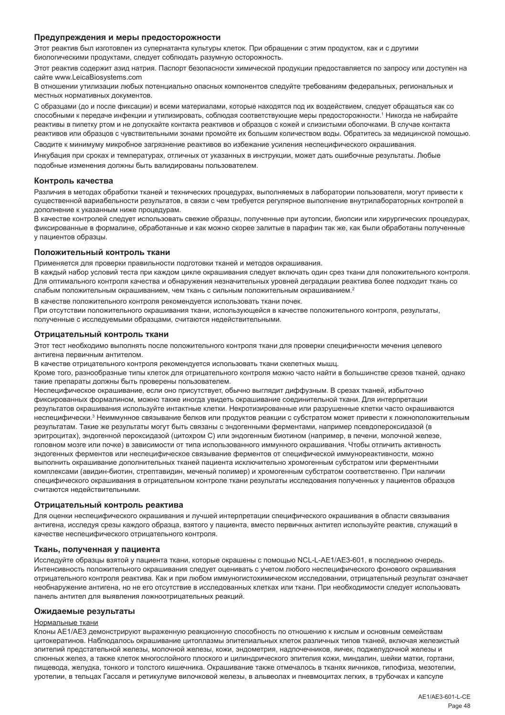#### **Предупреждения и меры предосторожности**

Этот реактив был изготовлен из супернатанта культуры клеток. При обращении с этим продуктом, как и с другими биологическими продуктами, следует соблюдать разумную осторожность.

Этот реактив содержит азид натрия. Паспорт безопасности химической продукции предоставляется по запросу или доступен на сайте www.LeicaBiosystems.com

В отношении утилизации любых потенциально опасных компонентов следуйте требованиям федеральных, региональных и местных нормативных документов.

С образцами (до и после фиксации) и всеми материалами, которые находятся под их воздействием, следует обращаться как со способными к передаче инфекции и утилизировать, соблюдая соответствующие меры предосторожности.' Никогда не набирайте реактивы в пипетку ртом и не допускайте контакта реактивов и образцов с кожей и слизистыми оболочками. В случае контакта реактивов или образцов с чувствительными зонами промойте их большим количеством воды. Обратитесь за медицинской помощью.

Сводите к минимуму микробное загрязнение реактивов во избежание усиления неспецифического окрашивания.

Инкубация при сроках и температурах, отличных от указанных в инструкции, может дать ошибочные результаты. Любые подобные изменения должны быть валидированы пользователем.

#### **Контроль качества**

Различия в методах обработки тканей и технических процедурах, выполняемых в лаборатории пользователя, могут привести к существенной вариабельности результатов, в связи с чем требуется регулярное выполнение внутрилабораторных контролей в дополнение к указанным ниже процедурам.

В качестве контролей следует использовать свежие образцы, полученные при аутопсии, биопсии или хирургических процедурах, фиксированные в формалине, обработанные и как можно скорее залитые в парафин так же, как были обработаны полученные у пациентов образцы.

#### **Положительный контроль ткани**

Применяется для проверки правильности подготовки тканей и методов окрашивания.

В каждый набор условий теста при каждом цикле окрашивания следует включать один срез ткани для положительного контроля. Для оптимального контроля качества и обнаружения незначительных уровней деградации реактива более подходит ткань со слабым положительным окрашиванием, чем ткань с сильным положительным окрашиванием.<sup>2</sup>

В качестве положительного контроля рекомендуется использовать ткани почек.

При отсутствии положительного окрашивания ткани, использующейся в качестве положительного контроля, результаты, полученные с исследуемыми образцами, считаются недействительными.

#### **Отрицательный контроль ткани**

Этот тест необходимо выполнять после положительного контроля ткани для проверки специфичности мечения целевого антигена первичным антителом.

В качестве отрицательного контроля рекомендуется использовать ткани скелетных мышц.

Кроме того, разнообразные типы клеток для отрицательного контроля можно часто найти в большинстве срезов тканей, однако такие препараты должны быть проверены пользователем.

Неспецифическое окрашивание, если оно присутствует, обычно выглядит диффузным. В срезах тканей, избыточно фиксированных формалином, можно также иногда увидеть окрашивание соединительной ткани. Для интерпретации результатов окрашивания используйте интактные клетки. Некротизированные или разрушенные клетки часто окрашиваются неспецифически.<sup>з</sup> Неиммунное связывание белков или продуктов реакции с субстратом может привести к ложноположительным результатам. Такие же результаты могут быть связаны с эндогенными ферментами, например псевдопероксидазой (в эритроцитах), эндогенной пероксидазой (цитохром C) или эндогенным биотином (например, в печени, молочной железе, головном мозге или почке) в зависимости от типа использованного иммунного окрашивания. Чтобы отличить активность эндогенных ферментов или неспецифическое связывание ферментов от специфической иммунореактивности, можно выполнить окрашивание дополнительных тканей пациента исключительно хромогенным субстратом или ферментными комплексами (авидин-биотин, стрептавидин, меченый полимер) и хромогенным субстратом соответственно. При наличии специфического окрашивания в отрицательном контроле ткани результаты исследования полученных у пациентов образцов считаются недействительными.

#### **Отрицательный контроль реактива**

Для оценки неспецифического окрашивания и лучшей интерпретации специфического окрашивания в области связывания антигена, исследуя срезы каждого образца, взятого у пациента, вместо первичных антител используйте реактив, служащий в качестве неспецифического отрицательного контроля.

#### **Ткань, полученная у пациента**

Исследуйте образцы взятой у пациента ткани, которые окрашены с помощью NCL-L-AE1/AE3-601, в последнюю очередь. Интенсивность положительного окрашивания следует оценивать с учетом любого неспецифического фонового окрашивания отрицательного контроля реактива. Как и при любом иммуногистохимическом исследовании, отрицательный результат означает необнаружение антигена, но не его отсутствие в исследованных клетках или ткани. При необходимости следует использовать панель антител для выявления ложноотрицательных реакций.

#### **Ожидаемые результаты**

#### Нормальные ткани

Клоны AE1/AE3 демонстрируют выраженную реакционную способность по отношению к кислым и основным семействам цитокератинов. Наблюдалось окрашивание цитоплазмы эпителиальных клеток различных типов тканей, включая железистый эпителий предстательной железы, молочной железы, кожи, эндометрия, надпочечников, яичек, поджелудочной железы и слюнных желез, а также клеток многослойного плоского и цилиндрического эпителия кожи, миндалин, шейки матки, гортани, пищевода, желудка, тонкого и толстого кишечника. Окрашивание также отмечалось в тканях яичников, гипофиза, мезотелии, уротелии, в тельцах Гассаля и ретикулуме вилочковой железы, в альвеолах и пневмоцитах легких, в трубочках и капсуле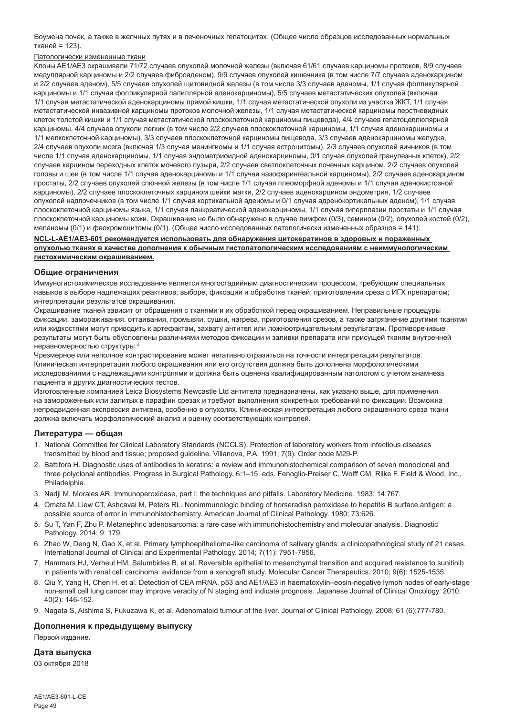Боумена почек, а также в желчных путях и в печеночных гепатоцитах. (Общее число образцов исследованных нормальных тканей = 123).

#### Патологически измененные ткани

Клоны AE1/AE3 окрашивали 71/72 случаев опухолей молочной железы (включая 61/61 случаев карциномы протоков, 8/9 случаев медуллярной карциномы и 2/2 случаев фиброаденом), 9/9 случаев опухолей кишечника (в том числе 7/7 случаев аденокарцином и 2/2 случаев аденом), 5/5 случаев опухолей щитовидной железы (в том числе 3/3 случаев аденомы, 1/1 случая фолликулярной карциномы и 1/1 случая фолликулярной папиллярной аденокарциномы), 5/5 случаев метастатических опухолей (включая 1/1 случая метастатической аденокарциномы прямой кишки, 1/1 случая метастатической опухоли из участка ЖКТ, 1/1 случая метастатической инвазивной карциномы протоков молочной железы, 1/1 случая метастатической карциномы перстневидных клеток толстой кишки и 1/1 случая метастатической плоскоклеточной карциномы пищевода), 4/4 случаев гепатоцеллюлярной карциномы, 4/4 случаев опухоли легких (в том числе 2/2 случаев плоскоклеточной карциномы, 1/1 случая аденокарциномы и 1/1 мелкоклеточной карциномы), 3/3 случаев плоскоклеточной карциномы пищевода, 3/3 случаев аденокарциномы желудка, 2/4 случаев опухоли мозга (включая 1/3 случая менингиомы и 1/1 случая астроцитомы), 2/3 случаев опухолей яичников (в том числе 1/1 случая аденокарциномы, 1/1 случая эндометриоидной аденокарциномы, 0/1 случая опухолей гранулезных клеток), 2/2 случаев карцином переходных клеток мочевого пузыря, 2/2 случаев светлоклеточных почечных карцином, 2/2 случаев опухолей головы и шеи (в том числе 1/1 случая аденокарциномы и 1/1 случая назофарингеальной карциномы), 2/2 случаев аденокарцином простаты, 2/2 случаев опухолей слюнной железы (в том числе 1/1 случая плеоморфной аденомы и 1/1 случая аденокистозной карциномы), 2/2 случаев плоскоклеточных карцином шейки матки, 2/2 случаев аденокарцином эндометрия, 1/2 случаев опухолей надпочечников (в том числе 1/1 случая кортикальной аденомы и 0/1 случая адренокортикальных аденом), 1/1 случая плоскоклеточной карциномы языка, 1/1 случая панкреатической аденокарциномы, 1/1 случая гиперплазии простаты и 1/1 случая плоскоклеточной карциномы кожи. Окрашивание не было обнаружено в случае лимфом (0/3), семином (0/2), опухолей костей (0/2), меланомы (0/1) и феохромоцитомы (0/1). (Общее число исследованных патологически измененных образцов = 141).

### **NCL-L-AE1/AE3-601 рекомендуется использовать для обнаружения цитокератинов в здоровых и пораженных опухолью тканях в качестве дополнения к обычным гистопатологическим исследованиям с неиммунологическим гистохимическим окрашиванием.**

#### **Общие ограничения**

Иммуногистохимическое исследование является многостадийным диагностическим процессом, требующим специальных навыков в выборе надлежащих реактивов; выборе, фиксации и обработке тканей; приготовлении среза с ИГХ препаратом; интерпретации результатов окрашивания.

Окрашивание тканей зависит от обращения с тканями и их обработкой перед окрашиванием. Неправильные процедуры фиксации, замораживания, оттаивания, промывки, сушки, нагрева, приготовления срезов, а также загрязнение другими тканями или жидкостями могут приводить к артефактам, захвату антител или ложноотрицательным результатам. Противоречивые результаты могут быть обусловлены различиями методов фиксации и заливки препарата или присущей тканям внутренней неравномерностью структуры.4

Чрезмерное или неполное контрастирование может негативно отразиться на точности интерпретации результатов. Клиническая интерпретация любого окрашивания или его отсутствия должна быть дополнена морфологическими исследованиями с надлежащими контролями и должна быть оценена квалифицированным патологом с учетом анамнеза пациента и других диагностических тестов.

Изготовленные компанией Leica Biosystems Newcastle Ltd антитела предназначены, как указано выше, для применения на замороженных или залитых в парафин срезах и требуют выполнения конкретных требований по фиксации. Возможна непредвиденная экспрессия антигена, особенно в опухолях. Клиническая интерпретация любого окрашенного среза ткани должна включать морфологический анализ и оценку соответствующих контролей.

#### **Литература — общая**

- 1. National Committee for Clinical Laboratory Standards (NCCLS). Protection of laboratory workers from infectious diseases transmitted by blood and tissue; proposed guideline. Villanova, P.A. 1991; 7(9). Order code M29-P.
- 2. Battifora H. Diagnostic uses of antibodies to keratins: a review and immunohistochemical comparison of seven monoclonal and three polyclonal antibodies. Progress in Surgical Pathology. 6:1–15. eds. Fenoglio-Preiser C, Wolff CM, Rilke F. Field & Wood, Inc., Philadelphia.
- 3. Nadji M, Morales AR. Immunoperoxidase, part I: the techniques and pitfalls. Laboratory Medicine. 1983; 14:767.
- 4. Omata M, Liew CT, Ashcavai M, Peters RL. Nonimmunologic binding of horseradish peroxidase to hepatitis B surface antigen: a possible source of error in immunohistochemistry. American Journal of Clinical Pathology. 1980; 73:626.
- 5. Su T, Yan F, Zhu P. Metanephric adenosarcoma: a rare case with immunohistochemistry and molecular analysis. Diagnostic Pathology. 2014; 9: 179.
- 6. Zhao W, Deng N, Gao X, et al. Primary lymphoepithelioma-like carcinoma of salivary glands: a clinicopathological study of 21 cases. International Journal of Clinical and Experimental Pathology. 2014; 7(11): 7951-7956.
- 7. Hammers HJ, Verheul HM, Salumbides B, et al. Reversible epithelial to mesenchymal transition and acquired resistance to sunitinib in patients with renal cell carcinoma: evidence from a xenograft study. Molecular Cancer Therapeutics. 2010; 9(6): 1525-1535.
- 8. Qiu Y, Yang H, Chen H, et al. Detection of CEA mRNA, p53 and AE1/AE3 in haematoxylin–eosin-negative lymph nodes of early-stage non-small cell lung cancer may improve veracity of N staging and indicate prognosis. Japanese Journal of Clinical Oncology. 2010; 40(2): 146-152.
- 9. Nagata S, Aishima S, Fukuzawa K, et al. Adenomatoid tumour of the liver. Journal of Clinical Pathology. 2008; 61 (6):777-780.

### **Дополнения к предыдущему выпуску**

Первой издание.

## **Дата выпуска**

03 октября 2018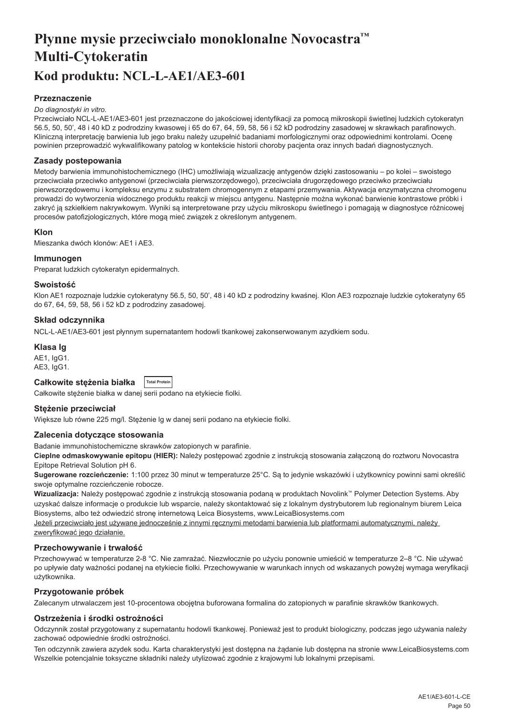# <span id="page-50-0"></span>**Płynne mysie przeciwciało monoklonalne Novocastra™ Multi-Cytokeratin Kod produktu: NCL-L-AE1/AE3-601**

## **Przeznaczenie**

#### *Do diagnostyki in vitro.*

Przeciwciało NCL-L-AE1/AE3-601 jest przeznaczone do jakościowej identyfikacji za pomocą mikroskopii świetlnej ludzkich cytokeratyn 56.5, 50, 50', 48 i 40 kD z podrodziny kwasowej i 65 do 67, 64, 59, 58, 56 i 52 kD podrodziny zasadowej w skrawkach parafinowych. Kliniczną interpretację barwienia lub jego braku należy uzupełnić badaniami morfologicznymi oraz odpowiednimi kontrolami. Ocenę powinien przeprowadzić wykwalifikowany patolog w kontekście historii choroby pacjenta oraz innych badań diagnostycznych.

## **Zasady postepowania**

Metody barwienia immunohistochemicznego (IHC) umożliwiają wizualizację antygenów dzięki zastosowaniu – po kolei – swoistego przeciwciała przeciwko antygenowi (przeciwciała pierwszorzędowego), przeciwciała drugorzędowego przeciwko przeciwciału pierwszorzędowemu i kompleksu enzymu z substratem chromogennym z etapami przemywania. Aktywacja enzymatyczna chromogenu prowadzi do wytworzenia widocznego produktu reakcji w miejscu antygenu. Następnie można wykonać barwienie kontrastowe próbki i zakryć ją szkiełkiem nakrywkowym. Wyniki są interpretowane przy użyciu mikroskopu świetlnego i pomagają w diagnostyce różnicowej procesów patofizjologicznych, które mogą mieć związek z określonym antygenem.

## **Klon**

Mieszanka dwóch klonów: AE1 i AE3.

#### **Immunogen**

Preparat ludzkich cytokeratyn epidermalnych.

#### **Swoistość**

Klon AE1 rozpoznaje ludzkie cytokeratyny 56.5, 50, 50', 48 i 40 kD z podrodziny kwaśnej. Klon AE3 rozpoznaje ludzkie cytokeratyny 65 do 67, 64, 59, 58, 56 i 52 kD z podrodziny zasadowej.

#### **Skład odczynnika**

NCL-L-AE1/AE3-601 jest płynnym supernatantem hodowli tkankowej zakonserwowanym azydkiem sodu.

#### **Klasa Ig**

AE1, IgG1. AE3, IgG1.

## **Całkowite stężenia białka Total Protein**

Całkowite stężenie białka w danej serii podano na etykiecie fiolki.

## **Stężenie przeciwciał**

Większe lub równe 225 mg/l. Stężenie lg w danej serii podano na etykiecie fiolki.

## **Zalecenia dotyczące stosowania**

Badanie immunohistochemiczne skrawków zatopionych w parafinie.

**Cieplne odmaskowywanie epitopu (HIER):** Należy postępować zgodnie z instrukcją stosowania załączoną do roztworu Novocastra Epitope Retrieval Solution pH 6.

**Sugerowane rozcieńczenie:** 1:100 przez 30 minut w temperaturze 25°C. Są to jedynie wskazówki i użytkownicy powinni sami określić swoje optymalne rozcieńczenie robocze.

**Wizualizacja:** Należy postępować zgodnie z instrukcją stosowania podaną w produktach Novolink™ Polymer Detection Systems. Aby uzyskać dalsze informacje o produkcie lub wsparcie, należy skontaktować się z lokalnym dystrybutorem lub regionalnym biurem Leica Biosystems, albo też odwiedzić stronę internetową Leica Biosystems, www.LeicaBiosystems.com

Jeżeli przeciwciało jest używane jednocześnie z innymi ręcznymi metodami barwienia lub platformami automatycznymi, należy zweryfikować jego działanie.

#### **Przechowywanie i trwałość**

Przechowywać w temperaturze 2-8 °C. Nie zamrażać. Niezwłocznie po użyciu ponownie umieścić w temperaturze 2-8 °C. Nie używać po upływie daty ważności podanej na etykiecie fiolki. Przechowywanie w warunkach innych od wskazanych powyżej wymaga weryfikacji użytkownika.

## **Przygotowanie próbek**

Zalecanym utrwalaczem jest 10-procentowa obojetna buforowana formalina do zatopionych w parafinie skrawków tkankowych.

## **Ostrzeżenia i środki ostrożności**

Odczynnik został przygotowany z supernatantu hodowli tkankowej. Ponieważ jest to produkt biologiczny, podczas jego używania należy zachować odpowiednie środki ostrożności.

Ten odczynnik zawiera azydek sodu. Karta charakterystyki jest dostępna na żądanie lub dostępna na stronie www.LeicaBiosystems.com Wszelkie potencjalnie toksyczne składniki należy utylizować zgodnie z krajowymi lub lokalnymi przepisami.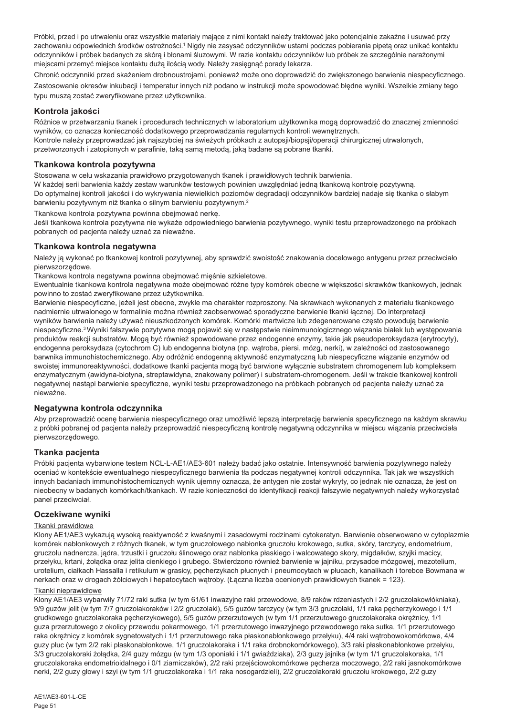Próbki, przed i po utrwaleniu oraz wszystkie materiały mające z nimi kontakt należy traktować jako potencjalnie zakaźne i usuwać przy zachowaniu odpowiednich środków ostrożności.' Nigdy nie zasysać odczynników ustami podczas pobierania pipetą oraz unikać kontaktu odczynników i próbek badanych ze skórą i błonami śluzowymi. W razie kontaktu odczynników lub próbek ze szczególnie narażonymi miejscami przemyć miejsce kontaktu dużą ilością wody. Należy zasięgnąć porady lekarza.

Chronić odczynniki przed skażeniem drobnoustrojami, ponieważ może ono doprowadzić do zwiększonego barwienia niespecyficznego. Zastosowanie okresów inkubacji i temperatur innych niż podano w instrukcji może spowodować błędne wyniki. Wszelkie zmiany tego typu muszą zostać zweryfikowane przez użytkownika.

## **Kontrola jakości**

Różnice w przetwarzaniu tkanek i procedurach technicznych w laboratorium użytkownika mogą doprowadzić do znacznej zmienności wyników, co oznacza konieczność dodatkowego przeprowadzania regularnych kontroli wewnętrznych.

Kontrole należy przeprowadzać jak najszybciej na świeżych próbkach z autopsji/biopsji/operacji chirurgicznej utrwalonych, przetworzonych i zatopionych w parafinie, taką samą metodą, jaką badane są pobrane tkanki.

## **Tkankowa kontrola pozytywna**

Stosowana w celu wskazania prawidłowo przygotowanych tkanek i prawidłowych technik barwienia.

W każdej serii barwienia każdy zestaw warunków testowych powinien uwzględniać jedną tkankową kontrolę pozytywną. Do optymalnej kontroli jakości i do wykrywania niewielkich poziomów degradacji odczynników bardziej nadaje się tkanka o słabym barwieniu pozytywnym niż tkanka o silnym barwieniu pozytywnym.<sup>2</sup>

Tkankowa kontrola pozytywna powinna obejmować nerkę.

Jeśli tkankowa kontrola pozytywna nie wykaże odpowiedniego barwienia pozytywnego, wyniki testu przeprowadzonego na próbkach pobranych od pacjenta należy uznać za nieważne.

## **Tkankowa kontrola negatywna**

Należy ja wykonać po tkankowej kontroli pozytywnej, aby sprawdzić swoistość znakowania docelowego antygenu przez przeciwciało pierwszorzędowe.

Tkankowa kontrola negatywna powinna obejmować mięśnie szkieletowe.

Ewentualnie tkankowa kontrola negatywna może obejmować różne typy komórek obecne w większości skrawków tkankowych, jednak powinno to zostać zweryfikowane przez użytkownika.

Barwienie niespecyficzne, jeżeli jest obecne, zwykle ma charakter rozproszony. Na skrawkach wykonanych z materiału tkankowego nadmiernie utrwalonego w formalinie można również zaobserwować sporadyczne barwienie tkanki łącznej. Do interpretacji wyników barwienia należy używać nieuszkodzonych komórek. Komórki martwicze lub zdegenerowane często powodują barwienie niespecyficzne.<sup>3</sup>Wyniki fałszywie pozytywne mogą pojawić się w następstwie nieimmunologicznego wiązania białek lub występowania produktów reakcji substratów. Mogą być również spowodowane przez endogenne enzymy, takie jak pseudoperoksydaza (erytrocyty), endogenna peroksydaza (cytochrom C) lub endogenna biotyna (np. wątroba, piersi, mózg, nerki), w zależności od zastosowanego barwnika immunohistochemicznego. Aby odróżnić endogenną aktywność enzymatyczną lub niespecyficzne wiązanie enzymów od swoistej immunoreaktywności, dodatkowe tkanki pacjenta mogą być barwione wyłącznie substratem chromogenem lub kompleksem enzymatycznym (awidyna-biotyna, streptawidyna, znakowany polimer) i substratem-chromogenem. Jeśli w trakcie tkankowej kontroli negatywnej nastąpi barwienie specyficzne, wyniki testu przeprowadzonego na próbkach pobranych od pacjenta należy uznać za nieważne.

## **Negatywna kontrola odczynnika**

Aby przeprowadzić ocenę barwienia niespecyficznego oraz umożliwić lepszą interpretację barwienia specyficznego na każdym skrawku z próbki pobranej od pacjenta należy przeprowadzić niespecyficzną kontrolę negatywną odczynnika w miejscu wiązania przeciwciała pierwszorzędowego.

## **Tkanka pacjenta**

Próbki pacjenta wybarwione testem NCL-L-AE1/AE3-601 należy badać jako ostatnie. Intensywność barwienia pozytywnego należy oceniać w kontekście ewentualnego niespecyficznego barwienia tła podczas negatywnej kontroli odczynnika. Tak jak we wszystkich innych badaniach immunohistochemicznych wynik ujemny oznacza, że antygen nie został wykryty, co jednak nie oznacza, że jest on nieobecny w badanych komórkach/tkankach. W razie konieczności do identyfikacji reakcji fałszywie negatywnych należy wykorzystać panel przeciwciał.

## **Oczekiwane wyniki**

#### Tkanki prawidłowe

Klony AE1/AE3 wykazują wysoką reaktywność z kwaśnymi i zasadowymi rodzinami cytokeratyn. Barwienie obserwowano w cytoplazmie komórek nabłonkowych z różnych tkanek, w tym gruczołowego nabłonka gruczołu krokowego, sutka, skóry, tarczycy, endometrium, gruczołu nadnercza, jądra, trzustki i gruczołu ślinowego oraz nabłonka płaskiego i walcowatego skory, migdałków, szyjki macicy, przełyku, krtani, żołądka oraz jelita cienkiego i grubego. Stwierdzono również barwienie w jajniku, przysadce mózgowej, mezotelium, urotelium, ciałkach Hassalla i retikulum w grasicy, pęcherzykach płucnych i pneumocytach w płucach, kanalikach i torebce Bowmana w nerkach oraz w drogach żółciowych i hepatocytach wątroby. (Łączna liczba ocenionych prawidłowych tkanek = 123).

#### Tkanki nieprawidłowe

Klony AE1/AE3 wybarwiły 71/72 raki sutka (w tym 61/61 inwazyjne raki przewodowe, 8/9 raków rdzeniastych i 2/2 gruczolakowłókniaka), 9/9 guzów jelit (w tym 7/7 gruczolakoraków i 2/2 gruczolaki), 5/5 guzów tarczycy (w tym 3/3 gruczolaki, 1/1 raka pęcherzykowego i 1/1 grudkowego gruczolakoraka pęcherzykowego), 5/5 guzów przerzutowych (w tym 1/1 przerzutowego gruczolakoraka okrężnicy, 1/1 guza przerzutowego z okolicy przewodu pokarmowego, 1/1 przerzutowego inwazyjnego przewodowego raka sutka, 1/1 przerzutowego raka okrężnicy z komórek sygnetowatych i 1/1 przerzutowego raka płaskonabłonkowego przełyku), 4/4 raki wątrobowokomórkowe, 4/4 guzy płuc (w tym 2/2 raki płaskonabłonkowe, 1/1 gruczolakoraka i 1/1 raka drobnokomórkowego), 3/3 raki płaskonabłonkowe przełyku, 3/3 gruczolakoraki żołądka, 2/4 guzy mózgu (w tym 1/3 oponiaki i 1/1 gwiaździaka), 2/3 guzy jajnika (w tym 1/1 gruczolakoraka, 1/1 gruczolakoraka endometrioidalnego i 0/1 ziarniczaków), 2/2 raki przejściowokomórkowe pęcherza moczowego, 2/2 raki jasnokomórkowe nerki, 2/2 guzy głowy i szyi (w tym 1/1 gruczolakoraka i 1/1 raka nosogardzieli), 2/2 gruczolakoraki gruczołu krokowego, 2/2 guzy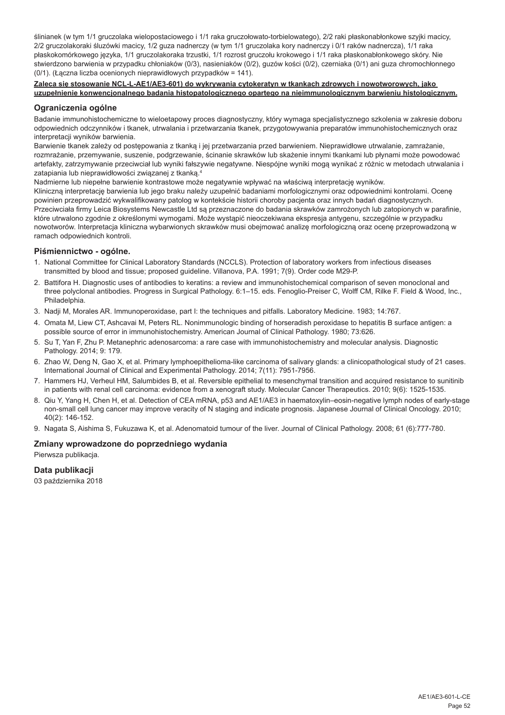ślinianek (w tym 1/1 gruczolaka wielopostaciowego i 1/1 raka gruczołowato-torbielowatego), 2/2 raki płaskonabłonkowe szyjki macicy, 2/2 gruczolakoraki śluzówki macicy, 1/2 guza nadnerczy (w tym 1/1 gruczolaka kory nadnerczy i 0/1 raków nadnercza), 1/1 raka płaskokomórkowego języka, 1/1 gruczolakoraka trzustki, 1/1 rozrost gruczołu krokowego i 1/1 raka płaskonabłonkowego skóry. Nie stwierdzono barwienia w przypadku chłoniaków (0/3), nasieniaków (0/2), guzów kości (0/2), czerniaka (0/1) ani guza chromochłonnego (0/1). (Łączna liczba ocenionych nieprawidłowych przypadków = 141).

## **Zaleca się stosowanie NCL-L-AE1/AE3-601) do wykrywania cytokeratyn w tkankach zdrowych i nowotworowych, jako uzupełnienie konwencjonalnego badania histopatologicznego opartego na nieimmunologicznym barwieniu histologicznym.**

## **Ograniczenia ogólne**

Badanie immunohistochemiczne to wieloetapowy proces diagnostyczny, który wymaga specjalistycznego szkolenia w zakresie doboru odpowiednich odczynników i tkanek, utrwalania i przetwarzania tkanek, przygotowywania preparatów immunohistochemicznych oraz interpretacji wyników barwienia.

Barwienie tkanek zależy od postępowania z tkanką i jej przetwarzania przed barwieniem. Nieprawidłowe utrwalanie, zamrażanie, rozmrażanie, przemywanie, suszenie, podgrzewanie, ścinanie skrawków lub skażenie innymi tkankami lub płynami może powodować artefakty, zatrzymywanie przeciwciał lub wyniki fałszywie negatywne. Niespójne wyniki mogą wynikać z różnic w metodach utrwalania i zatapiania lub nieprawidłowości związanej z tkanką.4

Nadmierne lub niepełne barwienie kontrastowe może negatywnie wpływać na właściwą interpretację wyników.

Kliniczną interpretację barwienia lub jego braku należy uzupełnić badaniami morfologicznymi oraz odpowiednimi kontrolami. Ocenę powinien przeprowadzić wykwalifikowany patolog w kontekście historii choroby pacjenta oraz innych badań diagnostycznych. Przeciwciała firmy Leica Biosystems Newcastle Ltd są przeznaczone do badania skrawków zamrożonych lub zatopionych w parafinie, które utrwalono zgodnie z określonymi wymogami. Może wystąpić nieoczekiwana ekspresja antygenu, szczególnie w przypadku nowotworów. Interpretacja kliniczna wybarwionych skrawków musi obejmować analizę morfologiczną oraz ocenę przeprowadzoną w ramach odpowiednich kontroli.

## **Piśmiennictwo - ogólne.**

- 1. National Committee for Clinical Laboratory Standards (NCCLS). Protection of laboratory workers from infectious diseases transmitted by blood and tissue; proposed guideline. Villanova, P.A. 1991; 7(9). Order code M29-P.
- 2. Battifora H. Diagnostic uses of antibodies to keratins: a review and immunohistochemical comparison of seven monoclonal and three polyclonal antibodies. Progress in Surgical Pathology. 6:1–15. eds. Fenoglio-Preiser C, Wolff CM, Rilke F. Field & Wood, Inc., Philadelphia.
- 3. Nadji M, Morales AR. Immunoperoxidase, part I: the techniques and pitfalls. Laboratory Medicine. 1983; 14:767.
- 4. Omata M, Liew CT, Ashcavai M, Peters RL. Nonimmunologic binding of horseradish peroxidase to hepatitis B surface antigen: a possible source of error in immunohistochemistry. American Journal of Clinical Pathology. 1980; 73:626.
- 5. Su T, Yan F, Zhu P. Metanephric adenosarcoma: a rare case with immunohistochemistry and molecular analysis. Diagnostic Pathology. 2014; 9: 179.
- 6. Zhao W, Deng N, Gao X, et al. Primary lymphoepithelioma-like carcinoma of salivary glands: a clinicopathological study of 21 cases. International Journal of Clinical and Experimental Pathology. 2014; 7(11): 7951-7956.
- 7. Hammers HJ, Verheul HM, Salumbides B, et al. Reversible epithelial to mesenchymal transition and acquired resistance to sunitinib in patients with renal cell carcinoma: evidence from a xenograft study. Molecular Cancer Therapeutics. 2010; 9(6): 1525-1535.
- 8. Qiu Y, Yang H, Chen H, et al. Detection of CEA mRNA, p53 and AE1/AE3 in haematoxylin–eosin-negative lymph nodes of early-stage non-small cell lung cancer may improve veracity of N staging and indicate prognosis. Japanese Journal of Clinical Oncology. 2010; 40(2): 146-152.
- 9. Nagata S, Aishima S, Fukuzawa K, et al. Adenomatoid tumour of the liver. Journal of Clinical Pathology. 2008; 61 (6):777-780.

## **Zmiany wprowadzone do poprzedniego wydania**

Pierwsza publikacja.

## **Data publikacji**

03 października 2018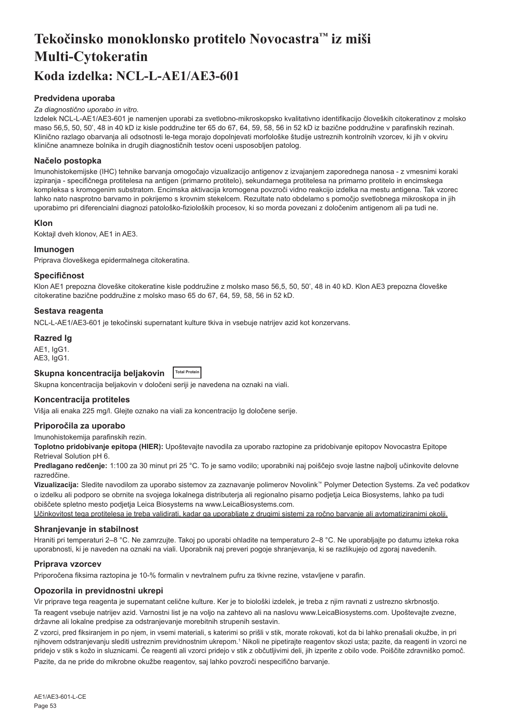## <span id="page-53-0"></span>**Tekočinsko monoklonsko protitelo Novocastra™ iz miši Multi-Cytokeratin Koda izdelka: NCL-L-AE1/AE3-601**

## **Predvidena uporaba**

#### *Za diagnostično uporabo in vitro.*

Izdelek NCL-L-AE1/AE3-601 je namenjen uporabi za svetlobno-mikroskopsko kvalitativno identifikacijo človeških citokeratinov z molsko maso 56,5, 50, 50', 48 in 40 kD iz kisle poddružine ter 65 do 67, 64, 59, 58, 56 in 52 kD iz bazične poddružine v parafinskih rezinah. Klinično razlago obarvanja ali odsotnosti le-tega morajo dopolnjevati morfološke študije ustreznih kontrolnih vzorcev, ki jih v okviru klinične anamneze bolnika in drugih diagnostičnih testov oceni usposobljen patolog.

## **Načelo postopka**

Imunohistokemijske (IHC) tehnike barvanja omogočajo vizualizacijo antigenov z izvajanjem zaporednega nanosa - z vmesnimi koraki izpiranja - specifičnega protitelesa na antigen (primarno protitelo), sekundarnega protitelesa na primarno protitelo in encimskega kompleksa s kromogenim substratom. Encimska aktivacija kromogena povzroči vidno reakcijo izdelka na mestu antigena. Tak vzorec lahko nato nasprotno barvamo in pokrijemo s krovnim stekelcem. Rezultate nato obdelamo s pomočjo svetlobnega mikroskopa in jih uporabimo pri diferencialni diagnozi patološko-fizioloških procesov, ki so morda povezani z določenim antigenom ali pa tudi ne.

#### **Klon**

Koktajl dveh klonov, AE1 in AE3.

## **Imunogen**

Priprava človeškega epidermalnega citokeratina.

## **Specifičnost**

Klon AE1 prepozna človeške citokeratine kisle poddružine z molsko maso 56,5, 50, 50', 48 in 40 kD. Klon AE3 prepozna človeške citokeratine bazične poddružine z molsko maso 65 do 67, 64, 59, 58, 56 in 52 kD.

## **Sestava reagenta**

NCL-L-AE1/AE3-601 je tekočinski supernatant kulture tkiva in vsebuje natrijev azid kot konzervans.

#### **Razred Ig**

AE1, IgG1. AE3, IgG1.

## **Skupna koncentracija beljakovin Total Protein**

Skupna koncentracija beljakovin v določeni seriji je navedena na oznaki na viali.

## **Koncentracija protiteles**

Višja ali enaka 225 mg/l. Glejte oznako na viali za koncentracijo Ig določene serije.

## **Priporočila za uporabo**

Imunohistokemija parafinskih rezin.

**Toplotno pridobivanje epitopa (HIER):** Upoštevajte navodila za uporabo raztopine za pridobivanje epitopov Novocastra Epitope Retrieval Solution pH 6.

**Predlagano redčenje:** 1:100 za 30 minut pri 25 °C. To je samo vodilo; uporabniki naj poiščejo svoje lastne najbolj učinkovite delovne razredčine.

**Vizualizacija:** Sledite navodilom za uporabo sistemov za zaznavanje polimerov Novolink™ Polymer Detection Systems. Za več podatkov o izdelku ali podporo se obrnite na svojega lokalnega distributerja ali regionalno pisarno podjetja Leica Biosystems, lahko pa tudi obiščete spletno mesto podjetja Leica Biosystems na www.LeicaBiosystems.com.

Učinkovitost tega protitelesa je treba validirati, kadar ga uporabljate z drugimi sistemi za ročno barvanje ali avtomatiziranimi okolji.

#### **Shranjevanje in stabilnost**

Hraniti pri temperaturi 2–8 °C. Ne zamrzujte. Takoj po uporabi ohladite na temperaturo 2–8 °C. Ne uporabljajte po datumu izteka roka uporabnosti, ki je naveden na oznaki na viali. Uporabnik naj preveri pogoje shranjevanja, ki se razlikujejo od zgoraj navedenih.

#### **Priprava vzorcev**

Priporočena fiksirna raztopina je 10-% formalin v nevtralnem pufru za tkivne rezine, vstavljene v parafin.

#### **Opozorila in previdnostni ukrepi**

Vir priprave tega reagenta je supernatant celične kulture. Ker je to biološki izdelek, je treba z njim ravnati z ustrezno skrbnostjo.

Ta reagent vsebuje natrijev azid. Varnostni list je na voljo na zahtevo ali na naslovu www.LeicaBiosystems.com. Upoštevajte zvezne, državne ali lokalne predpise za odstranjevanje morebitnih strupenih sestavin.

Z vzorci, pred fiksiranjem in po njem, in vsemi materiali, s katerimi so prišli v stik, morate rokovati, kot da bi lahko prenašali okužbe, in pri njihovem odstranjevanju slediti ustreznim previdnostnim ukrepom.1 Nikoli ne pipetirajte reagentov skozi usta; pazite, da reagenti in vzorci ne pridejo v stik s kožo in sluznicami. Če reagenti ali vzorci pridejo v stik z občutljivimi deli, jih izperite z obilo vode. Poiščite zdravniško pomoč.

Pazite, da ne pride do mikrobne okužbe reagentov, saj lahko povzroči nespecifično barvanje.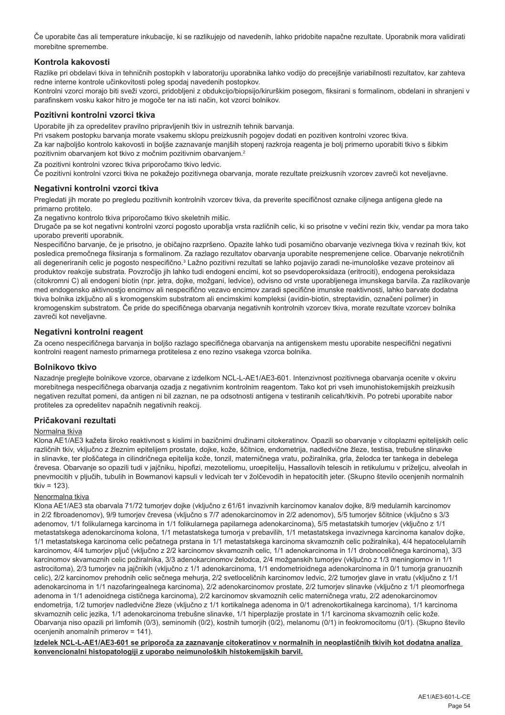Če uporabite čas ali temperature inkubacije, ki se razlikujejo od navedenih, lahko pridobite napačne rezultate. Uporabnik mora validirati morebitne spremembe.

## **Kontrola kakovosti**

Razlike pri obdelavi tkiva in tehničnih postopkih v laboratoriju uporabnika lahko vodijo do precejšnje variabilnosti rezultatov, kar zahteva redne interne kontrole učinkovitosti poleg spodaj navedenih postopkov.

Kontrolni vzorci morajo biti sveži vzorci, pridobljeni z obdukcijo/biopsijo/kirurškim posegom, fiksirani s formalinom, obdelani in shranjeni v parafinskem vosku kakor hitro je mogoče ter na isti način, kot vzorci bolnikov.

## **Pozitivni kontrolni vzorci tkiva**

Uporabite jih za opredelitev pravilno pripravljenih tkiv in ustreznih tehnik barvanja.

Pri vsakem postopku barvanja morate vsakemu sklopu preizkusnih pogojev dodati en pozitiven kontrolni vzorec tkiva. Za kar najboljšo kontrolo kakovosti in boljše zaznavanje manjših stopenj razkroja reagenta je bolj primerno uporabiti tkivo s šibkim

pozitivnim obarvanjem kot tkivo z močnim pozitivnim obarvanjem.<sup>2</sup>

Za pozitivni kontrolni vzorec tkiva priporočamo tkivo ledvic.

Če pozitivni kontrolni vzorci tkiva ne pokažejo pozitivnega obarvanja, morate rezultate preizkusnih vzorcev zavreči kot neveljavne.

## **Negativni kontrolni vzorci tkiva**

Pregledati jih morate po pregledu pozitivnih kontrolnih vzorcev tkiva, da preverite specifičnost oznake ciljnega antigena glede na primarno protitelo.

Za negativno kontrolo tkiva priporočamo tkivo skeletnih mišic.

Drugače pa se kot negativni kontrolni vzorci pogosto uporablja vrsta različnih celic, ki so prisotne v večini rezin tkiv, vendar pa mora tako uporabo preveriti uporabnik.

Nespecifično barvanje, če je prisotno, je običajno razpršeno. Opazite lahko tudi posamično obarvanje vezivnega tkiva v rezinah tkiv, kot posledica premočnega fiksiranja s formalinom. Za razlago rezultatov obarvanja uporabite nespremenjene celice. Obarvanje nekrotičnih ali degeneriranih celic je pogosto nespecifično.<sup>3</sup> Lažno pozitivni rezultati se lahko pojavijo zaradi ne-imunološke vezave proteinov ali produktov reakcije substrata. Povzročijo jih lahko tudi endogeni encimi, kot so psevdoperoksidaza (eritrociti), endogena peroksidaza (citokromni C) ali endogeni biotin (npr. jetra, dojke, možgani, ledvice), odvisno od vrste uporabljenega imunskega barvila. Za razlikovanje med endogensko aktivnostjo encimov ali nespecifično vezavo encimov zaradi specifične imunske reaktivnosti, lahko barvate dodatna tkiva bolnika izključno ali s kromogenskim substratom ali encimskimi kompleksi (avidin-biotin, streptavidin, označeni polimer) in kromogenskim substratom. Če pride do specifičnega obarvanja negativnih kontrolnih vzorcev tkiva, morate rezultate vzorcev bolnika zavreči kot neveljavne.

## **Negativni kontrolni reagent**

Za oceno nespecifičnega barvanja in boljšo razlago specifičnega obarvanja na antigenskem mestu uporabite nespecifični negativni kontrolni reagent namesto primarnega protitelesa z eno rezino vsakega vzorca bolnika.

## **Bolnikovo tkivo**

Nazadnje preglejte bolnikove vzorce, obarvane z izdelkom NCL-L-AE1/AE3-601. Intenzivnost pozitivnega obarvanja ocenite v okviru morebitnega nespecifičnega obarvanja ozadja z negativnim kontrolnim reagentom. Tako kot pri vseh imunohistokemijskih preizkusih negativen rezultat pomeni, da antigen ni bil zaznan, ne pa odsotnosti antigena v testiranih celicah/tkivih. Po potrebi uporabite nabor protiteles za opredelitev napačnih negativnih reakcij.

## **Pričakovani rezultati**

#### Normalna tkiva

Klona AE1/AE3 kažeta široko reaktivnost s kislimi in bazičnimi družinami citokeratinov. Opazili so obarvanje v citoplazmi epitelijskih celic različnih tkiv, vključno z žleznim epitelijem prostate, dojke, kože, ščitnice, endometrija, nadledvične žleze, testisa, trebušne slinavke in slinavke, ter ploščatega in cilindričnega epitelija kože, tonzil, materničnega vratu, požiralnika, grla, želodca ter tankega in debelega črevesa. Obarvanje so opazili tudi v jajčniku, hipofizi, mezoteliomu, uroepiteliju, Hassallovih telescih in retikulumu v priželjcu, alveolah in pnevmocitih v pljučih, tubulih in Bowmanovi kapsuli v ledvicah ter v žolčevodih in hepatocitih jeter. (Skupno število ocenjenih normalnih tkiv =  $123$ ).

## Nenormalna tkiva

Klona AE1/AE3 sta obarvala 71/72 tumorjev dojke (vključno z 61/61 invazivnih karcinomov kanalov dojke, 8/9 medularnih karcinomov in 2/2 fibroadenomov), 9/9 tumorjev črevesa (vključno s 7/7 adenokarcinomov in 2/2 adenomov), 5/5 tumorjev ščitnice (vključno s 3/3 adenomov, 1/1 folikularnega karcinoma in 1/1 folikularnega papilarnega adenokarcinoma), 5/5 metastatskih tumorjev (vključno z 1/1 metastatskega adenokarcinoma kolona, 1/1 metastatskega tumorja v prebavilih, 1/1 metastatskega invazivnega karcinoma kanalov dojke, 1/1 metastatskega karcinoma celic pečatnega prstana in 1/1 metastatskega karcinoma skvamoznih celic požiralnika), 4/4 hepatocelularnih karcinomov, 4/4 tumorjev pljuč (vključno z 2/2 karcinomov skvamoznih celic, 1/1 adenokarcinoma in 1/1 drobnoceličnega karcinoma), 3/3 karcinomov skvamoznih celic požiralnika, 3/3 adenokarcinomov želodca, 2/4 možganskih tumorjev (vključno z 1/3 meningiomov in 1/1 astrocitoma), 2/3 tumorjev na jajčnikih (vključno z 1/1 adenokarcinoma, 1/1 endometrioidnega adenokarcinoma in 0/1 tumorja granuoznih celic), 2/2 karcinomov prehodnih celic sečnega mehurja, 2/2 svetloceličnih karcinomov ledvic, 2/2 tumorjev glave in vratu (vključno z 1/1 adenokarcinoma in 1/1 nazofaringealnega karcinoma), 2/2 adenokarcinomov prostate, 2/2 tumorjev slinavke (vključno z 1/1 pleomorfnega adenoma in 1/1 adenoidnega cističnega karcinoma), 2/2 karcinomov skvamoznih celic materničnega vratu, 2/2 adenokarcinomov endometrija, 1/2 tumorjev nadledvične žleze (vključno z 1/1 kortikalnega adenoma in 0/1 adrenokortikalnega karcinoma), 1/1 karcinoma skvamoznih celic jezika, 1/1 adenokarcinoma trebušne slinavke, 1/1 hiperplazije prostate in 1/1 karcinoma skvamoznih celic kože. Obarvanja niso opazili pri limfomih (0/3), seminomih (0/2), kostnih tumorjih (0/2), melanomu (0/1) in feokromocitomu (0/1). (Skupno število ocenjenih anomalnih primerov = 141).

**Izdelek NCL-L-AE1/AE3-601 se priporoča za zaznavanje citokeratinov v normalnih in neoplastičnih tkivih kot dodatna analiza konvencionalni histopatologiji z uporabo neimunoloških histokemijskih barvil.**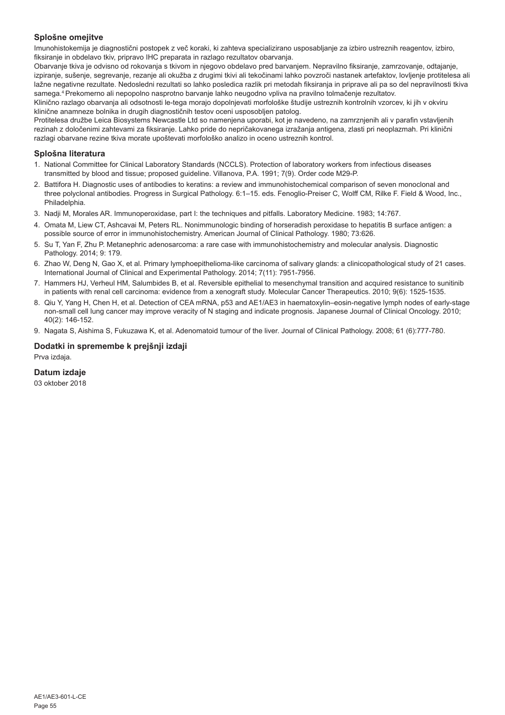## **Splošne omejitve**

Imunohistokemija je diagnostični postopek z več koraki, ki zahteva specializirano usposabljanje za izbiro ustreznih reagentov, izbiro, fiksiranje in obdelavo tkiv, pripravo IHC preparata in razlago rezultatov obarvanja.

Obarvanje tkiva je odvisno od rokovanja s tkivom in njegovo obdelavo pred barvanjem. Nepravilno fiksiranje, zamrzovanje, odtajanje, izpiranje, sušenje, segrevanje, rezanje ali okužba z drugimi tkivi ali tekočinami lahko povzroči nastanek artefaktov, lovljenje protitelesa ali lažne negativne rezultate. Nedosledni rezultati so lahko posledica razlik pri metodah fiksiranja in priprave ali pa so del nepravilnosti tkiva samega.4 Prekomerno ali nepopolno nasprotno barvanje lahko neugodno vpliva na pravilno tolmačenje rezultatov.

Klinično razlago obarvanja ali odsotnosti le-tega morajo dopolnjevati morfološke študije ustreznih kontrolnih vzorcev, ki jih v okviru klinične anamneze bolnika in drugih diagnostičnih testov oceni usposobljen patolog.

Protitelesa družbe Leica Biosystems Newcastle Ltd so namenjena uporabi, kot je navedeno, na zamrznjenih ali v parafin vstavljenih rezinah z določenimi zahtevami za fiksiranje. Lahko pride do nepričakovanega izražanja antigena, zlasti pri neoplazmah. Pri klinični razlagi obarvane rezine tkiva morate upoštevati morfološko analizo in oceno ustreznih kontrol.

## **Splošna literatura**

- 1. National Committee for Clinical Laboratory Standards (NCCLS). Protection of laboratory workers from infectious diseases transmitted by blood and tissue; proposed guideline. Villanova, P.A. 1991; 7(9). Order code M29-P.
- 2. Battifora H. Diagnostic uses of antibodies to keratins: a review and immunohistochemical comparison of seven monoclonal and three polyclonal antibodies. Progress in Surgical Pathology. 6:1–15. eds. Fenoglio-Preiser C, Wolff CM, Rilke F. Field & Wood, Inc., Philadelphia.
- 3. Nadji M, Morales AR. Immunoperoxidase, part I: the techniques and pitfalls. Laboratory Medicine. 1983; 14:767.
- 4. Omata M, Liew CT, Ashcavai M, Peters RL. Nonimmunologic binding of horseradish peroxidase to hepatitis B surface antigen: a possible source of error in immunohistochemistry. American Journal of Clinical Pathology. 1980; 73:626.
- 5. Su T, Yan F, Zhu P. Metanephric adenosarcoma: a rare case with immunohistochemistry and molecular analysis. Diagnostic Pathology. 2014; 9: 179.
- 6. Zhao W, Deng N, Gao X, et al. Primary lymphoepithelioma-like carcinoma of salivary glands: a clinicopathological study of 21 cases. International Journal of Clinical and Experimental Pathology. 2014; 7(11): 7951-7956.
- 7. Hammers HJ, Verheul HM, Salumbides B, et al. Reversible epithelial to mesenchymal transition and acquired resistance to sunitinib in patients with renal cell carcinoma: evidence from a xenograft study. Molecular Cancer Therapeutics. 2010; 9(6): 1525-1535.
- 8. Qiu Y, Yang H, Chen H, et al. Detection of CEA mRNA, p53 and AE1/AE3 in haematoxylin–eosin-negative lymph nodes of early-stage non-small cell lung cancer may improve veracity of N staging and indicate prognosis. Japanese Journal of Clinical Oncology. 2010; 40(2): 146-152.
- 9. Nagata S, Aishima S, Fukuzawa K, et al. Adenomatoid tumour of the liver. Journal of Clinical Pathology. 2008; 61 (6):777-780.

## **Dodatki in spremembe k prejšnji izdaji** Prva izdaja.

## **Datum izdaje**

03 oktober 2018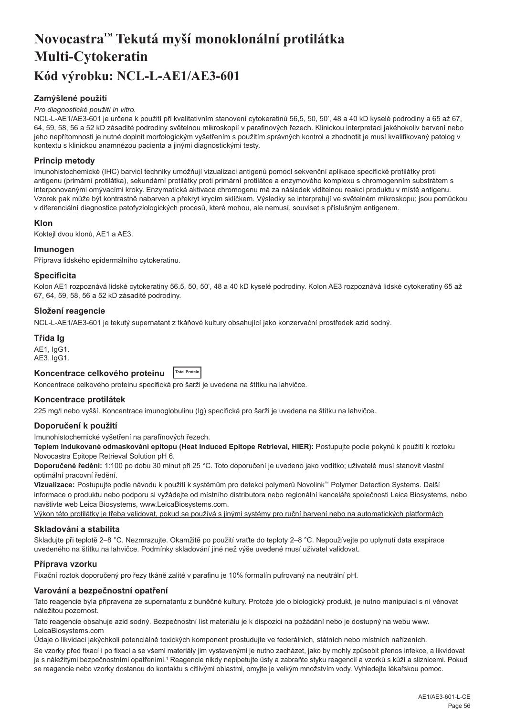# <span id="page-56-0"></span>**Novocastra™ Tekutá myší monoklonální protilátka Multi-Cytokeratin Kód výrobku: NCL-L-AE1/AE3-601**

## **Zamýšlené použití**

#### *Pro diagnostické použití in vitro.*

NCL-L-AE1/AE3-601 je určena k použití při kvalitativním stanovení cytokeratinů 56,5, 50, 50', 48 a 40 kD kyselé podrodiny a 65 až 67, 64, 59, 58, 56 a 52 kD zásadité podrodiny světelnou mikroskopií v parafinových řezech. Klinickou interpretaci jakéhokoliv barvení nebo jeho nepřítomnosti je nutné doplnit morfologickým vyšetřením s použitím správných kontrol a zhodnotit je musí kvalifikovaný patolog v kontextu s klinickou anamnézou pacienta a jinými diagnostickými testy.

## **Princip metody**

Imunohistochemické (IHC) barvicí techniky umožňují vizualizaci antigenů pomocí sekvenční aplikace specifické protilátky proti antigenu (primární protilátka), sekundární protilátky proti primární protilátce a enzymového komplexu s chromogenním substrátem s interponovanými omývacími kroky. Enzymatická aktivace chromogenu má za následek viditelnou reakci produktu v místě antigenu. Vzorek pak může být kontrastně nabarven a překryt krycím sklíčkem. Výsledky se interpretují ve světelném mikroskopu; jsou pomůckou v diferenciální diagnostice patofyziologických procesů, které mohou, ale nemusí, souviset s příslušným antigenem.

#### **Klon**

Koktejl dvou klonů, AE1 a AE3.

## **Imunogen**

Příprava lidského epidermálního cytokeratinu.

## **Specificita**

Kolon AE1 rozpoznává lidské cytokeratiny 56.5, 50, 50', 48 a 40 kD kyselé podrodiny. Kolon AE3 rozpoznává lidské cytokeratiny 65 až 67, 64, 59, 58, 56 a 52 kD zásadité podrodiny.

#### **Složení reagencie**

NCL-L-AE1/AE3-601 je tekutý supernatant z tkáňové kultury obsahující jako konzervační prostředek azid sodný.

#### **Třída Ig**

AE1, IgG1. AE3, IgG1.

## **Koncentrace celkového proteinu Total Protein**

Koncentrace celkového proteinu specifická pro šarži je uvedena na štítku na lahvičce.

#### **Koncentrace protilátek**

225 mg/l nebo vyšší. Koncentrace imunoglobulinu (Ig) specifická pro šarži je uvedena na štítku na lahvičce.

## **Doporučení k použití**

Imunohistochemické vyšetření na parafínových řezech.

**Teplem indukované odmaskování epitopu (Heat Induced Epitope Retrieval, HIER):** Postupujte podle pokynů k použití k roztoku Novocastra Epitope Retrieval Solution pH 6.

**Doporučené ředění:** 1:100 po dobu 30 minut při 25 °C. Toto doporučení je uvedeno jako vodítko; uživatelé musí stanovit vlastní optimální pracovní ředění.

**Vizualizace:** Postupujte podle návodu k použití k systémům pro detekci polymerů Novolink™ Polymer Detection Systems. Další informace o produktu nebo podporu si vyžádejte od místního distributora nebo regionální kanceláře společnosti Leica Biosystems, nebo navštivte web Leica Biosystems, www.LeicaBiosystems.com.

Výkon této protilátky je třeba validovat, pokud se používá s jinými systémy pro ruční barvení nebo na automatických platformách

## **Skladování a stabilita**

Skladujte při teplotě 2–8 °C. Nezmrazujte. Okamžitě po použití vraťte do teploty 2–8 °C. Nepoužívejte po uplynutí data exspirace uvedeného na štítku na lahvičce. Podmínky skladování jiné než výše uvedené musí uživatel validovat.

#### **Příprava vzorku**

Fixační roztok doporučený pro řezy tkáně zalité v parafinu je 10% formalín pufrovaný na neutrální pH.

## **Varování a bezpečnostní opatření**

Tato reagencie byla připravena ze supernatantu z buněčné kultury. Protože jde o biologický produkt, je nutno manipulaci s ní věnovat náležitou pozornost.

Tato reagencie obsahuje azid sodný. Bezpečnostní list materiálu je k dispozici na požádání nebo je dostupný na webu www. LeicaBiosystems.com

Údaje o likvidaci jakýchkoli potenciálně toxických komponent prostudujte ve federálních, státních nebo místních nařízeních.

Se vzorky před fixací i po fixaci a se všemi materiály jim vystavenými je nutno zacházet, jako by mohly způsobit přenos infekce, a likvidovat je s náležitými bezpečnostními opatřeními.1 Reagencie nikdy nepipetujte ústy a zabraňte styku reagencií a vzorků s kůží a sliznicemi. Pokud se reagencie nebo vzorky dostanou do kontaktu s citlivými oblastmi, omyjte je velkým množstvím vody. Vyhledejte lékařskou pomoc.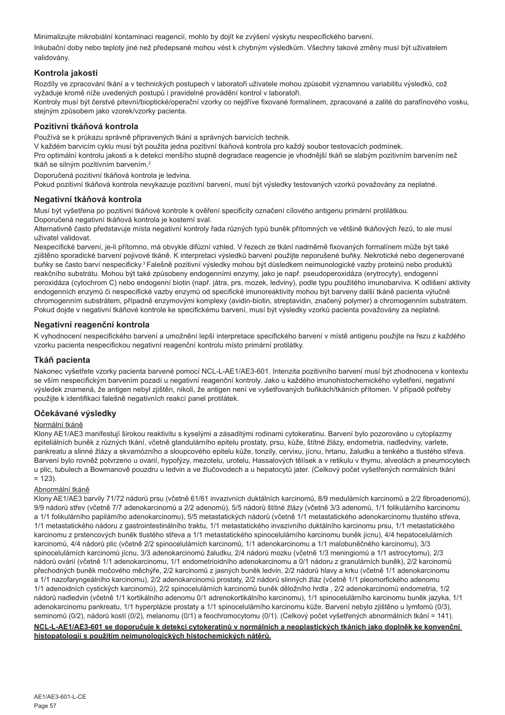Minimalizujte mikrobiální kontaminaci reagencií, mohlo by dojít ke zvýšení výskytu nespecifického barvení.

Inkubační doby nebo teploty jiné než předepsané mohou vést k chybným výsledkům. Všechny takové změny musí být uživatelem validovány.

## **Kontrola jakosti**

Rozdíly ve zpracování tkání a v technických postupech v laboratoři uživatele mohou způsobit významnou variabilitu výsledků, což vyžaduje kromě níže uvedených postupů i pravidelné provádění kontrol v laboratoři.

Kontroly musí být čerstvé pitevní/bioptické/operační vzorky co nejdříve fixované formalínem, zpracované a zalité do parafínového vosku, stejným způsobem jako vzorek/vzorky pacienta.

## **Pozitivní tkáňová kontrola**

Používá se k průkazu správně připravených tkání a správných barvicích technik.

V každém barvicím cyklu musí být použita jedna pozitivní tkáňová kontrola pro každý soubor testovacích podmínek.

Pro optimální kontrolu jakosti a k detekci menšího stupně degradace reagencie je vhodnější tkáň se slabým pozitivním barvením než tkáň se silným pozitivním barvením.<sup>2</sup>

Doporučená pozitivní tkáňová kontrola je ledvina.

Pokud pozitivní tkáňová kontrola nevykazuje pozitivní barvení, musí být výsledky testovaných vzorků považovány za neplatné.

#### **Negativní tkáňová kontrola**

Musí být vyšetřena po pozitivní tkáňové kontrole k ověření specificity označení cílového antigenu primární protilátkou. Doporučená negativní tkáňová kontrola je kosterní sval.

Alternativně často představuje místa negativní kontroly řada různých typů buněk přítomných ve většině tkáňových řezů, to ale musí uživatel validovat.

Nespecifické barvení, je-li přítomno, má obvykle difúzní vzhled. V řezech ze tkání nadměrně fixovaných formalínem může být také zjištěno sporadické barvení pojivové tkáně. K interpretaci výsledků barvení použijte neporušené buňky. Nekrotické nebo degenerované buňky se často barví nespecificky.<sup>3</sup>Falešně pozitivní výsledky mohou být důsledkem neimunologické vazby proteinů nebo produktů reakčního substrátu. Mohou být také způsobeny endogenními enzymy, jako je např. pseudoperoxidáza (erytrocyty), endogenní peroxidáza (cytochrom C) nebo endogenní biotin (např. játra, prs, mozek, ledviny), podle typu použitého imunobarviva. K odlišení aktivity endogenních enzymů či nespecifické vazby enzymů od specifické imunoreaktivity mohou být barveny další tkáně pacienta výlučně chromogenním substrátem, případně enzymovými komplexy (avidin-biotin, streptavidin, značený polymer) a chromogenním substrátem. Pokud dojde v negativní tkáňové kontrole ke specifickému barvení, musí být výsledky vzorků pacienta považovány za neplatné.

#### **Negativní reagenční kontrola**

K vyhodnocení nespecifického barvení a umožnění lepší interpretace specifického barvení v místě antigenu použijte na řezu z každého vzorku pacienta nespecifickou negativní reagenční kontrolu místo primární protilátky.

#### **Tkáň pacienta**

Nakonec vyšetřete vzorky pacienta barvené pomocí NCL-L-AE1/AE3-601. Intenzita pozitivního barvení musí být zhodnocena v kontextu se vším nespecifickým barvením pozadí u negativní reagenční kontroly. Jako u každého imunohistochemického vyšetření, negativní výsledek znamená, že antigen nebyl zjištěn, nikoli, že antigen není ve vyšetřovaných buňkách/tkáních přítomen. V případě potřeby použijte k identifikaci falešně negativních reakcí panel protilátek.

#### **Očekávané výsledky**

#### Normální tkáně

Klony AE1/AE3 manifestují širokou reaktivitu s kyselými a zásaditými rodinami cytokeratinu. Barvení bylo pozorováno u cytoplazmy epiteliálních buněk z různých tkání, včetně glandulárního epitelu prostaty, prsu, kůže, štítné žlázy, endometria, nadledviny, varlete, pankreatu a slinné žlázy a skvamózního a sloupcového epitelu kůže, tonzily, cervixu, jícnu, hrtanu, žaludku a tenkého a tlustého střeva. Barvení bylo rovněž potvrzeno u ovarií, hypofýzy, mezotelu, urotelu, Hassalových tělísek a v retikulu v thymu, alveolách a pneumocytech u plic, tubulech a Bowmanově pouzdru u ledvin a ve žlučovodech a u hepatocytů jater. (Celkový počet vyšetřených normálních tkání  $= 123$ ).

#### Abnormální tkáně

Klony AE1/AE3 barvily 71/72 nádorů prsu (včetně 61/61 invazivních duktálních karcinomů, 8/9 medulárních karcinomů a 2/2 fibroadenomů), 9/9 nádorů střev (včetně 7/7 adenokarcinomů a 2/2 adenomů), 5/5 nádorů štítné žlázy (včetně 3/3 adenomů, 1/1 folikulárního karcinomu a 1/1 folikulárního papilárního adenokarcinomu), 5/5 metastatických nádorů (včetně 1/1 metastatického adenokarcinomu tlustého střeva, 1/1 metastatického nádoru z gastrointestinálního traktu, 1/1 metastatického invazivního duktálního karcinomu prsu, 1/1 metastatického karcinomu z prstencových buněk tlustého střeva a 1/1 metastatického spinocelulárního karcinomu buněk jícnu), 4/4 hepatocelulárních karcinomů, 4/4 nádorů plic (včetně 2/2 spinocelulárních karcinomů, 1/1 adenokarcinomu a 1/1 malobuněčného karcinomu), 3/3 spinocelulárních karcinomů jícnu, 3/3 adenokarcinomů žaludku, 2/4 nádorů mozku (včetně 1/3 meningiomů a 1/1 astrocytomu), 2/3 nádorů ovárií (včetně 1/1 adenokarcinomu, 1/1 endometrioidního adenokarcinomu a 0/1 nádoru z granulárních buněk), 2/2 karcinomů přechodných buněk močového měchýře, 2/2 karcinomů z jasných buněk ledvin, 2/2 nádorů hlavy a krku (včetně 1/1 adenokarcinomu a 1/1 nazofaryngeálního karcinomu), 2/2 adenokarcinomů prostaty, 2/2 nádorů slinných žláz (včetně 1/1 pleomorfického adenomu 1/1 adenoidních cystických karcinomů), 2/2 spinocelulárních karcinomů buněk děložního hrdla , 2/2 adenokarcinomů endometria, 1/2 nádorů nadledvin (včetně 1/1 kortikálního adenomu 0/1 adrenokortikálního karcinomu), 1/1 spinocelulárního karcinomu buněk jazyka, 1/1 adenokarcinomu pankreatu, 1/1 hyperplázie prostaty a 1/1 spinocelulárního karcinomu kůže. Barvení nebylo zjištěno u lymfomů (0/3), seminomů (0/2), nádorů kostí (0/2), melanomu (0/1) a feochromocytomu (0/1). (Celkový počet vyšetřených abnormálních tkání = 141). **NCL-L-AE1/AE3-601 se doporučuje k detekci cytokeratinů v normálních a neoplastických tkáních jako doplněk ke konvenční** 

**histopatologii s použitím neimunologických histochemických nátěrů.**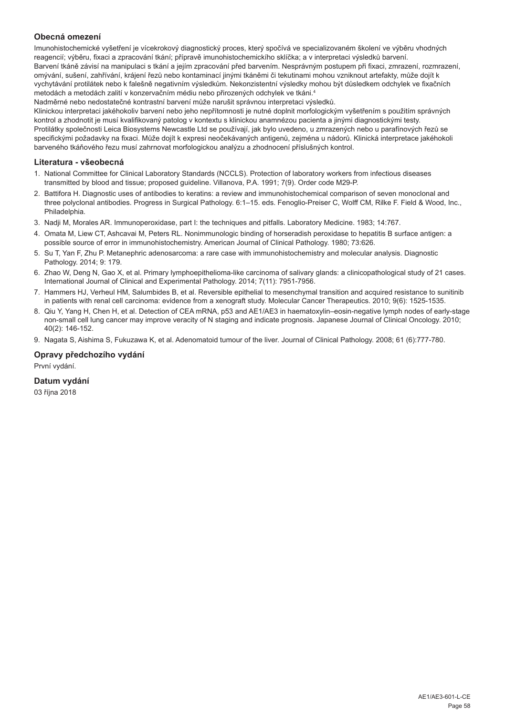## **Obecná omezení**

Imunohistochemické vyšetření je vícekrokový diagnostický proces, který spočívá ve specializovaném školení ve výběru vhodných reagencií; výběru, fixaci a zpracování tkání; přípravě imunohistochemickího sklíčka; a v interpretaci výsledků barvení. Barvení tkáně závisí na manipulaci s tkání a jejím zpracování před barvením. Nesprávným postupem při fixaci, zmrazení, rozmrazení, omývání, sušení, zahřívání, krájení řezů nebo kontaminací jinými tkáněmi či tekutinami mohou vzniknout artefakty, může dojít k vychytávání protilátek nebo k falešně negativním výsledkům. Nekonzistentní výsledky mohou být důsledkem odchylek ve fixačních metodách a metodách zalití v konzervačním médiu nebo přirozených odchylek ve tkáni.4

Nadměrné nebo nedostatečné kontrastní barvení může narušit správnou interpretaci výsledků.

Klinickou interpretaci jakéhokoliv barvení nebo jeho nepřítomnosti je nutné doplnit morfologickým vyšetřením s použitím správných kontrol a zhodnotit je musí kvalifikovaný patolog v kontextu s klinickou anamnézou pacienta a jinými diagnostickými testy. Protilátky společnosti Leica Biosystems Newcastle Ltd se používají, jak bylo uvedeno, u zmrazených nebo u parafínových řezů se specifickými požadavky na fixaci. Může dojít k expresi neočekávaných antigenů, zejména u nádorů. Klinická interpretace jakéhokoli barveného tkáňového řezu musí zahrnovat morfologickou analýzu a zhodnocení příslušných kontrol.

#### **Literatura - všeobecná**

- 1. National Committee for Clinical Laboratory Standards (NCCLS). Protection of laboratory workers from infectious diseases transmitted by blood and tissue; proposed guideline. Villanova, P.A. 1991; 7(9). Order code M29-P.
- 2. Battifora H. Diagnostic uses of antibodies to keratins: a review and immunohistochemical comparison of seven monoclonal and three polyclonal antibodies. Progress in Surgical Pathology. 6:1–15. eds. Fenoglio-Preiser C, Wolff CM, Rilke F. Field & Wood, Inc., Philadelphia.
- 3. Nadji M, Morales AR. Immunoperoxidase, part I: the techniques and pitfalls. Laboratory Medicine. 1983; 14:767.
- 4. Omata M, Liew CT, Ashcavai M, Peters RL. Nonimmunologic binding of horseradish peroxidase to hepatitis B surface antigen: a possible source of error in immunohistochemistry. American Journal of Clinical Pathology. 1980; 73:626.
- 5. Su T, Yan F, Zhu P. Metanephric adenosarcoma: a rare case with immunohistochemistry and molecular analysis. Diagnostic Pathology. 2014; 9: 179.
- 6. Zhao W, Deng N, Gao X, et al. Primary lymphoepithelioma-like carcinoma of salivary glands: a clinicopathological study of 21 cases. International Journal of Clinical and Experimental Pathology. 2014; 7(11): 7951-7956.
- 7. Hammers HJ, Verheul HM, Salumbides B, et al. Reversible epithelial to mesenchymal transition and acquired resistance to sunitinib in patients with renal cell carcinoma: evidence from a xenograft study. Molecular Cancer Therapeutics. 2010; 9(6): 1525-1535.
- 8. Qiu Y, Yang H, Chen H, et al. Detection of CEA mRNA, p53 and AE1/AE3 in haematoxylin–eosin-negative lymph nodes of early-stage non-small cell lung cancer may improve veracity of N staging and indicate prognosis. Japanese Journal of Clinical Oncology. 2010; 40(2): 146-152.
- 9. Nagata S, Aishima S, Fukuzawa K, et al. Adenomatoid tumour of the liver. Journal of Clinical Pathology. 2008; 61 (6):777-780.

#### **Opravy předchozího vydání**

První vydání.

## **Datum vydání**

03 října 2018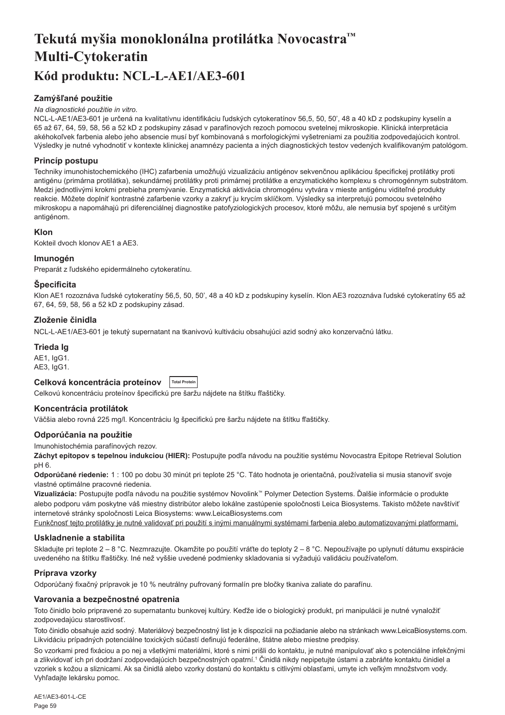# <span id="page-59-0"></span>**Tekutá myšia monoklonálna protilátka Novocastra™ Multi-Cytokeratin Kód produktu: NCL-L-AE1/AE3-601**

## **Zamýšľané použitie**

## *Na diagnostické použitie in vitro.*

NCL-L-AE1/AE3-601 je určená na kvalitatívnu identifikáciu ľudských cytokeratínov 56,5, 50, 50', 48 a 40 kD z podskupiny kyselín a 65 až 67, 64, 59, 58, 56 a 52 kD z podskupiny zásad v parafínových rezoch pomocou svetelnej mikroskopie. Klinická interpretácia akéhokoľvek farbenia alebo jeho absencie musí byť kombinovaná s morfologickými vyšetreniami za použitia zodpovedajúcich kontrol. Výsledky je nutné vyhodnotiť v kontexte klinickej anamnézy pacienta a iných diagnostických testov vedených kvalifikovaným patológom.

## **Princíp postupu**

Techniky imunohistochemického (IHC) zafarbenia umožňujú vizualizáciu antigénov sekvenčnou aplikáciou špecifickej protilátky proti antigénu (primárna protilátka), sekundárnej protilátky proti primárnej protilátke a enzymatického komplexu s chromogénnym substrátom. Medzi jednotlivými krokmi prebieha premývanie. Enzymatická aktivácia chromogénu vytvára v mieste antigénu viditeľné produkty reakcie. Môžete doplniť kontrastné zafarbenie vzorky a zakryť ju krycím sklíčkom. Výsledky sa interpretujú pomocou svetelného mikroskopu a napomáhajú pri diferenciálnej diagnostike patofyziologických procesov, ktoré môžu, ale nemusia byť spojené s určitým antigénom.

## **Klon**

Kokteil dvoch klonov AE1 a AE3.

## **Imunogén**

Preparát z ľudského epidermálneho cytokeratínu.

## **Špecificita**

Klon AE1 rozoznáva ľudské cytokeratíny 56,5, 50, 50', 48 a 40 kD z podskupiny kyselín. Klon AE3 rozoznáva ľudské cytokeratíny 65 až 67, 64, 59, 58, 56 a 52 kD z podskupiny zásad.

## **Zloženie činidla**

NCL-L-AE1/AE3-601 je tekutý supernatant na tkanivovú kultiváciu obsahujúci azid sodný ako konzervačnú látku.

## **Trieda Ig**

AE1, IgG1. AE3, IgG1.

#### **Celková koncentrácia proteínov Total Protein**

Celkovú koncentráciu proteínov špecifickú pre šaržu nájdete na štítku fľaštičky.

## **Koncentrácia protilátok**

Väčšia alebo rovná 225 mg/l. Koncentráciu Ig špecifickú pre šaržu nájdete na štítku fľaštičky.

## **Odporúčania na použitie**

#### Imunohistochémia parafínových rezov.

**Záchyt epitopov s tepelnou indukciou (HIER):** Postupujte podľa návodu na použitie systému Novocastra Epitope Retrieval Solution pH 6.

**Odporúčané riedenie:** 1 : 100 po dobu 30 minút pri teplote 25 °C. Táto hodnota je orientačná, používatelia si musia stanoviť svoje vlastné optimálne pracovné riedenia.

**Vizualizácia:** Postupujte podľa návodu na použitie systémov Novolink™ Polymer Detection Systems. Ďalšie informácie o produkte alebo podporu vám poskytne váš miestny distribútor alebo lokálne zastúpenie spoločnosti Leica Biosystems. Takisto môžete navštíviť internetové stránky spoločnosti Leica Biosystems: www.LeicaBiosystems.com

Funkčnosť tejto protilátky je nutné validovať pri použití s inými manuálnymi systémami farbenia alebo automatizovanými platformami.

## **Uskladnenie a stabilita**

Skladujte pri teplote 2 – 8 °C. Nezmrazujte. Okamžite po použití vráťte do teploty 2 – 8 °C. Nepoužívajte po uplynutí dátumu exspirácie uvedeného na štítku fľaštičky. Iné než vyššie uvedené podmienky skladovania si vyžadujú validáciu používateľom.

## **Príprava vzorky**

Odporúčaný fixačný prípravok je 10 % neutrálny pufrovaný formalín pre bločky tkaniva zaliate do parafínu.

## **Varovania a bezpečnostné opatrenia**

Toto činidlo bolo pripravené zo supernatantu bunkovej kultúry. Keďže ide o biologický produkt, pri manipulácii je nutné vynaložiť zodpovedajúcu starostlivosť.

Toto činidlo obsahuje azid sodný. Materiálový bezpečnostný list je k dispozícii na požiadanie alebo na stránkach www.LeicaBiosystems.com. Likvidáciu prípadných potenciálne toxických súčastí definujú federálne, štátne alebo miestne predpisy.

So vzorkami pred fixáciou a po nej a všetkými materiálmi, ktoré s nimi prišli do kontaktu, je nutné manipulovať ako s potenciálne infekčnými a zlikvidovať ich pri dodržaní zodpovedajúcich bezpečnostných opatrní.1 Činidlá nikdy nepipetujte ústami a zabráňte kontaktu činidiel a vzoriek s kožou a sliznicami. Ak sa činidlá alebo vzorky dostanú do kontaktu s citlivými oblasťami, umyte ich veľkým množstvom vody. Vyhľadajte lekársku pomoc.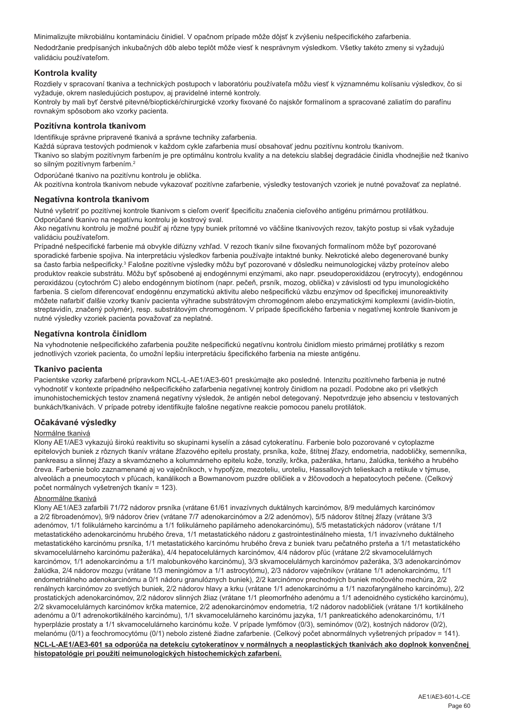Minimalizujte mikrobiálnu kontamináciu činidiel. V opačnom prípade môže dôjsť k zvýšeniu nešpecifického zafarbenia.

Nedodržanie predpísaných inkubačných dôb alebo teplôt môže viesť k nesprávnym výsledkom. Všetky takéto zmeny si vyžadujú validáciu používateľom.

#### **Kontrola kvality**

Rozdiely v spracovaní tkaniva a technických postupoch v laboratóriu používateľa môžu viesť k významnému kolísaniu výsledkov, čo si vyžaduje, okrem nasledujúcich postupov, aj pravidelné interné kontroly.

Kontroly by mali byť čerstvé pitevné/bioptické/chirurgické vzorky fixované čo najskôr formalínom a spracované zaliatím do parafínu rovnakým spôsobom ako vzorky pacienta.

#### **Pozitívna kontrola tkanivom**

Identifikuje správne pripravené tkanivá a správne techniky zafarbenia.

Každá súprava testových podmienok v každom cykle zafarbenia musí obsahovať jednu pozitívnu kontrolu tkanivom. Tkanivo so slabým pozitívnym farbením je pre optimálnu kontrolu kvality a na detekciu slabšej degradácie činidla vhodnejšie než tkanivo so silným pozitívnym farbením.<sup>2</sup>

Odporúčané tkanivo na pozitívnu kontrolu je oblička.

Ak pozitívna kontrola tkanivom nebude vykazovať pozitívne zafarbenie, výsledky testovaných vzoriek je nutné považovať za neplatné.

#### **Negatívna kontrola tkanivom**

Nutné vyšetriť po pozitívnej kontrole tkanivom s cieľom overiť špecificitu značenia cieľového antigénu primárnou protilátkou. Odporúčané tkanivo na negatívnu kontrolu je kostrový sval.

Ako negatívnu kontrolu je možné použiť aj rôzne typy buniek prítomné vo väčšine tkanivových rezov, takýto postup si však vyžaduje validáciu používateľom.

Prípadné nešpecifické farbenie má obvykle difúzny vzhľad. V rezoch tkanív silne fixovaných formalínom môže byť pozorované sporadické farbenie spojiva. Na interpretáciu výsledkov farbenia používajte intaktné bunky. Nekrotické alebo degenerované bunky sa často farbia nešpecificky.<sup>3</sup> Falošne pozitívne výsledky môžu byť pozorované v dôsledku neimunologickej väzby proteínov alebo produktov reakcie substrátu. Môžu byť spôsobené aj endogénnymi enzýmami, ako napr. pseudoperoxidázou (erytrocyty), endogénnou peroxidázou (cytochróm C) alebo endogénnym biotínom (napr. pečeň, prsník, mozog, oblička) v závislosti od typu imunologického farbenia. S cieľom diferencovať endogénnu enzymatickú aktivitu alebo nešpecifickú väzbu enzýmov od špecifickej imunoreaktivity môžete nafarbiť ďalšie vzorky tkanív pacienta výhradne substrátovým chromogénom alebo enzymatickými komplexmi (avidín-biotín, streptavidín, značený polymér), resp. substrátovým chromogénom. V prípade špecifického farbenia v negatívnej kontrole tkanivom je nutné výsledky vzoriek pacienta považovať za neplatné.

#### **Negatívna kontrola činidlom**

Na vyhodnotenie nešpecifického zafarbenia použite nešpecifickú negatívnu kontrolu činidlom miesto primárnej protilátky s rezom jednotlivých vzoriek pacienta, čo umožní lepšiu interpretáciu špecifického farbenia na mieste antigénu.

#### **Tkanivo pacienta**

Pacientske vzorky zafarbené prípravkom NCL-L-AE1/AE3-601 preskúmajte ako posledné. Intenzitu pozitívneho farbenia je nutné vyhodnotiť v kontexte prípadného nešpecifického zafarbenia negatívnej kontroly činidlom na pozadí. Podobne ako pri všetkých imunohistochemických testov znamená negatívny výsledok, že antigén nebol detegovaný. Nepotvrdzuje jeho absenciu v testovaných bunkách/tkanivách. V prípade potreby identifikujte falošne negatívne reakcie pomocou panelu protilátok.

#### **Očakávané výsledky**

#### Normálne tkanivá

Klony AE1/AE3 vykazujú širokú reaktivitu so skupinami kyselín a zásad cytokeratínu. Farbenie bolo pozorované v cytoplazme epitelových buniek z rôznych tkanív vrátane žľazového epitelu prostaty, prsníka, kože, štítnej žľazy, endometria, nadobličky, semenníka, pankreasu a slinnej žľazy a skvamózneho a kolumnárneho epitelu kože, tonzily, krčka, pažeráka, hrtanu, žalúdka, tenkého a hrubého čreva. Farbenie bolo zaznamenané aj vo vaječníkoch, v hypofýze, mezoteliu, uroteliu, Hassallových telieskach a retikule v týmuse, alveolách a pneumocytoch v pľúcach, kanálikoch a Bowmanovom puzdre obličiek a v žlčovodoch a hepatocytoch pečene. (Celkový počet normálnych vyšetrených tkanív = 123).

#### Abnormálne tkanivá

Klony AE1/AE3 zafarbili 71/72 nádorov prsníka (vrátane 61/61 invazívnych duktálnych karcinómov, 8/9 medulárnych karcinómov a 2/2 fibroadenómov), 9/9 nádorov čriev (vrátane 7/7 adenokarcinómov a 2/2 adenómov), 5/5 nádorov štítnej žľazy (vrátane 3/3 adenómov, 1/1 folikulárneho karcinómu a 1/1 folikulárneho papilárneho adenokarcinómu), 5/5 metastatických nádorov (vrátane 1/1 metastatického adenokarcinómu hrubého čreva, 1/1 metastatického nádoru z gastrointestinálneho miesta, 1/1 invazívneho duktálneho metastatického karcinómu prsníka, 1/1 metastatického karcinómu hrubého čreva z buniek tvaru pečatného prsteňa a 1/1 metastatického skvamocelulárneho karcinómu pažeráka), 4/4 hepatocelulárnych karcinómov, 4/4 nádorov pľúc (vrátane 2/2 skvamocelulárnych karcinómov, 1/1 adenokarcinómu a 1/1 malobunkového karcinómu), 3/3 skvamocelulárnych karcinómov pažeráka, 3/3 adenokarcinómov žalúdka, 2/4 nádorov mozgu (vrátane 1/3 meningiómov a 1/1 astrocytómu), 2/3 nádorov vaječníkov (vrátane 1/1 adenokarcinómu, 1/1 endometriálneho adenokarcinómu a 0/1 nádoru granulóznych buniek), 2/2 karcinómov prechodných buniek močového mechúra, 2/2 renálnych karcinómov zo svetlých buniek, 2/2 nádorov hlavy a krku (vrátane 1/1 adenokarcinómu a 1/1 nazofaryngálneho karcinómu), 2/2 prostatických adenokarcinómov, 2/2 nádorov slinných žliaz (vrátane 1/1 pleomorfného adenómu a 1/1 adenoidného cystického karcinómu), 2/2 skvamocelulárnych karcinómov krčka maternice, 2/2 adenokarcinómov endometria, 1/2 nádorov nadobličiek (vrátane 1/1 kortikálneho adenómu a 0/1 adrenokortikálného karcinómu), 1/1 skvamocelulárneho karcinómu jazyka, 1/1 pankreatického adenokarcinómu, 1/1 hyperplázie prostaty a 1/1 skvamocelulárneho karcinómu kože. V prípade lymfómov (0/3), seminómov (0/2), kostných nádorov (0/2), melanómu (0/1) a feochromocytómu (0/1) nebolo zistené žiadne zafarbenie. (Celkový počet abnormálnych vyšetrených prípadov = 141).

**NCL-L-AE1/AE3-601 sa odporúča na detekciu cytokeratínov v normálnych a neoplastických tkanivách ako doplnok konvenčnej histopatológie pri použití neimunologických histochemických zafarbení.**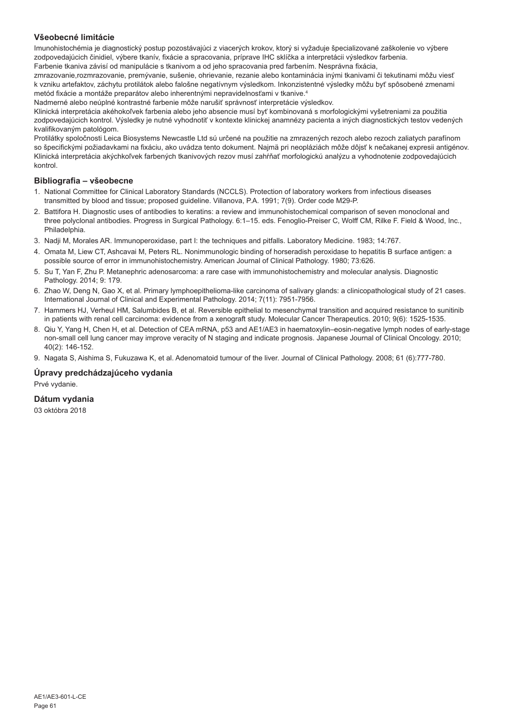## **Všeobecné limitácie**

Imunohistochémia je diagnostický postup pozostávajúci z viacerých krokov, ktorý si vyžaduje špecializované zaškolenie vo výbere zodpovedajúcich činidiel, výbere tkanív, fixácie a spracovania, príprave IHC sklíčka a interpretácii výsledkov farbenia. Farbenie tkaniva závisí od manipulácie s tkanivom a od jeho spracovania pred farbením. Nesprávna fixácia,

zmrazovanie,rozmrazovanie, premývanie, sušenie, ohrievanie, rezanie alebo kontaminácia inými tkanivami či tekutinami môžu viesť k vzniku artefaktov, záchytu protilátok alebo falošne negatívnym výsledkom. Inkonzistentné výsledky môžu byť spôsobené zmenami metód fixácie a montáže preparátov alebo inherentnými nepravidelnosťami v tkanive.4

Nadmerné alebo neúplné kontrastné farbenie môže narušiť správnosť interpretácie výsledkov.

Klinická interpretácia akéhokoľvek farbenia alebo jeho absencie musí byť kombinovaná s morfologickými vyšetreniami za použitia zodpovedajúcich kontrol. Výsledky je nutné vyhodnotiť v kontexte klinickej anamnézy pacienta a iných diagnostických testov vedených kvalifikovaným patológom.

Protilátky spoločnosti Leica Biosystems Newcastle Ltd sú určené na použitie na zmrazených rezoch alebo rezoch zaliatych parafínom so špecifickými požiadavkami na fixáciu, ako uvádza tento dokument. Najmä pri neopláziách môže dôjsť k nečakanej expresii antigénov. Klinická interpretácia akýchkoľvek farbených tkanivových rezov musí zahŕňať morfologickú analýzu a vyhodnotenie zodpovedajúcich kontrol.

## **Bibliografia – všeobecne**

- 1. National Committee for Clinical Laboratory Standards (NCCLS). Protection of laboratory workers from infectious diseases transmitted by blood and tissue; proposed guideline. Villanova, P.A. 1991; 7(9). Order code M29-P.
- 2. Battifora H. Diagnostic uses of antibodies to keratins: a review and immunohistochemical comparison of seven monoclonal and three polyclonal antibodies. Progress in Surgical Pathology. 6:1–15. eds. Fenoglio-Preiser C, Wolff CM, Rilke F. Field & Wood, Inc., Philadelphia.
- 3. Nadji M, Morales AR. Immunoperoxidase, part I: the techniques and pitfalls. Laboratory Medicine. 1983; 14:767.
- 4. Omata M, Liew CT, Ashcavai M, Peters RL. Nonimmunologic binding of horseradish peroxidase to hepatitis B surface antigen: a possible source of error in immunohistochemistry. American Journal of Clinical Pathology. 1980; 73:626.
- 5. Su T, Yan F, Zhu P. Metanephric adenosarcoma: a rare case with immunohistochemistry and molecular analysis. Diagnostic Pathology. 2014; 9: 179.
- 6. Zhao W, Deng N, Gao X, et al. Primary lymphoepithelioma-like carcinoma of salivary glands: a clinicopathological study of 21 cases. International Journal of Clinical and Experimental Pathology. 2014; 7(11): 7951-7956.
- 7. Hammers HJ, Verheul HM, Salumbides B, et al. Reversible epithelial to mesenchymal transition and acquired resistance to sunitinib in patients with renal cell carcinoma: evidence from a xenograft study. Molecular Cancer Therapeutics. 2010; 9(6): 1525-1535.
- 8. Qiu Y, Yang H, Chen H, et al. Detection of CEA mRNA, p53 and AE1/AE3 in haematoxylin–eosin-negative lymph nodes of early-stage non-small cell lung cancer may improve veracity of N staging and indicate prognosis. Japanese Journal of Clinical Oncology. 2010; 40(2): 146-152.
- 9. Nagata S, Aishima S, Fukuzawa K, et al. Adenomatoid tumour of the liver. Journal of Clinical Pathology. 2008; 61 (6):777-780.

## **Úpravy predchádzajúceho vydania** Prvé vydanie.

## **Dátum vydania**

03 októbra 2018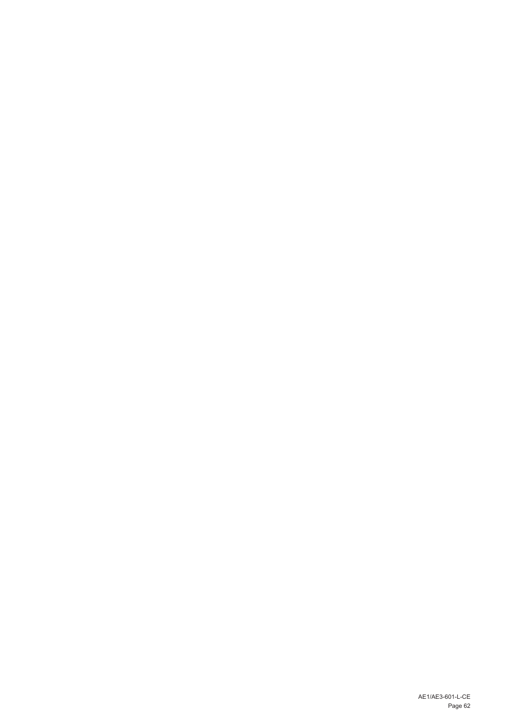AE1/AE3-601-L-CE Page 62